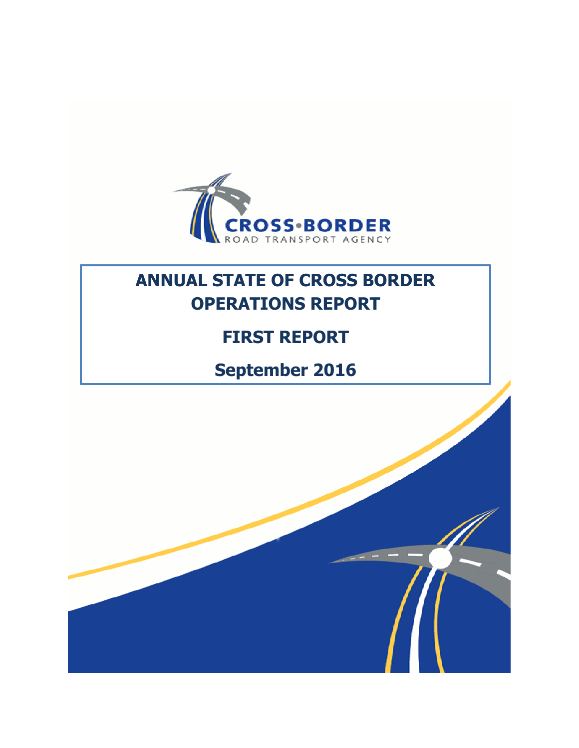

# **ANNUAL STATE OF CROSS BORDER OPERATIONS REPORT**

# **FIRST REPORT**

# **September 2016**

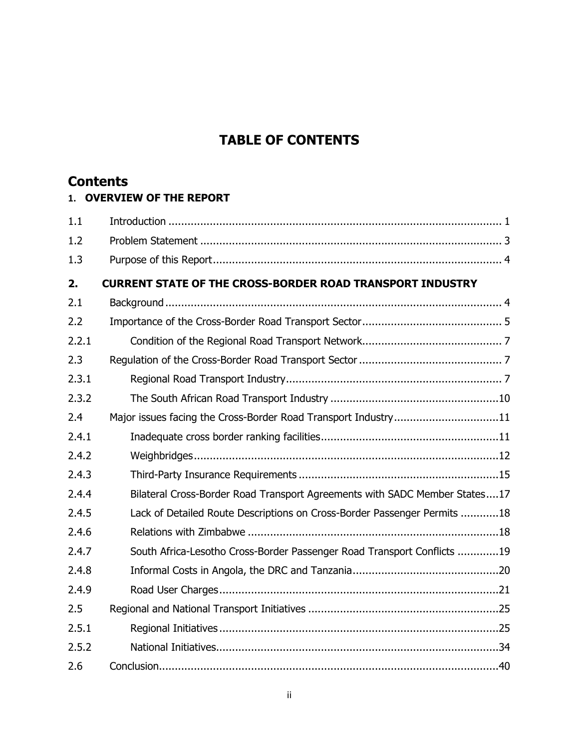## **TABLE OF CONTENTS**

## **Contents**

#### **1. OVERVIEW OF THE REPORT**

| 1.1   |                                                                            |
|-------|----------------------------------------------------------------------------|
| 1.2   |                                                                            |
| 1.3   |                                                                            |
| 2.    | <b>CURRENT STATE OF THE CROSS-BORDER ROAD TRANSPORT INDUSTRY</b>           |
| 2.1   |                                                                            |
| 2.2   |                                                                            |
| 2.2.1 |                                                                            |
| 2.3   |                                                                            |
| 2.3.1 |                                                                            |
| 2.3.2 |                                                                            |
| 2.4   | Major issues facing the Cross-Border Road Transport Industry11             |
| 2.4.1 |                                                                            |
| 2.4.2 |                                                                            |
| 2.4.3 |                                                                            |
| 2.4.4 | Bilateral Cross-Border Road Transport Agreements with SADC Member States17 |
| 2.4.5 | Lack of Detailed Route Descriptions on Cross-Border Passenger Permits 18   |
| 2.4.6 |                                                                            |
| 2.4.7 | South Africa-Lesotho Cross-Border Passenger Road Transport Conflicts 19    |
| 2.4.8 |                                                                            |
| 2.4.9 |                                                                            |
| 2.5   |                                                                            |
| 2.5.1 |                                                                            |
| 2.5.2 |                                                                            |
| 2.6   |                                                                            |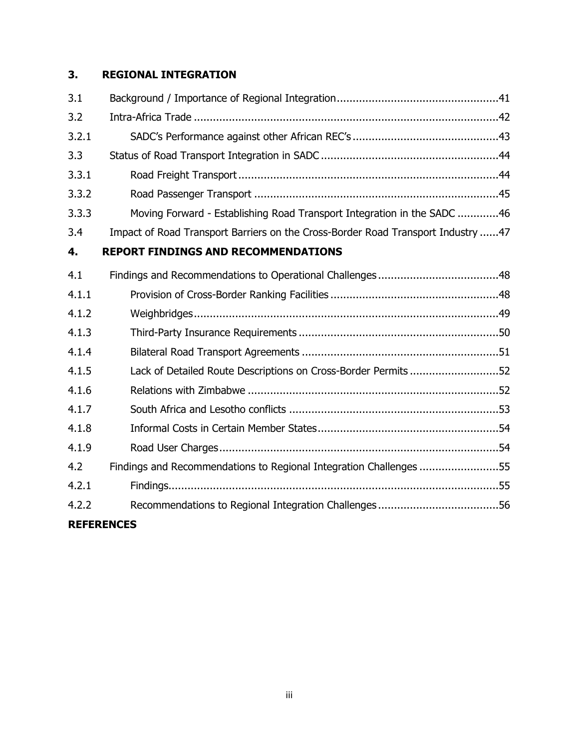## **3. REGIONAL INTEGRATION**

| 3.1               |                                                                                  |
|-------------------|----------------------------------------------------------------------------------|
| 3.2               |                                                                                  |
| 3.2.1             |                                                                                  |
| 3.3               |                                                                                  |
| 3.3.1             |                                                                                  |
| 3.3.2             |                                                                                  |
| 3.3.3             | Moving Forward - Establishing Road Transport Integration in the SADC 46          |
| 3.4               | Impact of Road Transport Barriers on the Cross-Border Road Transport Industry 47 |
| 4.                | <b>REPORT FINDINGS AND RECOMMENDATIONS</b>                                       |
| 4.1               |                                                                                  |
| 4.1.1             |                                                                                  |
| 4.1.2             |                                                                                  |
| 4.1.3             |                                                                                  |
| 4.1.4             |                                                                                  |
| 4.1.5             | Lack of Detailed Route Descriptions on Cross-Border Permits 52                   |
| 4.1.6             |                                                                                  |
| 4.1.7             |                                                                                  |
| 4.1.8             |                                                                                  |
| 4.1.9             |                                                                                  |
| 4.2               | Findings and Recommendations to Regional Integration Challenges 55               |
| 4.2.1             |                                                                                  |
| 4.2.2             |                                                                                  |
| <b>REFERENCES</b> |                                                                                  |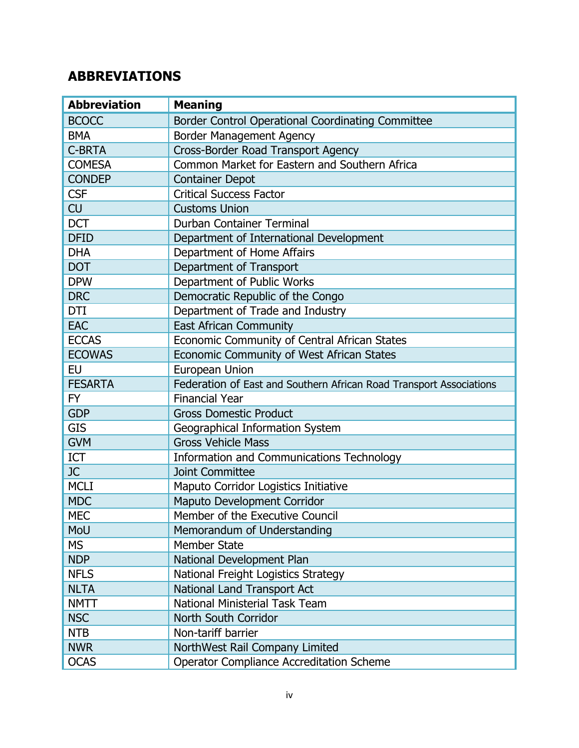# **ABBREVIATIONS**

| <b>Abbreviation</b> | <b>Meaning</b>                                                      |  |  |
|---------------------|---------------------------------------------------------------------|--|--|
| <b>BCOCC</b>        | Border Control Operational Coordinating Committee                   |  |  |
| <b>BMA</b>          | <b>Border Management Agency</b>                                     |  |  |
| <b>C-BRTA</b>       | Cross-Border Road Transport Agency                                  |  |  |
| <b>COMESA</b>       | Common Market for Eastern and Southern Africa                       |  |  |
| <b>CONDEP</b>       | <b>Container Depot</b>                                              |  |  |
| <b>CSF</b>          | <b>Critical Success Factor</b>                                      |  |  |
| <b>CU</b>           | <b>Customs Union</b>                                                |  |  |
| <b>DCT</b>          | Durban Container Terminal                                           |  |  |
| <b>DFID</b>         | Department of International Development                             |  |  |
| <b>DHA</b>          | Department of Home Affairs                                          |  |  |
| <b>DOT</b>          | Department of Transport                                             |  |  |
| <b>DPW</b>          | Department of Public Works                                          |  |  |
| <b>DRC</b>          | Democratic Republic of the Congo                                    |  |  |
| <b>DTI</b>          | Department of Trade and Industry                                    |  |  |
| <b>EAC</b>          | <b>East African Community</b>                                       |  |  |
| <b>ECCAS</b>        | Economic Community of Central African States                        |  |  |
| <b>ECOWAS</b>       | Economic Community of West African States                           |  |  |
| <b>EU</b>           | European Union                                                      |  |  |
| <b>FESARTA</b>      | Federation of East and Southern African Road Transport Associations |  |  |
| FY                  | <b>Financial Year</b>                                               |  |  |
| <b>GDP</b>          | <b>Gross Domestic Product</b>                                       |  |  |
| <b>GIS</b>          | Geographical Information System                                     |  |  |
| <b>GVM</b>          | <b>Gross Vehicle Mass</b>                                           |  |  |
| ICT                 | Information and Communications Technology                           |  |  |
| JC                  | <b>Joint Committee</b>                                              |  |  |
| <b>MCLI</b>         | Maputo Corridor Logistics Initiative                                |  |  |
| <b>MDC</b>          | Maputo Development Corridor                                         |  |  |
| <b>MEC</b>          | Member of the Executive Council                                     |  |  |
| MoU                 | Memorandum of Understanding                                         |  |  |
| <b>MS</b>           | <b>Member State</b>                                                 |  |  |
| <b>NDP</b>          | National Development Plan                                           |  |  |
| <b>NFLS</b>         | National Freight Logistics Strategy                                 |  |  |
| <b>NLTA</b>         | National Land Transport Act                                         |  |  |
| <b>NMTT</b>         | National Ministerial Task Team                                      |  |  |
| <b>NSC</b>          | North South Corridor                                                |  |  |
| <b>NTB</b>          | Non-tariff barrier                                                  |  |  |
| <b>NWR</b>          | NorthWest Rail Company Limited                                      |  |  |
| <b>OCAS</b>         | <b>Operator Compliance Accreditation Scheme</b>                     |  |  |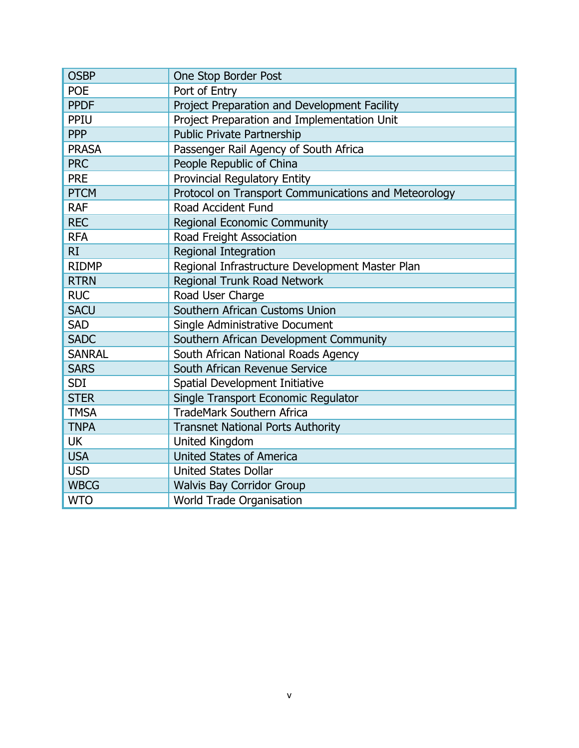| <b>OSBP</b>   | One Stop Border Post                                 |  |  |  |
|---------------|------------------------------------------------------|--|--|--|
| <b>POE</b>    | Port of Entry                                        |  |  |  |
| <b>PPDF</b>   | Project Preparation and Development Facility         |  |  |  |
| PPIU          | Project Preparation and Implementation Unit          |  |  |  |
| <b>PPP</b>    | <b>Public Private Partnership</b>                    |  |  |  |
| <b>PRASA</b>  | Passenger Rail Agency of South Africa                |  |  |  |
| <b>PRC</b>    | People Republic of China                             |  |  |  |
| <b>PRE</b>    | <b>Provincial Regulatory Entity</b>                  |  |  |  |
| <b>PTCM</b>   | Protocol on Transport Communications and Meteorology |  |  |  |
| <b>RAF</b>    | Road Accident Fund                                   |  |  |  |
| <b>REC</b>    | <b>Regional Economic Community</b>                   |  |  |  |
| <b>RFA</b>    | Road Freight Association                             |  |  |  |
| RI            | Regional Integration                                 |  |  |  |
| <b>RIDMP</b>  | Regional Infrastructure Development Master Plan      |  |  |  |
| <b>RTRN</b>   | Regional Trunk Road Network                          |  |  |  |
| <b>RUC</b>    | Road User Charge                                     |  |  |  |
| <b>SACU</b>   | Southern African Customs Union                       |  |  |  |
| <b>SAD</b>    | Single Administrative Document                       |  |  |  |
| <b>SADC</b>   | Southern African Development Community               |  |  |  |
| <b>SANRAL</b> | South African National Roads Agency                  |  |  |  |
| <b>SARS</b>   | South African Revenue Service                        |  |  |  |
| <b>SDI</b>    | Spatial Development Initiative                       |  |  |  |
| <b>STER</b>   | Single Transport Economic Regulator                  |  |  |  |
| <b>TMSA</b>   | <b>TradeMark Southern Africa</b>                     |  |  |  |
| <b>TNPA</b>   | <b>Transnet National Ports Authority</b>             |  |  |  |
| UK            | United Kingdom                                       |  |  |  |
| <b>USA</b>    | <b>United States of America</b>                      |  |  |  |
| <b>USD</b>    | <b>United States Dollar</b>                          |  |  |  |
| <b>WBCG</b>   | <b>Walvis Bay Corridor Group</b>                     |  |  |  |
| <b>WTO</b>    | <b>World Trade Organisation</b>                      |  |  |  |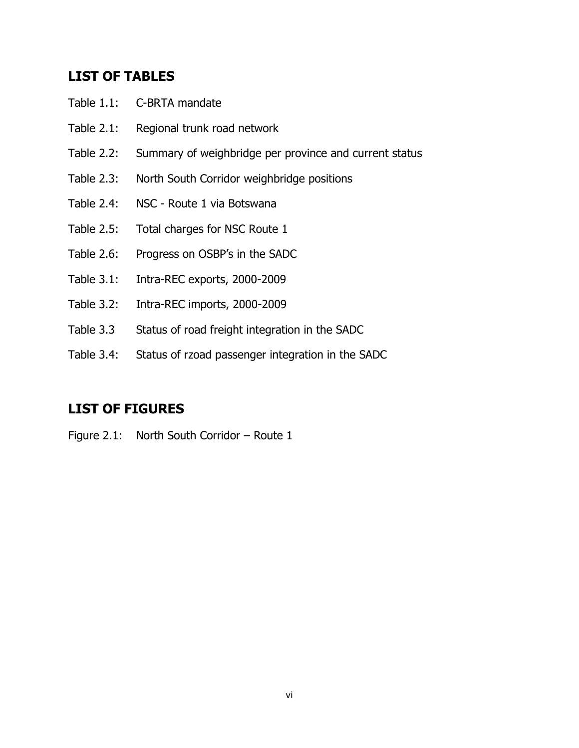## **LIST OF TABLES**

- Table 1.1: C-BRTA mandate
- Table 2.1: Regional trunk road network
- Table 2.2: Summary of weighbridge per province and current status
- Table 2.3: North South Corridor weighbridge positions
- Table 2.4: NSC Route 1 via Botswana
- Table 2.5: Total charges for NSC Route 1
- Table 2.6: Progress on OSBP's in the SADC
- Table 3.1: Intra-REC exports, 2000-2009
- Table 3.2: Intra-REC imports, 2000-2009
- Table 3.3 Status of road freight integration in the SADC
- Table 3.4: Status of rzoad passenger integration in the SADC

## **LIST OF FIGURES**

Figure 2.1: North South Corridor – Route 1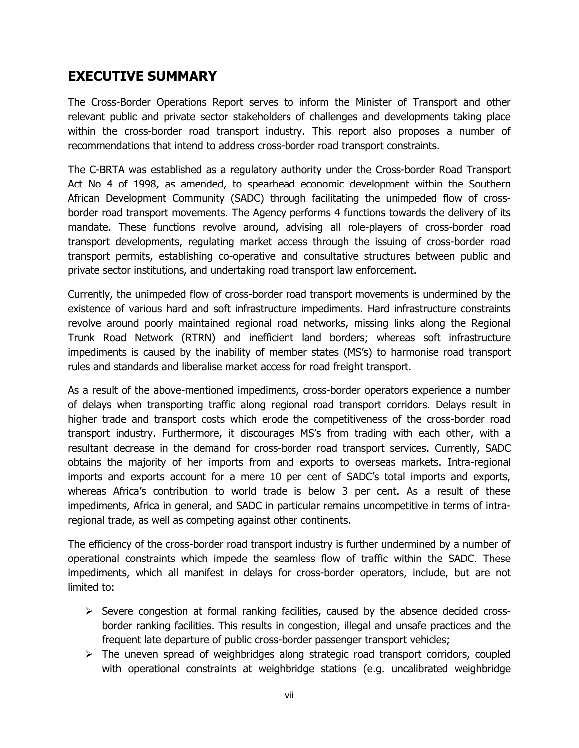## **EXECUTIVE SUMMARY**

The Cross-Border Operations Report serves to inform the Minister of Transport and other relevant public and private sector stakeholders of challenges and developments taking place within the cross-border road transport industry. This report also proposes a number of recommendations that intend to address cross-border road transport constraints.

The C-BRTA was established as a regulatory authority under the Cross-border Road Transport Act No 4 of 1998, as amended, to spearhead economic development within the Southern African Development Community (SADC) through facilitating the unimpeded flow of crossborder road transport movements. The Agency performs 4 functions towards the delivery of its mandate. These functions revolve around, advising all role-players of cross-border road transport developments, regulating market access through the issuing of cross-border road transport permits, establishing co-operative and consultative structures between public and private sector institutions, and undertaking road transport law enforcement.

Currently, the unimpeded flow of cross-border road transport movements is undermined by the existence of various hard and soft infrastructure impediments. Hard infrastructure constraints revolve around poorly maintained regional road networks, missing links along the Regional Trunk Road Network (RTRN) and inefficient land borders; whereas soft infrastructure impediments is caused by the inability of member states (MS's) to harmonise road transport rules and standards and liberalise market access for road freight transport.

As a result of the above-mentioned impediments, cross-border operators experience a number of delays when transporting traffic along regional road transport corridors. Delays result in higher trade and transport costs which erode the competitiveness of the cross-border road transport industry. Furthermore, it discourages MS's from trading with each other, with a resultant decrease in the demand for cross-border road transport services. Currently, SADC obtains the majority of her imports from and exports to overseas markets. Intra-regional imports and exports account for a mere 10 per cent of SADC's total imports and exports, whereas Africa's contribution to world trade is below 3 per cent. As a result of these impediments, Africa in general, and SADC in particular remains uncompetitive in terms of intraregional trade, as well as competing against other continents.

The efficiency of the cross-border road transport industry is further undermined by a number of operational constraints which impede the seamless flow of traffic within the SADC. These impediments, which all manifest in delays for cross-border operators, include, but are not limited to:

- $\triangleright$  Severe congestion at formal ranking facilities, caused by the absence decided crossborder ranking facilities. This results in congestion, illegal and unsafe practices and the frequent late departure of public cross-border passenger transport vehicles;
- $\triangleright$  The uneven spread of weighbridges along strategic road transport corridors, coupled with operational constraints at weighbridge stations (e.g. uncalibrated weighbridge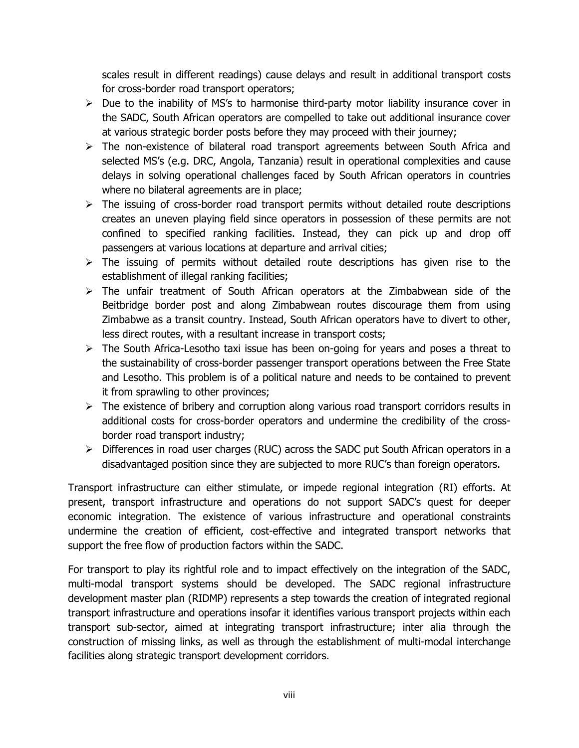scales result in different readings) cause delays and result in additional transport costs for cross-border road transport operators;

- $\triangleright$  Due to the inability of MS's to harmonise third-party motor liability insurance cover in the SADC, South African operators are compelled to take out additional insurance cover at various strategic border posts before they may proceed with their journey;
- $\triangleright$  The non-existence of bilateral road transport agreements between South Africa and selected MS's (e.g. DRC, Angola, Tanzania) result in operational complexities and cause delays in solving operational challenges faced by South African operators in countries where no bilateral agreements are in place;
- $\triangleright$  The issuing of cross-border road transport permits without detailed route descriptions creates an uneven playing field since operators in possession of these permits are not confined to specified ranking facilities. Instead, they can pick up and drop off passengers at various locations at departure and arrival cities;
- $\triangleright$  The issuing of permits without detailed route descriptions has given rise to the establishment of illegal ranking facilities;
- $\triangleright$  The unfair treatment of South African operators at the Zimbabwean side of the Beitbridge border post and along Zimbabwean routes discourage them from using Zimbabwe as a transit country. Instead, South African operators have to divert to other, less direct routes, with a resultant increase in transport costs;
- $\triangleright$  The South Africa-Lesotho taxi issue has been on-going for years and poses a threat to the sustainability of cross-border passenger transport operations between the Free State and Lesotho. This problem is of a political nature and needs to be contained to prevent it from sprawling to other provinces;
- $\triangleright$  The existence of bribery and corruption along various road transport corridors results in additional costs for cross-border operators and undermine the credibility of the crossborder road transport industry;
- $\triangleright$  Differences in road user charges (RUC) across the SADC put South African operators in a disadvantaged position since they are subjected to more RUC's than foreign operators.

Transport infrastructure can either stimulate, or impede regional integration (RI) efforts. At present, transport infrastructure and operations do not support SADC's quest for deeper economic integration. The existence of various infrastructure and operational constraints undermine the creation of efficient, cost-effective and integrated transport networks that support the free flow of production factors within the SADC.

For transport to play its rightful role and to impact effectively on the integration of the SADC, multi-modal transport systems should be developed. The SADC regional infrastructure development master plan (RIDMP) represents a step towards the creation of integrated regional transport infrastructure and operations insofar it identifies various transport projects within each transport sub-sector, aimed at integrating transport infrastructure; inter alia through the construction of missing links, as well as through the establishment of multi-modal interchange facilities along strategic transport development corridors.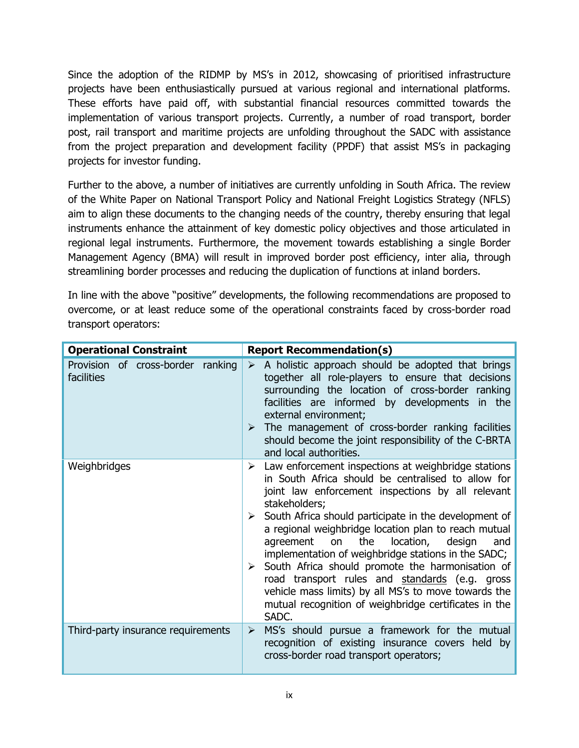Since the adoption of the RIDMP by MS's in 2012, showcasing of prioritised infrastructure projects have been enthusiastically pursued at various regional and international platforms. These efforts have paid off, with substantial financial resources committed towards the implementation of various transport projects. Currently, a number of road transport, border post, rail transport and maritime projects are unfolding throughout the SADC with assistance from the project preparation and development facility (PPDF) that assist MS's in packaging projects for investor funding.

Further to the above, a number of initiatives are currently unfolding in South Africa. The review of the White Paper on National Transport Policy and National Freight Logistics Strategy (NFLS) aim to align these documents to the changing needs of the country, thereby ensuring that legal instruments enhance the attainment of key domestic policy objectives and those articulated in regional legal instruments. Furthermore, the movement towards establishing a single Border Management Agency (BMA) will result in improved border post efficiency, inter alia, through streamlining border processes and reducing the duplication of functions at inland borders.

In line with the above "positive" developments, the following recommendations are proposed to overcome, or at least reduce some of the operational constraints faced by cross-border road transport operators:

| <b>Operational Constraint</b>                   | <b>Report Recommendation(s)</b>                                                                                                                                                                                                                                                                                                                                                                                                                                                                                                                                                                                                                                                        |
|-------------------------------------------------|----------------------------------------------------------------------------------------------------------------------------------------------------------------------------------------------------------------------------------------------------------------------------------------------------------------------------------------------------------------------------------------------------------------------------------------------------------------------------------------------------------------------------------------------------------------------------------------------------------------------------------------------------------------------------------------|
| Provision of cross-border ranking<br>facilities | $\triangleright$ A holistic approach should be adopted that brings<br>together all role-players to ensure that decisions<br>surrounding the location of cross-border ranking<br>facilities are informed by developments in the<br>external environment;<br>The management of cross-border ranking facilities<br>should become the joint responsibility of the C-BRTA<br>and local authorities.                                                                                                                                                                                                                                                                                         |
| Weighbridges                                    | $\triangleright$ Law enforcement inspections at weighbridge stations<br>in South Africa should be centralised to allow for<br>joint law enforcement inspections by all relevant<br>stakeholders;<br>South Africa should participate in the development of<br>➤<br>a regional weighbridge location plan to reach mutual<br>the<br>agreement<br>location,<br>on<br>design<br>and<br>implementation of weighbridge stations in the SADC;<br>$\triangleright$ South Africa should promote the harmonisation of<br>road transport rules and standards (e.g. gross<br>vehicle mass limits) by all MS's to move towards the<br>mutual recognition of weighbridge certificates in the<br>SADC. |
| Third-party insurance requirements              | MS's should pursue a framework for the mutual<br>➤<br>recognition of existing insurance covers held by<br>cross-border road transport operators;                                                                                                                                                                                                                                                                                                                                                                                                                                                                                                                                       |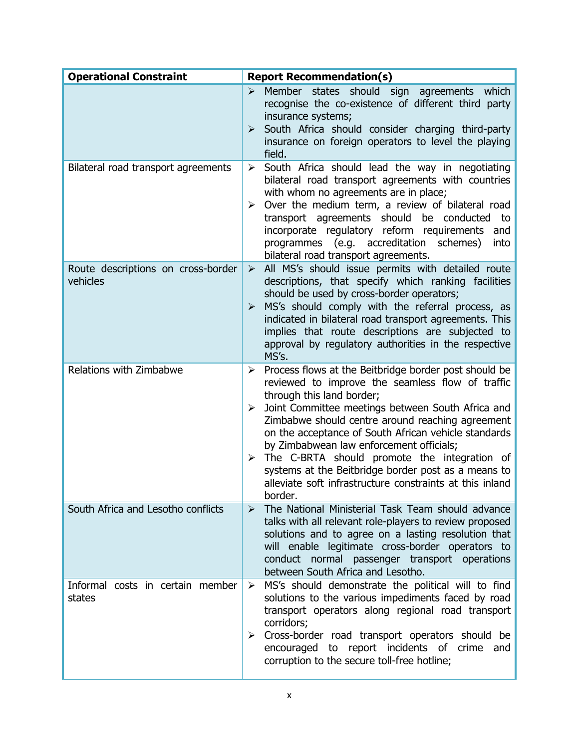| <b>Operational Constraint</b>                  | <b>Report Recommendation(s)</b>                                                                                                                                                                                                                                                                                                                                                                                                                                                                                                                  |
|------------------------------------------------|--------------------------------------------------------------------------------------------------------------------------------------------------------------------------------------------------------------------------------------------------------------------------------------------------------------------------------------------------------------------------------------------------------------------------------------------------------------------------------------------------------------------------------------------------|
|                                                | Member states should sign agreements<br>which<br>⋗<br>recognise the co-existence of different third party<br>insurance systems;<br>$\triangleright$ South Africa should consider charging third-party<br>insurance on foreign operators to level the playing<br>field.                                                                                                                                                                                                                                                                           |
| Bilateral road transport agreements            | South Africa should lead the way in negotiating<br>➤<br>bilateral road transport agreements with countries<br>with whom no agreements are in place;<br>Over the medium term, a review of bilateral road<br>➤<br>transport agreements should be conducted<br>to<br>incorporate regulatory reform requirements<br>and<br>programmes (e.g. accreditation<br>schemes)<br>into<br>bilateral road transport agreements.                                                                                                                                |
| Route descriptions on cross-border<br>vehicles | All MS's should issue permits with detailed route<br>➤<br>descriptions, that specify which ranking facilities<br>should be used by cross-border operators;<br>MS's should comply with the referral process, as<br>➤<br>indicated in bilateral road transport agreements. This<br>implies that route descriptions are subjected to<br>approval by regulatory authorities in the respective<br>MS's.                                                                                                                                               |
| Relations with Zimbabwe                        | Process flows at the Beitbridge border post should be<br>➤<br>reviewed to improve the seamless flow of traffic<br>through this land border;<br>Joint Committee meetings between South Africa and<br>➤<br>Zimbabwe should centre around reaching agreement<br>on the acceptance of South African vehicle standards<br>by Zimbabwean law enforcement officials;<br>The C-BRTA should promote the integration of<br>➤<br>systems at the Beitbridge border post as a means to<br>alleviate soft infrastructure constraints at this inland<br>border. |
| South Africa and Lesotho conflicts             | The National Ministerial Task Team should advance<br>$\blacktriangleright$<br>talks with all relevant role-players to review proposed<br>solutions and to agree on a lasting resolution that<br>will enable legitimate cross-border operators to<br>conduct normal passenger transport operations<br>between South Africa and Lesotho.                                                                                                                                                                                                           |
| Informal costs in certain member<br>states     | MS's should demonstrate the political will to find<br>➤<br>solutions to the various impediments faced by road<br>transport operators along regional road transport<br>corridors;<br>Cross-border road transport operators should be<br>➤<br>encouraged to report incidents of crime<br>and<br>corruption to the secure toll-free hotline;                                                                                                                                                                                                        |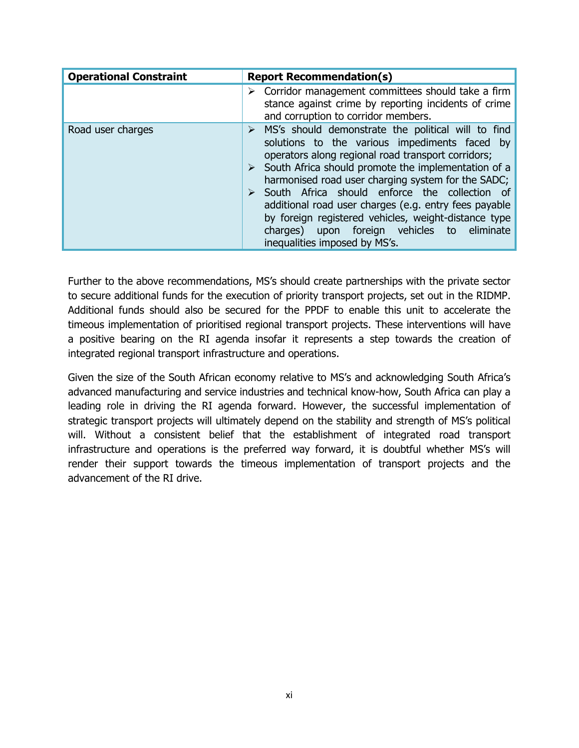| <b>Operational Constraint</b> | <b>Report Recommendation(s)</b>                                                                                                                                                                                                                                                                                                                                                                                                                                                                                                                            |  |  |  |
|-------------------------------|------------------------------------------------------------------------------------------------------------------------------------------------------------------------------------------------------------------------------------------------------------------------------------------------------------------------------------------------------------------------------------------------------------------------------------------------------------------------------------------------------------------------------------------------------------|--|--|--|
|                               | $\triangleright$ Corridor management committees should take a firm<br>stance against crime by reporting incidents of crime<br>and corruption to corridor members.                                                                                                                                                                                                                                                                                                                                                                                          |  |  |  |
| Road user charges             | $\triangleright$ MS's should demonstrate the political will to find<br>solutions to the various impediments faced by<br>operators along regional road transport corridors;<br>$\triangleright$ South Africa should promote the implementation of a<br>harmonised road user charging system for the SADC;<br>South Africa should enforce the collection of<br>additional road user charges (e.g. entry fees payable<br>by foreign registered vehicles, weight-distance type<br>charges) upon foreign vehicles to eliminate<br>inequalities imposed by MS's. |  |  |  |

Further to the above recommendations, MS's should create partnerships with the private sector to secure additional funds for the execution of priority transport projects, set out in the RIDMP. Additional funds should also be secured for the PPDF to enable this unit to accelerate the timeous implementation of prioritised regional transport projects. These interventions will have a positive bearing on the RI agenda insofar it represents a step towards the creation of integrated regional transport infrastructure and operations.

Given the size of the South African economy relative to MS's and acknowledging South Africa's advanced manufacturing and service industries and technical know-how, South Africa can play a leading role in driving the RI agenda forward. However, the successful implementation of strategic transport projects will ultimately depend on the stability and strength of MS's political will. Without a consistent belief that the establishment of integrated road transport infrastructure and operations is the preferred way forward, it is doubtful whether MS's will render their support towards the timeous implementation of transport projects and the advancement of the RI drive.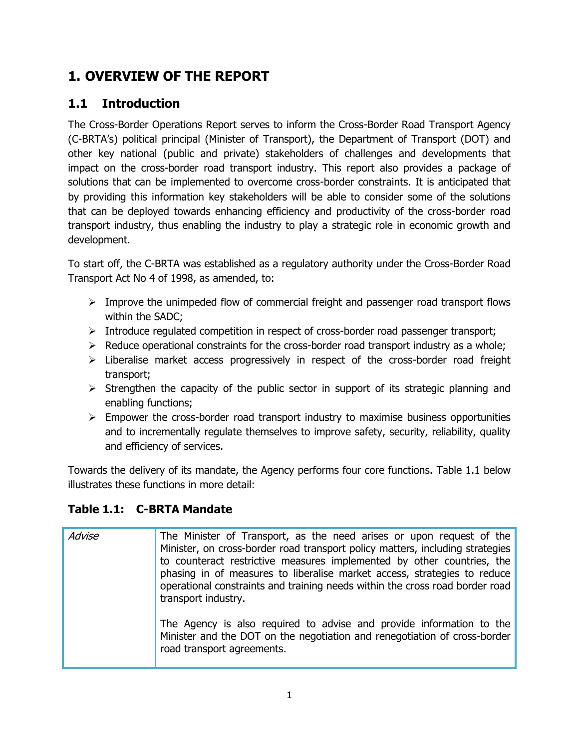# **1. OVERVIEW OF THE REPORT**

## <span id="page-11-0"></span>**1.1 Introduction**

The Cross-Border Operations Report serves to inform the Cross-Border Road Transport Agency (C-BRTA's) political principal (Minister of Transport), the Department of Transport (DOT) and other key national (public and private) stakeholders of challenges and developments that impact on the cross-border road transport industry. This report also provides a package of solutions that can be implemented to overcome cross-border constraints. It is anticipated that by providing this information key stakeholders will be able to consider some of the solutions that can be deployed towards enhancing efficiency and productivity of the cross-border road transport industry, thus enabling the industry to play a strategic role in economic growth and development.

To start off, the C-BRTA was established as a regulatory authority under the Cross-Border Road Transport Act No 4 of 1998, as amended, to:

- $\triangleright$  Improve the unimpeded flow of commercial freight and passenger road transport flows within the SADC;
- > Introduce regulated competition in respect of cross-border road passenger transport;
- $\triangleright$  Reduce operational constraints for the cross-border road transport industry as a whole;
- $\triangleright$  Liberalise market access progressively in respect of the cross-border road freight transport;
- $\triangleright$  Strengthen the capacity of the public sector in support of its strategic planning and enabling functions;
- $\triangleright$  Empower the cross-border road transport industry to maximise business opportunities and to incrementally regulate themselves to improve safety, security, reliability, quality and efficiency of services.

Towards the delivery of its mandate, the Agency performs four core functions. Table 1.1 below illustrates these functions in more detail:

## **Table 1.1: C-BRTA Mandate**

| Advise | The Minister of Transport, as the need arises or upon request of the<br>Minister, on cross-border road transport policy matters, including strategies<br>to counteract restrictive measures implemented by other countries, the<br>phasing in of measures to liberalise market access, strategies to reduce<br>operational constraints and training needs within the cross road border road<br>transport industry. |
|--------|--------------------------------------------------------------------------------------------------------------------------------------------------------------------------------------------------------------------------------------------------------------------------------------------------------------------------------------------------------------------------------------------------------------------|
|        | The Agency is also required to advise and provide information to the<br>Minister and the DOT on the negotiation and renegotiation of cross-border<br>road transport agreements.                                                                                                                                                                                                                                    |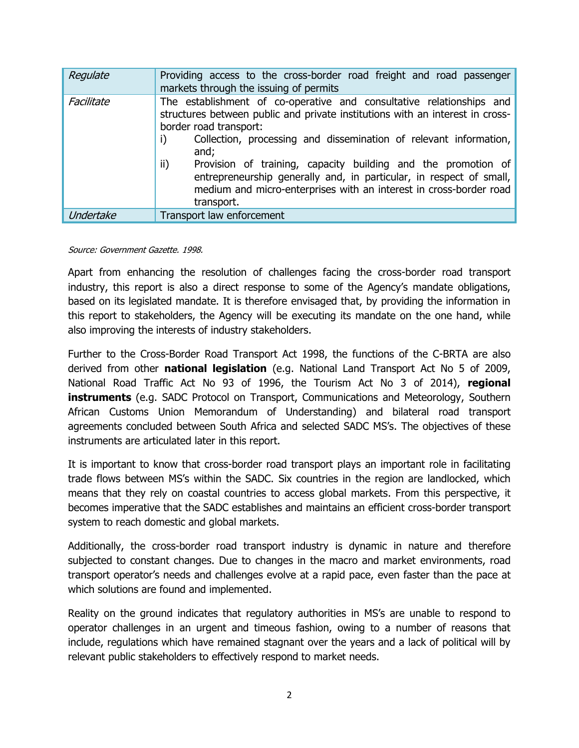| Regulate   | Providing access to the cross-border road freight and road passenger<br>markets through the issuing of permits                                                                                                                                                                                                                                                                                                                                                                                        |
|------------|-------------------------------------------------------------------------------------------------------------------------------------------------------------------------------------------------------------------------------------------------------------------------------------------------------------------------------------------------------------------------------------------------------------------------------------------------------------------------------------------------------|
| Facilitate | The establishment of co-operative and consultative relationships and<br>structures between public and private institutions with an interest in cross-<br>border road transport:<br>Collection, processing and dissemination of relevant information,<br>i)<br>and;<br>ii)<br>Provision of training, capacity building and the promotion of<br>entrepreneurship generally and, in particular, in respect of small,<br>medium and micro-enterprises with an interest in cross-border road<br>transport. |
| Undertake  | Transport law enforcement                                                                                                                                                                                                                                                                                                                                                                                                                                                                             |

#### Source: Government Gazette. 1998.

Apart from enhancing the resolution of challenges facing the cross-border road transport industry, this report is also a direct response to some of the Agency's mandate obligations, based on its legislated mandate. It is therefore envisaged that, by providing the information in this report to stakeholders, the Agency will be executing its mandate on the one hand, while also improving the interests of industry stakeholders.

Further to the Cross-Border Road Transport Act 1998, the functions of the C-BRTA are also derived from other **national legislation** (e.g. National Land Transport Act No 5 of 2009, National Road Traffic Act No 93 of 1996, the Tourism Act No 3 of 2014), **regional instruments** (e.g. SADC Protocol on Transport, Communications and Meteorology, Southern African Customs Union Memorandum of Understanding) and bilateral road transport agreements concluded between South Africa and selected SADC MS's. The objectives of these instruments are articulated later in this report.

It is important to know that cross-border road transport plays an important role in facilitating trade flows between MS's within the SADC. Six countries in the region are landlocked, which means that they rely on coastal countries to access global markets. From this perspective, it becomes imperative that the SADC establishes and maintains an efficient cross-border transport system to reach domestic and global markets.

Additionally, the cross-border road transport industry is dynamic in nature and therefore subjected to constant changes. Due to changes in the macro and market environments, road transport operator's needs and challenges evolve at a rapid pace, even faster than the pace at which solutions are found and implemented.

Reality on the ground indicates that regulatory authorities in MS's are unable to respond to operator challenges in an urgent and timeous fashion, owing to a number of reasons that include, regulations which have remained stagnant over the years and a lack of political will by relevant public stakeholders to effectively respond to market needs.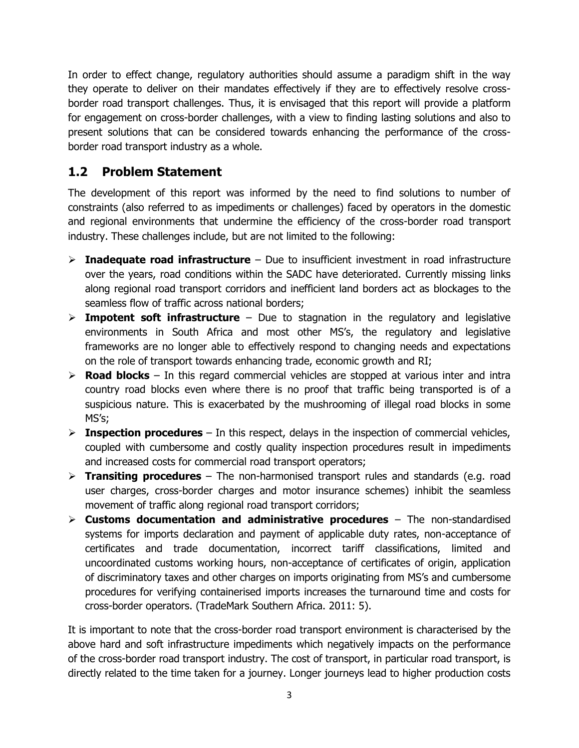In order to effect change, regulatory authorities should assume a paradigm shift in the way they operate to deliver on their mandates effectively if they are to effectively resolve crossborder road transport challenges. Thus, it is envisaged that this report will provide a platform for engagement on cross-border challenges, with a view to finding lasting solutions and also to present solutions that can be considered towards enhancing the performance of the crossborder road transport industry as a whole.

## <span id="page-13-0"></span>**1.2 Problem Statement**

The development of this report was informed by the need to find solutions to number of constraints (also referred to as impediments or challenges) faced by operators in the domestic and regional environments that undermine the efficiency of the cross-border road transport industry. These challenges include, but are not limited to the following:

- **Inadequate road infrastructure** Due to insufficient investment in road infrastructure over the years, road conditions within the SADC have deteriorated. Currently missing links along regional road transport corridors and inefficient land borders act as blockages to the seamless flow of traffic across national borders;
- **Impotent soft infrastructure**  Due to stagnation in the regulatory and legislative environments in South Africa and most other MS's, the regulatory and legislative frameworks are no longer able to effectively respond to changing needs and expectations on the role of transport towards enhancing trade, economic growth and RI;
- **Road blocks** In this regard commercial vehicles are stopped at various inter and intra country road blocks even where there is no proof that traffic being transported is of a suspicious nature. This is exacerbated by the mushrooming of illegal road blocks in some MS's;
- $\triangleright$  **Inspection procedures** In this respect, delays in the inspection of commercial vehicles, coupled with cumbersome and costly quality inspection procedures result in impediments and increased costs for commercial road transport operators;
- **Transiting procedures**  The non-harmonised transport rules and standards (e.g. road user charges, cross-border charges and motor insurance schemes) inhibit the seamless movement of traffic along regional road transport corridors;
- **Customs documentation and administrative procedures**  The non-standardised systems for imports declaration and payment of applicable duty rates, non-acceptance of certificates and trade documentation, incorrect tariff classifications, limited and uncoordinated customs working hours, non-acceptance of certificates of origin, application of discriminatory taxes and other charges on imports originating from MS's and cumbersome procedures for verifying containerised imports increases the turnaround time and costs for cross-border operators. (TradeMark Southern Africa. 2011: 5).

It is important to note that the cross-border road transport environment is characterised by the above hard and soft infrastructure impediments which negatively impacts on the performance of the cross-border road transport industry. The cost of transport, in particular road transport, is directly related to the time taken for a journey. Longer journeys lead to higher production costs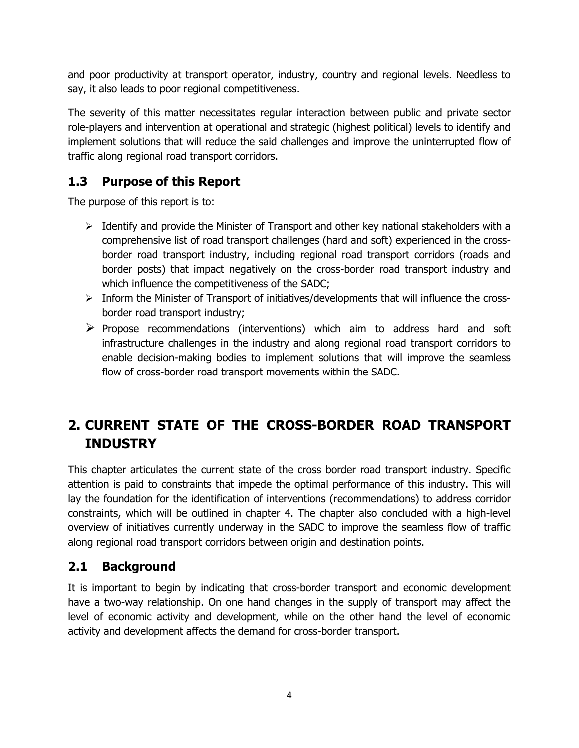and poor productivity at transport operator, industry, country and regional levels. Needless to say, it also leads to poor regional competitiveness.

The severity of this matter necessitates regular interaction between public and private sector role-players and intervention at operational and strategic (highest political) levels to identify and implement solutions that will reduce the said challenges and improve the uninterrupted flow of traffic along regional road transport corridors.

## <span id="page-14-0"></span>**1.3 Purpose of this Report**

The purpose of this report is to:

- $\triangleright$  Identify and provide the Minister of Transport and other key national stakeholders with a comprehensive list of road transport challenges (hard and soft) experienced in the crossborder road transport industry, including regional road transport corridors (roads and border posts) that impact negatively on the cross-border road transport industry and which influence the competitiveness of the SADC;
- $\triangleright$  Inform the Minister of Transport of initiatives/developments that will influence the crossborder road transport industry;
- $\triangleright$  Propose recommendations (interventions) which aim to address hard and soft infrastructure challenges in the industry and along regional road transport corridors to enable decision-making bodies to implement solutions that will improve the seamless flow of cross-border road transport movements within the SADC.

## **2. CURRENT STATE OF THE CROSS-BORDER ROAD TRANSPORT INDUSTRY**

This chapter articulates the current state of the cross border road transport industry. Specific attention is paid to constraints that impede the optimal performance of this industry. This will lay the foundation for the identification of interventions (recommendations) to address corridor constraints, which will be outlined in chapter 4. The chapter also concluded with a high-level overview of initiatives currently underway in the SADC to improve the seamless flow of traffic along regional road transport corridors between origin and destination points.

## <span id="page-14-1"></span>**2.1 Background**

It is important to begin by indicating that cross-border transport and economic development have a two-way relationship. On one hand changes in the supply of transport may affect the level of economic activity and development, while on the other hand the level of economic activity and development affects the demand for cross-border transport.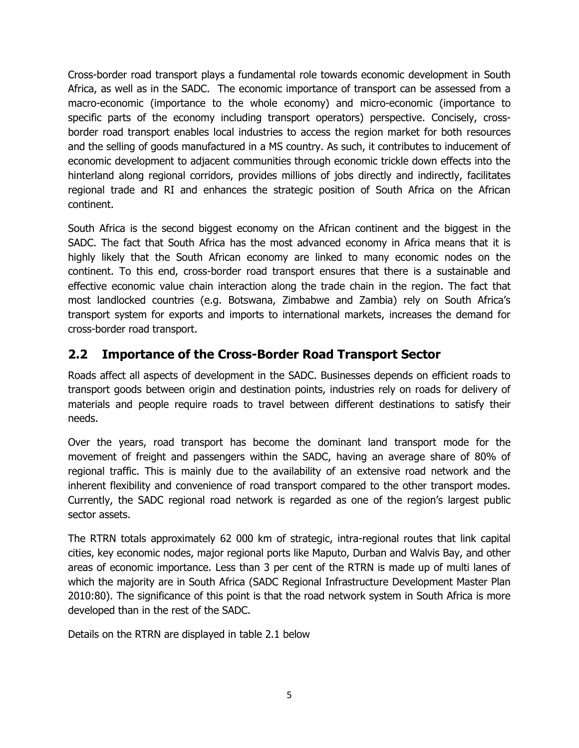Cross-border road transport plays a fundamental role towards economic development in South Africa, as well as in the SADC. The economic importance of transport can be assessed from a macro-economic (importance to the whole economy) and micro-economic (importance to specific parts of the economy including transport operators) perspective. Concisely, crossborder road transport enables local industries to access the region market for both resources and the selling of goods manufactured in a MS country. As such, it contributes to inducement of economic development to adjacent communities through economic trickle down effects into the hinterland along regional corridors, provides millions of jobs directly and indirectly, facilitates regional trade and RI and enhances the strategic position of South Africa on the African continent.

South Africa is the second biggest economy on the African continent and the biggest in the SADC. The fact that South Africa has the most advanced economy in Africa means that it is highly likely that the South African economy are linked to many economic nodes on the continent. To this end, cross-border road transport ensures that there is a sustainable and effective economic value chain interaction along the trade chain in the region. The fact that most landlocked countries (e.g. Botswana, Zimbabwe and Zambia) rely on South Africa's transport system for exports and imports to international markets, increases the demand for cross-border road transport.

## <span id="page-15-0"></span>**2.2 Importance of the Cross-Border Road Transport Sector**

Roads affect all aspects of development in the SADC. Businesses depends on efficient roads to transport goods between origin and destination points, industries rely on roads for delivery of materials and people require roads to travel between different destinations to satisfy their needs.

Over the years, road transport has become the dominant land transport mode for the movement of freight and passengers within the SADC, having an average share of 80% of regional traffic. This is mainly due to the availability of an extensive road network and the inherent flexibility and convenience of road transport compared to the other transport modes. Currently, the SADC regional road network is regarded as one of the region's largest public sector assets.

The RTRN totals approximately 62 000 km of strategic, intra-regional routes that link capital cities, key economic nodes, major regional ports like Maputo, Durban and Walvis Bay, and other areas of economic importance. Less than 3 per cent of the RTRN is made up of multi lanes of which the majority are in South Africa (SADC Regional Infrastructure Development Master Plan 2010:80). The significance of this point is that the road network system in South Africa is more developed than in the rest of the SADC.

Details on the RTRN are displayed in table 2.1 below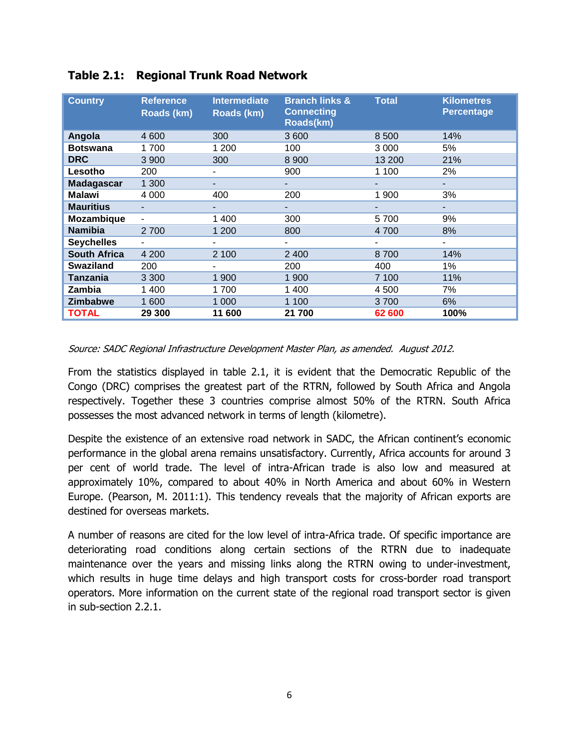| <b>Country</b>      | <b>Reference</b><br>Roads (km) | <b>Intermediate</b><br>Roads (km) | <b>Branch links &amp;</b><br><b>Connecting</b><br>Roads(km) | <b>Total</b> | <b>Kilometres</b><br><b>Percentage</b> |
|---------------------|--------------------------------|-----------------------------------|-------------------------------------------------------------|--------------|----------------------------------------|
| Angola              | 4 600                          | 300                               | 3600                                                        | 8 500        | 14%                                    |
| <b>Botswana</b>     | 1700                           | 1 200                             | 100                                                         | 3 000        | 5%                                     |
| <b>DRC</b>          | 3 9 0 0                        | 300                               | 8 9 0 0                                                     | 13 200       | 21%                                    |
| Lesotho             | 200                            |                                   | 900                                                         | 1 100        | 2%                                     |
| <b>Madagascar</b>   | 1 300                          |                                   | ۰.                                                          | ۰            | ٠                                      |
| <b>Malawi</b>       | 4 0 0 0                        | 400                               | 200                                                         | 1 900        | 3%                                     |
| <b>Mauritius</b>    |                                |                                   |                                                             |              |                                        |
| <b>Mozambique</b>   | ٠                              | 1 400                             | 300                                                         | 5700         | 9%                                     |
| <b>Namibia</b>      | 2700                           | 1 200                             | 800                                                         | 4 700        | 8%                                     |
| <b>Seychelles</b>   |                                |                                   |                                                             |              |                                        |
| <b>South Africa</b> | 4 200                          | 2 100                             | 2 4 0 0                                                     | 8700         | 14%                                    |
| <b>Swaziland</b>    | 200                            |                                   | 200                                                         | 400          | 1%                                     |
| Tanzania            | 3 3 0 0                        | 1 900                             | 1 900                                                       | 7 100        | 11%                                    |
| Zambia              | 1400                           | 1700                              | 1400                                                        | 4 500        | 7%                                     |
| <b>Zimbabwe</b>     | 1 600                          | 1 0 0 0                           | 1 100                                                       | 3700         | 6%                                     |
| <b>TOTAL</b>        | 29 300                         | 11 600                            | 21 700                                                      | 62 600       | 100%                                   |

#### **Table 2.1: Regional Trunk Road Network**

#### Source: SADC Regional Infrastructure Development Master Plan, as amended. August 2012.

From the statistics displayed in table 2.1, it is evident that the Democratic Republic of the Congo (DRC) comprises the greatest part of the RTRN, followed by South Africa and Angola respectively. Together these 3 countries comprise almost 50% of the RTRN. South Africa possesses the most advanced network in terms of length (kilometre).

Despite the existence of an extensive road network in SADC, the African continent's economic performance in the global arena remains unsatisfactory. Currently, Africa accounts for around 3 per cent of world trade. The level of intra-African trade is also low and measured at approximately 10%, compared to about 40% in North America and about 60% in Western Europe. (Pearson, M. 2011:1). This tendency reveals that the majority of African exports are destined for overseas markets.

A number of reasons are cited for the low level of intra-Africa trade. Of specific importance are deteriorating road conditions along certain sections of the RTRN due to inadequate maintenance over the years and missing links along the RTRN owing to under-investment, which results in huge time delays and high transport costs for cross-border road transport operators. More information on the current state of the regional road transport sector is given in sub-section 2.2.1.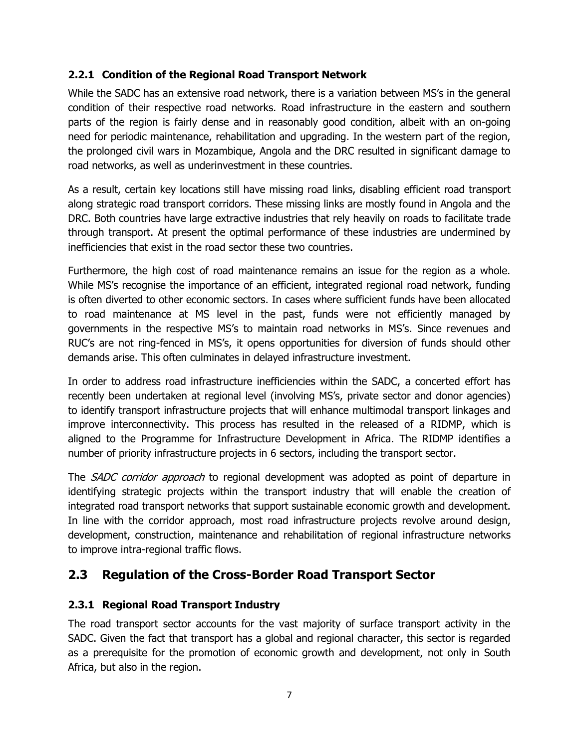#### <span id="page-17-0"></span>**2.2.1 Condition of the Regional Road Transport Network**

While the SADC has an extensive road network, there is a variation between MS's in the general condition of their respective road networks. Road infrastructure in the eastern and southern parts of the region is fairly dense and in reasonably good condition, albeit with an on-going need for periodic maintenance, rehabilitation and upgrading. In the western part of the region, the prolonged civil wars in Mozambique, Angola and the DRC resulted in significant damage to road networks, as well as underinvestment in these countries.

As a result, certain key locations still have missing road links, disabling efficient road transport along strategic road transport corridors. These missing links are mostly found in Angola and the DRC. Both countries have large extractive industries that rely heavily on roads to facilitate trade through transport. At present the optimal performance of these industries are undermined by inefficiencies that exist in the road sector these two countries.

Furthermore, the high cost of road maintenance remains an issue for the region as a whole. While MS's recognise the importance of an efficient, integrated regional road network, funding is often diverted to other economic sectors. In cases where sufficient funds have been allocated to road maintenance at MS level in the past, funds were not efficiently managed by governments in the respective MS's to maintain road networks in MS's. Since revenues and RUC's are not ring-fenced in MS's, it opens opportunities for diversion of funds should other demands arise. This often culminates in delayed infrastructure investment.

In order to address road infrastructure inefficiencies within the SADC, a concerted effort has recently been undertaken at regional level (involving MS's, private sector and donor agencies) to identify transport infrastructure projects that will enhance multimodal transport linkages and improve interconnectivity. This process has resulted in the released of a RIDMP, which is aligned to the Programme for Infrastructure Development in Africa. The RIDMP identifies a number of priority infrastructure projects in 6 sectors, including the transport sector.

The SADC corridor approach to regional development was adopted as point of departure in identifying strategic projects within the transport industry that will enable the creation of integrated road transport networks that support sustainable economic growth and development. In line with the corridor approach, most road infrastructure projects revolve around design, development, construction, maintenance and rehabilitation of regional infrastructure networks to improve intra-regional traffic flows.

## <span id="page-17-1"></span>**2.3 Regulation of the Cross-Border Road Transport Sector**

#### <span id="page-17-2"></span>**2.3.1 Regional Road Transport Industry**

The road transport sector accounts for the vast majority of surface transport activity in the SADC. Given the fact that transport has a global and regional character, this sector is regarded as a prerequisite for the promotion of economic growth and development, not only in South Africa, but also in the region.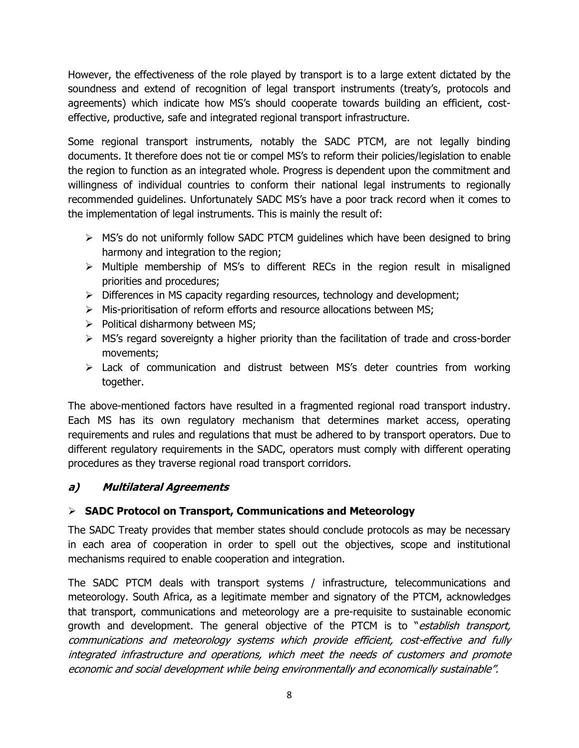However, the effectiveness of the role played by transport is to a large extent dictated by the soundness and extend of recognition of legal transport instruments (treaty's, protocols and agreements) which indicate how MS's should cooperate towards building an efficient, costeffective, productive, safe and integrated regional transport infrastructure.

Some regional transport instruments, notably the SADC PTCM, are not legally binding documents. It therefore does not tie or compel MS's to reform their policies/legislation to enable the region to function as an integrated whole. Progress is dependent upon the commitment and willingness of individual countries to conform their national legal instruments to regionally recommended guidelines. Unfortunately SADC MS's have a poor track record when it comes to the implementation of legal instruments. This is mainly the result of:

- $\triangleright$  MS's do not uniformly follow SADC PTCM guidelines which have been designed to bring harmony and integration to the region;
- $\triangleright$  Multiple membership of MS's to different RECs in the region result in misaligned priorities and procedures;
- $\triangleright$  Differences in MS capacity regarding resources, technology and development;
- $\triangleright$  Mis-prioritisation of reform efforts and resource allocations between MS;
- $\triangleright$  Political disharmony between MS;
- $\triangleright$  MS's regard sovereignty a higher priority than the facilitation of trade and cross-border movements;
- $\triangleright$  Lack of communication and distrust between MS's deter countries from working together.

The above-mentioned factors have resulted in a fragmented regional road transport industry. Each MS has its own regulatory mechanism that determines market access, operating requirements and rules and regulations that must be adhered to by transport operators. Due to different regulatory requirements in the SADC, operators must comply with different operating procedures as they traverse regional road transport corridors.

## **a) Multilateral Agreements**

#### **SADC Protocol on Transport, Communications and Meteorology**

The SADC Treaty provides that member states should conclude protocols as may be necessary in each area of cooperation in order to spell out the objectives, scope and institutional mechanisms required to enable cooperation and integration.

The SADC PTCM deals with transport systems / infrastructure, telecommunications and meteorology. South Africa, as a legitimate member and signatory of the PTCM, acknowledges that transport, communications and meteorology are a pre-requisite to sustainable economic growth and development. The general objective of the PTCM is to "establish transport, communications and meteorology systems which provide efficient, cost-effective and fully integrated infrastructure and operations, which meet the needs of customers and promote economic and social development while being environmentally and economically sustainable".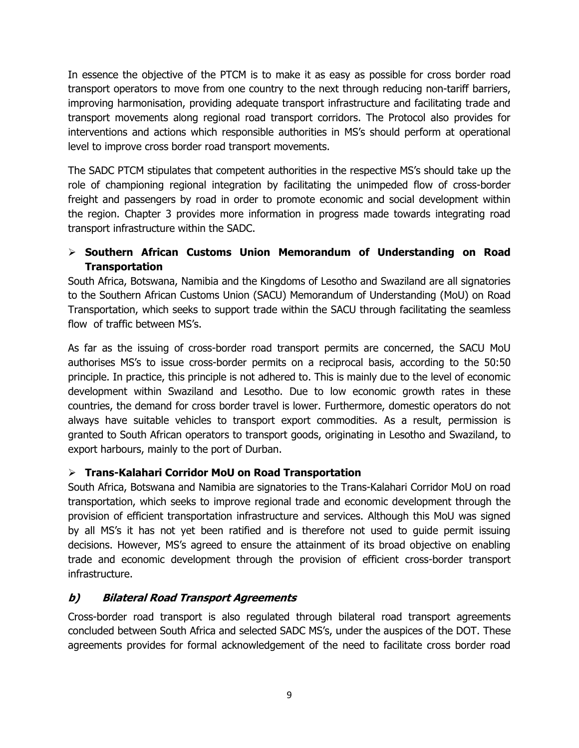In essence the objective of the PTCM is to make it as easy as possible for cross border road transport operators to move from one country to the next through reducing non-tariff barriers, improving harmonisation, providing adequate transport infrastructure and facilitating trade and transport movements along regional road transport corridors. The Protocol also provides for interventions and actions which responsible authorities in MS's should perform at operational level to improve cross border road transport movements.

The SADC PTCM stipulates that competent authorities in the respective MS's should take up the role of championing regional integration by facilitating the unimpeded flow of cross-border freight and passengers by road in order to promote economic and social development within the region. Chapter 3 provides more information in progress made towards integrating road transport infrastructure within the SADC.

#### **Southern African Customs Union Memorandum of Understanding on Road Transportation**

South Africa, Botswana, Namibia and the Kingdoms of Lesotho and Swaziland are all signatories to the Southern African Customs Union (SACU) Memorandum of Understanding (MoU) on Road Transportation, which seeks to support trade within the SACU through facilitating the seamless flow of traffic between MS's.

As far as the issuing of cross-border road transport permits are concerned, the SACU MoU authorises MS's to issue cross-border permits on a reciprocal basis, according to the 50:50 principle. In practice, this principle is not adhered to. This is mainly due to the level of economic development within Swaziland and Lesotho. Due to low economic growth rates in these countries, the demand for cross border travel is lower. Furthermore, domestic operators do not always have suitable vehicles to transport export commodities. As a result, permission is granted to South African operators to transport goods, originating in Lesotho and Swaziland, to export harbours, mainly to the port of Durban.

#### **Trans-Kalahari Corridor MoU on Road Transportation**

South Africa, Botswana and Namibia are signatories to the Trans-Kalahari Corridor MoU on road transportation, which seeks to improve regional trade and economic development through the provision of efficient transportation infrastructure and services. Although this MoU was signed by all MS's it has not yet been ratified and is therefore not used to guide permit issuing decisions. However, MS's agreed to ensure the attainment of its broad objective on enabling trade and economic development through the provision of efficient cross-border transport infrastructure.

## **b) Bilateral Road Transport Agreements**

Cross-border road transport is also regulated through bilateral road transport agreements concluded between South Africa and selected SADC MS's, under the auspices of the DOT. These agreements provides for formal acknowledgement of the need to facilitate cross border road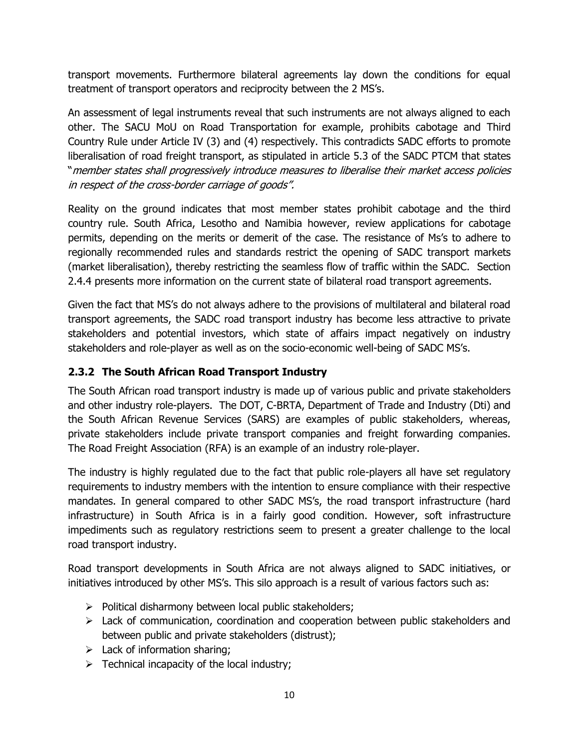transport movements. Furthermore bilateral agreements lay down the conditions for equal treatment of transport operators and reciprocity between the 2 MS's.

An assessment of legal instruments reveal that such instruments are not always aligned to each other. The SACU MoU on Road Transportation for example, prohibits cabotage and Third Country Rule under Article IV (3) and (4) respectively. This contradicts SADC efforts to promote liberalisation of road freight transport, as stipulated in article 5.3 of the SADC PTCM that states ―member states shall progressively introduce measures to liberalise their market access policies in respect of the cross-border carriage of goods".

Reality on the ground indicates that most member states prohibit cabotage and the third country rule. South Africa, Lesotho and Namibia however, review applications for cabotage permits, depending on the merits or demerit of the case. The resistance of Ms's to adhere to regionally recommended rules and standards restrict the opening of SADC transport markets (market liberalisation), thereby restricting the seamless flow of traffic within the SADC. Section 2.4.4 presents more information on the current state of bilateral road transport agreements.

Given the fact that MS's do not always adhere to the provisions of multilateral and bilateral road transport agreements, the SADC road transport industry has become less attractive to private stakeholders and potential investors, which state of affairs impact negatively on industry stakeholders and role-player as well as on the socio-economic well-being of SADC MS's.

### <span id="page-20-0"></span>**2.3.2 The South African Road Transport Industry**

The South African road transport industry is made up of various public and private stakeholders and other industry role-players. The DOT, C-BRTA, Department of Trade and Industry (Dti) and the South African Revenue Services (SARS) are examples of public stakeholders, whereas, private stakeholders include private transport companies and freight forwarding companies. The Road Freight Association (RFA) is an example of an industry role-player.

The industry is highly regulated due to the fact that public role-players all have set regulatory requirements to industry members with the intention to ensure compliance with their respective mandates. In general compared to other SADC MS's, the road transport infrastructure (hard infrastructure) in South Africa is in a fairly good condition. However, soft infrastructure impediments such as regulatory restrictions seem to present a greater challenge to the local road transport industry.

Road transport developments in South Africa are not always aligned to SADC initiatives, or initiatives introduced by other MS's. This silo approach is a result of various factors such as:

- $\triangleright$  Political disharmony between local public stakeholders;
- $\triangleright$  Lack of communication, coordination and cooperation between public stakeholders and between public and private stakeholders (distrust);
- $\triangleright$  Lack of information sharing;
- $\triangleright$  Technical incapacity of the local industry;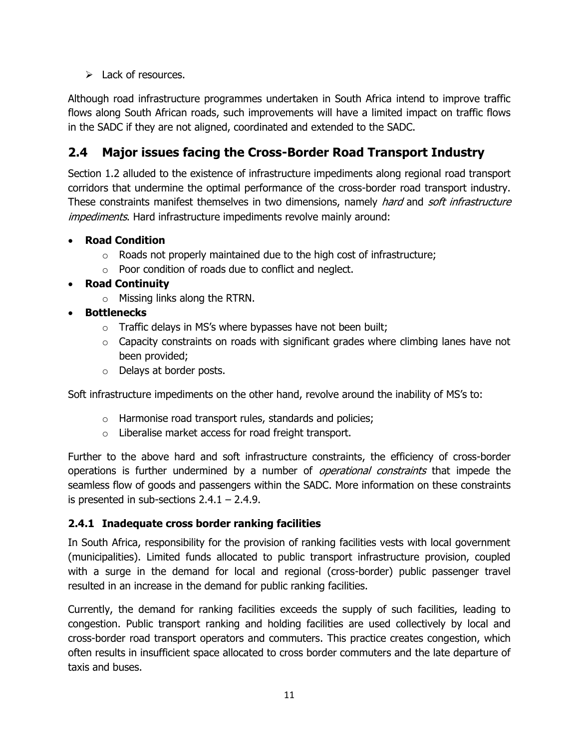$\triangleright$  Lack of resources.

Although road infrastructure programmes undertaken in South Africa intend to improve traffic flows along South African roads, such improvements will have a limited impact on traffic flows in the SADC if they are not aligned, coordinated and extended to the SADC.

## <span id="page-21-0"></span>**2.4 Major issues facing the Cross-Border Road Transport Industry**

Section 1.2 alluded to the existence of infrastructure impediments along regional road transport corridors that undermine the optimal performance of the cross-border road transport industry. These constraints manifest themselves in two dimensions, namely *hard* and *soft infrastructure* impediments. Hard infrastructure impediments revolve mainly around:

#### **Road Condition**

- $\circ$  Roads not properly maintained due to the high cost of infrastructure;
- o Poor condition of roads due to conflict and neglect.

#### **Road Continuity**

o Missing links along the RTRN.

#### **Bottlenecks**

- $\circ$  Traffic delays in MS's where bypasses have not been built;
- $\circ$  Capacity constraints on roads with significant grades where climbing lanes have not been provided;
- o Delays at border posts.

Soft infrastructure impediments on the other hand, revolve around the inability of MS's to:

- o Harmonise road transport rules, standards and policies;
- o Liberalise market access for road freight transport.

Further to the above hard and soft infrastructure constraints, the efficiency of cross-border operations is further undermined by a number of *operational constraints* that impede the seamless flow of goods and passengers within the SADC. More information on these constraints is presented in sub-sections  $2.4.1 - 2.4.9$ .

#### <span id="page-21-1"></span>**2.4.1 Inadequate cross border ranking facilities**

In South Africa, responsibility for the provision of ranking facilities vests with local government (municipalities). Limited funds allocated to public transport infrastructure provision, coupled with a surge in the demand for local and regional (cross-border) public passenger travel resulted in an increase in the demand for public ranking facilities.

Currently, the demand for ranking facilities exceeds the supply of such facilities, leading to congestion. Public transport ranking and holding facilities are used collectively by local and cross-border road transport operators and commuters. This practice creates congestion, which often results in insufficient space allocated to cross border commuters and the late departure of taxis and buses.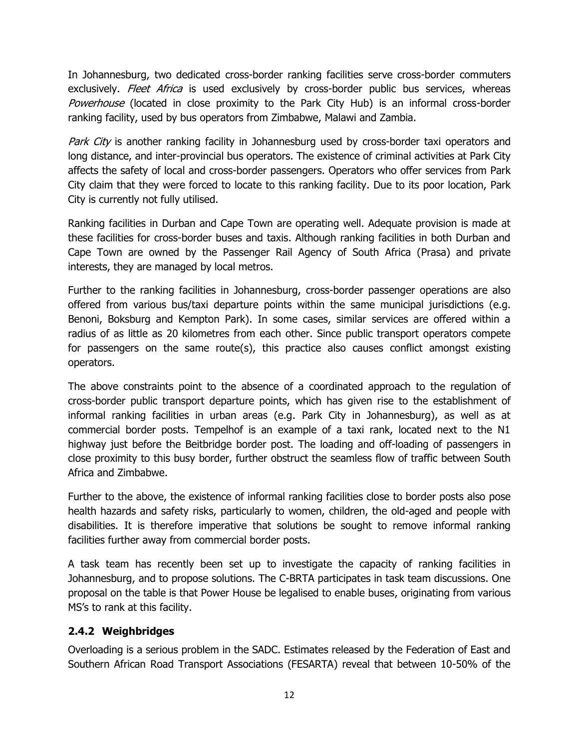In Johannesburg, two dedicated cross-border ranking facilities serve cross-border commuters exclusively. *Fleet Africa* is used exclusively by cross-border public bus services, whereas Powerhouse (located in close proximity to the Park City Hub) is an informal cross-border ranking facility, used by bus operators from Zimbabwe, Malawi and Zambia.

Park City is another ranking facility in Johannesburg used by cross-border taxi operators and long distance, and inter-provincial bus operators. The existence of criminal activities at Park City affects the safety of local and cross-border passengers. Operators who offer services from Park City claim that they were forced to locate to this ranking facility. Due to its poor location, Park City is currently not fully utilised.

Ranking facilities in Durban and Cape Town are operating well. Adequate provision is made at these facilities for cross-border buses and taxis. Although ranking facilities in both Durban and Cape Town are owned by the Passenger Rail Agency of South Africa (Prasa) and private interests, they are managed by local metros.

Further to the ranking facilities in Johannesburg, cross-border passenger operations are also offered from various bus/taxi departure points within the same municipal jurisdictions (e.g. Benoni, Boksburg and Kempton Park). In some cases, similar services are offered within a radius of as little as 20 kilometres from each other. Since public transport operators compete for passengers on the same route(s), this practice also causes conflict amongst existing operators.

The above constraints point to the absence of a coordinated approach to the regulation of cross-border public transport departure points, which has given rise to the establishment of informal ranking facilities in urban areas (e.g. Park City in Johannesburg), as well as at commercial border posts. Tempelhof is an example of a taxi rank, located next to the N1 highway just before the Beitbridge border post. The loading and off-loading of passengers in close proximity to this busy border, further obstruct the seamless flow of traffic between South Africa and Zimbabwe.

Further to the above, the existence of informal ranking facilities close to border posts also pose health hazards and safety risks, particularly to women, children, the old-aged and people with disabilities. It is therefore imperative that solutions be sought to remove informal ranking facilities further away from commercial border posts.

A task team has recently been set up to investigate the capacity of ranking facilities in Johannesburg, and to propose solutions. The C-BRTA participates in task team discussions. One proposal on the table is that Power House be legalised to enable buses, originating from various MS's to rank at this facility.

#### <span id="page-22-0"></span>**2.4.2 Weighbridges**

Overloading is a serious problem in the SADC. Estimates released by the Federation of East and Southern African Road Transport Associations (FESARTA) reveal that between 10-50% of the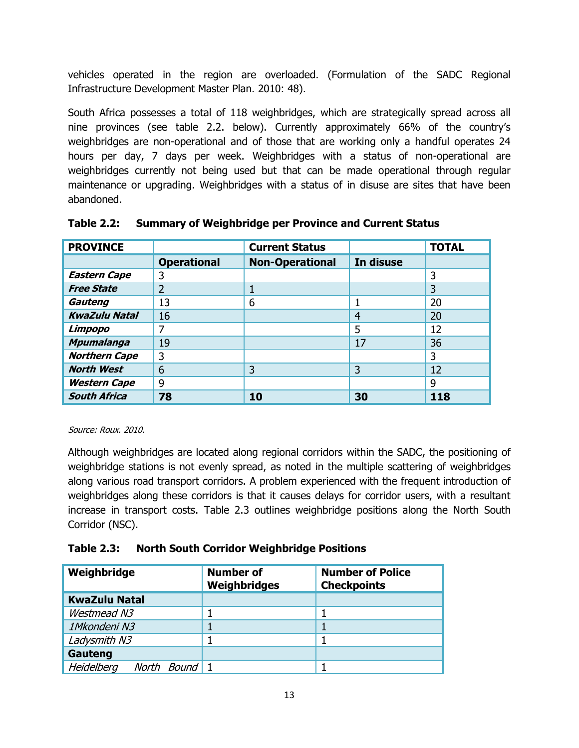vehicles operated in the region are overloaded. (Formulation of the SADC Regional Infrastructure Development Master Plan. 2010: 48).

South Africa possesses a total of 118 weighbridges, which are strategically spread across all nine provinces (see table 2.2. below). Currently approximately 66% of the country's weighbridges are non-operational and of those that are working only a handful operates 24 hours per day, 7 days per week. Weighbridges with a status of non-operational are weighbridges currently not being used but that can be made operational through regular maintenance or upgrading. Weighbridges with a status of in disuse are sites that have been abandoned.

| <b>PROVINCE</b>      |                    | <b>Current Status</b>  |           | <b>TOTAL</b> |
|----------------------|--------------------|------------------------|-----------|--------------|
|                      | <b>Operational</b> | <b>Non-Operational</b> | In disuse |              |
| <b>Eastern Cape</b>  | 3                  |                        |           | 3            |
| <b>Free State</b>    | C                  |                        |           | 3            |
| Gauteng              | 13                 | 6                      |           | 20           |
| <b>KwaZulu Natal</b> | 16                 |                        | 4         | 20           |
| Limpopo              | 7                  |                        | 5         | 12           |
| <b>Mpumalanga</b>    | 19                 |                        | 17        | 36           |
| <b>Northern Cape</b> | 3                  |                        |           | 3            |
| <b>North West</b>    | 6                  | 3                      | 3         | 12           |
| <b>Western Cape</b>  | 9                  |                        |           | 9            |
| <b>South Africa</b>  | 78                 | 10                     | 30        | 118          |

#### **Table 2.2: Summary of Weighbridge per Province and Current Status**

#### Source: Roux. 2010.

Although weighbridges are located along regional corridors within the SADC, the positioning of weighbridge stations is not evenly spread, as noted in the multiple scattering of weighbridges along various road transport corridors. A problem experienced with the frequent introduction of weighbridges along these corridors is that it causes delays for corridor users, with a resultant increase in transport costs. Table 2.3 outlines weighbridge positions along the North South Corridor (NSC).

#### **Table 2.3: North South Corridor Weighbridge Positions**

| Weighbridge                 | <b>Number of</b><br>Weighbridges | <b>Number of Police</b><br><b>Checkpoints</b> |
|-----------------------------|----------------------------------|-----------------------------------------------|
| <b>KwaZulu Natal</b>        |                                  |                                               |
| Westmead N3                 |                                  |                                               |
| 1Mkondeni N3                |                                  |                                               |
| Ladysmith N3                |                                  |                                               |
| Gauteng                     |                                  |                                               |
| Heidelberg<br>North Bound 1 |                                  |                                               |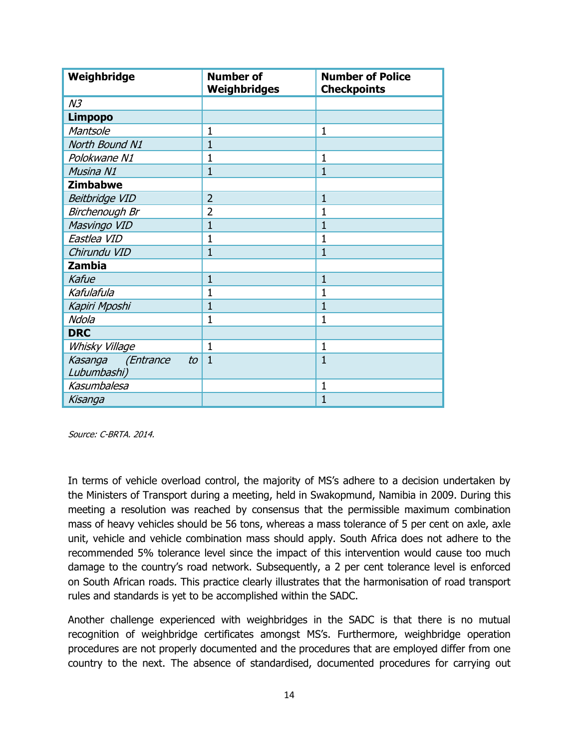| Weighbridge             | <b>Number of</b><br>Weighbridges | <b>Number of Police</b><br><b>Checkpoints</b> |
|-------------------------|----------------------------------|-----------------------------------------------|
| N <sub>3</sub>          |                                  |                                               |
| <b>Limpopo</b>          |                                  |                                               |
| Mantsole                | $\mathbf{1}$                     | $\mathbf{1}$                                  |
| North Bound N1          | 1                                |                                               |
| Polokwane N1            | 1                                | 1                                             |
| Musina N1               | $\mathbf{1}$                     | $\mathbf{1}$                                  |
| <b>Zimbabwe</b>         |                                  |                                               |
| <b>Beitbridge VID</b>   | $\overline{2}$                   | $\mathbf{1}$                                  |
| Birchenough Br          | $\overline{2}$                   | $\mathbf{1}$                                  |
| Masvingo VID            | $\mathbf{1}$                     | 1                                             |
| Eastlea VID             | 1                                | 1                                             |
| Chirundu VID            | $\mathbf{1}$                     | $\mathbf{1}$                                  |
| <b>Zambia</b>           |                                  |                                               |
| Kafue                   | $\mathbf{1}$                     | $\mathbf{1}$                                  |
| Kafulafula              | $\mathbf{1}$                     | $\mathbf{1}$                                  |
| Kapiri Mposhi           | $\mathbf{1}$                     | 1                                             |
| Ndola                   | $\mathbf{1}$                     | $\mathbf{1}$                                  |
| <b>DRC</b>              |                                  |                                               |
| Whisky Village          | $\mathbf{1}$                     | $\mathbf{1}$                                  |
| Kasanga (Entrance<br>to | $\mathbf{1}$                     | $\overline{1}$                                |
| Lubumbashi)             |                                  |                                               |
| Kasumbalesa             |                                  | $\mathbf{1}$                                  |
| Kisanga                 |                                  | $\overline{1}$                                |

Source: C-BRTA. 2014.

In terms of vehicle overload control, the majority of MS's adhere to a decision undertaken by the Ministers of Transport during a meeting, held in Swakopmund, Namibia in 2009. During this meeting a resolution was reached by consensus that the permissible maximum combination mass of heavy vehicles should be 56 tons, whereas a mass tolerance of 5 per cent on axle, axle unit, vehicle and vehicle combination mass should apply. South Africa does not adhere to the recommended 5% tolerance level since the impact of this intervention would cause too much damage to the country's road network. Subsequently, a 2 per cent tolerance level is enforced on South African roads. This practice clearly illustrates that the harmonisation of road transport rules and standards is yet to be accomplished within the SADC.

Another challenge experienced with weighbridges in the SADC is that there is no mutual recognition of weighbridge certificates amongst MS's. Furthermore, weighbridge operation procedures are not properly documented and the procedures that are employed differ from one country to the next. The absence of standardised, documented procedures for carrying out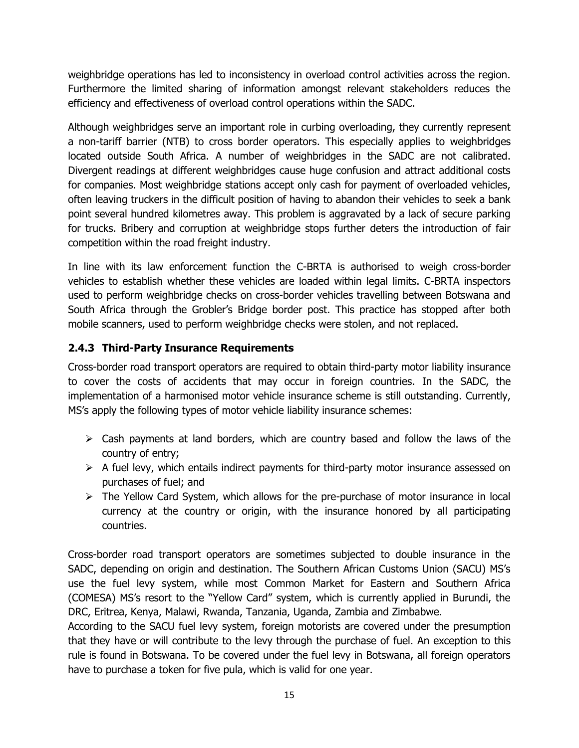weighbridge operations has led to inconsistency in overload control activities across the region. Furthermore the limited sharing of information amongst relevant stakeholders reduces the efficiency and effectiveness of overload control operations within the SADC.

Although weighbridges serve an important role in curbing overloading, they currently represent a non-tariff barrier (NTB) to cross border operators. This especially applies to weighbridges located outside South Africa. A number of weighbridges in the SADC are not calibrated. Divergent readings at different weighbridges cause huge confusion and attract additional costs for companies. Most weighbridge stations accept only cash for payment of overloaded vehicles, often leaving truckers in the difficult position of having to abandon their vehicles to seek a bank point several hundred kilometres away. This problem is aggravated by a lack of secure parking for trucks. Bribery and corruption at weighbridge stops further deters the introduction of fair competition within the road freight industry.

In line with its law enforcement function the C-BRTA is authorised to weigh cross-border vehicles to establish whether these vehicles are loaded within legal limits. C-BRTA inspectors used to perform weighbridge checks on cross-border vehicles travelling between Botswana and South Africa through the Grobler's Bridge border post. This practice has stopped after both mobile scanners, used to perform weighbridge checks were stolen, and not replaced.

#### <span id="page-25-0"></span>**2.4.3 Third-Party Insurance Requirements**

Cross-border road transport operators are required to obtain third-party motor liability insurance to cover the costs of accidents that may occur in foreign countries. In the SADC, the implementation of a harmonised motor vehicle insurance scheme is still outstanding. Currently, MS's apply the following types of motor vehicle liability insurance schemes:

- $\triangleright$  Cash payments at land borders, which are country based and follow the laws of the country of entry;
- $\triangleright$  A fuel levy, which entails indirect payments for third-party motor insurance assessed on purchases of fuel; and
- $\triangleright$  The Yellow Card System, which allows for the pre-purchase of motor insurance in local currency at the country or origin, with the insurance honored by all participating countries.

Cross-border road transport operators are sometimes subjected to double insurance in the SADC, depending on origin and destination. The Southern African Customs Union (SACU) MS's use the fuel levy system, while most Common Market for Eastern and Southern Africa (COMESA) MS's resort to the "Yellow Card" system, which is currently applied in Burundi, the DRC, Eritrea, Kenya, Malawi, Rwanda, Tanzania, Uganda, Zambia and Zimbabwe.

According to the SACU fuel levy system, foreign motorists are covered under the presumption that they have or will contribute to the levy through the purchase of fuel. An exception to this rule is found in Botswana. To be covered under the fuel levy in Botswana, all foreign operators have to purchase a token for five pula, which is valid for one year.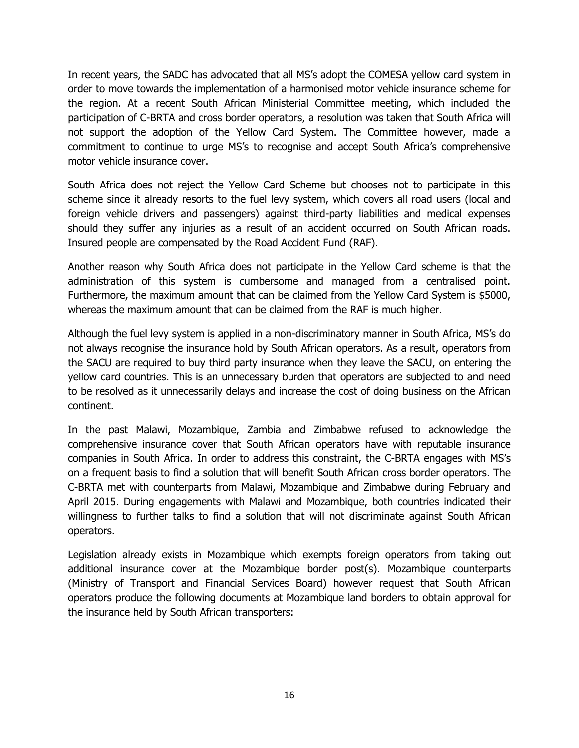In recent years, the SADC has advocated that all MS's adopt the COMESA yellow card system in order to move towards the implementation of a harmonised motor vehicle insurance scheme for the region. At a recent South African Ministerial Committee meeting, which included the participation of C-BRTA and cross border operators, a resolution was taken that South Africa will not support the adoption of the Yellow Card System. The Committee however, made a commitment to continue to urge MS's to recognise and accept South Africa's comprehensive motor vehicle insurance cover.

South Africa does not reject the Yellow Card Scheme but chooses not to participate in this scheme since it already resorts to the fuel levy system, which covers all road users (local and foreign vehicle drivers and passengers) against third-party liabilities and medical expenses should they suffer any injuries as a result of an accident occurred on South African roads. Insured people are compensated by the Road Accident Fund (RAF).

Another reason why South Africa does not participate in the Yellow Card scheme is that the administration of this system is cumbersome and managed from a centralised point. Furthermore, the maximum amount that can be claimed from the Yellow Card System is \$5000, whereas the maximum amount that can be claimed from the RAF is much higher.

Although the fuel levy system is applied in a non-discriminatory manner in South Africa, MS's do not always recognise the insurance hold by South African operators. As a result, operators from the SACU are required to buy third party insurance when they leave the SACU, on entering the yellow card countries. This is an unnecessary burden that operators are subjected to and need to be resolved as it unnecessarily delays and increase the cost of doing business on the African continent.

In the past Malawi, Mozambique, Zambia and Zimbabwe refused to acknowledge the comprehensive insurance cover that South African operators have with reputable insurance companies in South Africa. In order to address this constraint, the C-BRTA engages with MS's on a frequent basis to find a solution that will benefit South African cross border operators. The C-BRTA met with counterparts from Malawi, Mozambique and Zimbabwe during February and April 2015. During engagements with Malawi and Mozambique, both countries indicated their willingness to further talks to find a solution that will not discriminate against South African operators.

Legislation already exists in Mozambique which exempts foreign operators from taking out additional insurance cover at the Mozambique border post(s). Mozambique counterparts (Ministry of Transport and Financial Services Board) however request that South African operators produce the following documents at Mozambique land borders to obtain approval for the insurance held by South African transporters: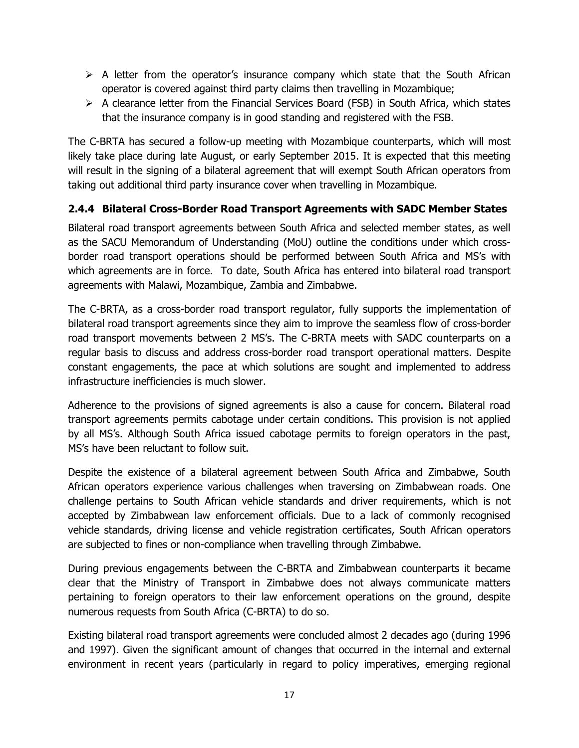- $\triangleright$  A letter from the operator's insurance company which state that the South African operator is covered against third party claims then travelling in Mozambique;
- $\triangleright$  A clearance letter from the Financial Services Board (FSB) in South Africa, which states that the insurance company is in good standing and registered with the FSB.

The C-BRTA has secured a follow-up meeting with Mozambique counterparts, which will most likely take place during late August, or early September 2015. It is expected that this meeting will result in the signing of a bilateral agreement that will exempt South African operators from taking out additional third party insurance cover when travelling in Mozambique.

#### <span id="page-27-0"></span>**2.4.4 Bilateral Cross-Border Road Transport Agreements with SADC Member States**

Bilateral road transport agreements between South Africa and selected member states, as well as the SACU Memorandum of Understanding (MoU) outline the conditions under which crossborder road transport operations should be performed between South Africa and MS's with which agreements are in force. To date, South Africa has entered into bilateral road transport agreements with Malawi, Mozambique, Zambia and Zimbabwe.

The C-BRTA, as a cross-border road transport regulator, fully supports the implementation of bilateral road transport agreements since they aim to improve the seamless flow of cross-border road transport movements between 2 MS's. The C-BRTA meets with SADC counterparts on a regular basis to discuss and address cross-border road transport operational matters. Despite constant engagements, the pace at which solutions are sought and implemented to address infrastructure inefficiencies is much slower.

Adherence to the provisions of signed agreements is also a cause for concern. Bilateral road transport agreements permits cabotage under certain conditions. This provision is not applied by all MS's. Although South Africa issued cabotage permits to foreign operators in the past, MS's have been reluctant to follow suit.

Despite the existence of a bilateral agreement between South Africa and Zimbabwe, South African operators experience various challenges when traversing on Zimbabwean roads. One challenge pertains to South African vehicle standards and driver requirements, which is not accepted by Zimbabwean law enforcement officials. Due to a lack of commonly recognised vehicle standards, driving license and vehicle registration certificates, South African operators are subjected to fines or non-compliance when travelling through Zimbabwe.

During previous engagements between the C-BRTA and Zimbabwean counterparts it became clear that the Ministry of Transport in Zimbabwe does not always communicate matters pertaining to foreign operators to their law enforcement operations on the ground, despite numerous requests from South Africa (C-BRTA) to do so.

Existing bilateral road transport agreements were concluded almost 2 decades ago (during 1996 and 1997). Given the significant amount of changes that occurred in the internal and external environment in recent years (particularly in regard to policy imperatives, emerging regional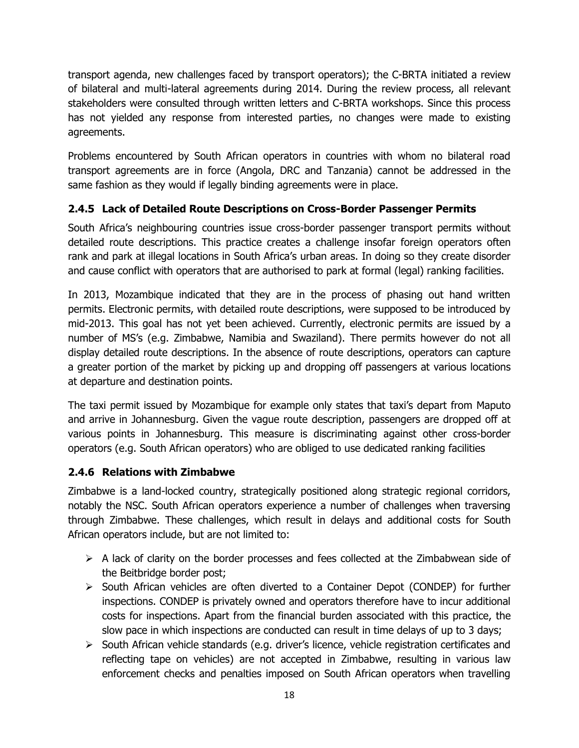transport agenda, new challenges faced by transport operators); the C-BRTA initiated a review of bilateral and multi-lateral agreements during 2014. During the review process, all relevant stakeholders were consulted through written letters and C-BRTA workshops. Since this process has not yielded any response from interested parties, no changes were made to existing agreements.

Problems encountered by South African operators in countries with whom no bilateral road transport agreements are in force (Angola, DRC and Tanzania) cannot be addressed in the same fashion as they would if legally binding agreements were in place.

#### <span id="page-28-0"></span>**2.4.5 Lack of Detailed Route Descriptions on Cross-Border Passenger Permits**

South Africa's neighbouring countries issue cross-border passenger transport permits without detailed route descriptions. This practice creates a challenge insofar foreign operators often rank and park at illegal locations in South Africa's urban areas. In doing so they create disorder and cause conflict with operators that are authorised to park at formal (legal) ranking facilities.

In 2013, Mozambique indicated that they are in the process of phasing out hand written permits. Electronic permits, with detailed route descriptions, were supposed to be introduced by mid-2013. This goal has not yet been achieved. Currently, electronic permits are issued by a number of MS's (e.g. Zimbabwe, Namibia and Swaziland). There permits however do not all display detailed route descriptions. In the absence of route descriptions, operators can capture a greater portion of the market by picking up and dropping off passengers at various locations at departure and destination points.

The taxi permit issued by Mozambique for example only states that taxi's depart from Maputo and arrive in Johannesburg. Given the vague route description, passengers are dropped off at various points in Johannesburg. This measure is discriminating against other cross-border operators (e.g. South African operators) who are obliged to use dedicated ranking facilities

#### <span id="page-28-1"></span>**2.4.6 Relations with Zimbabwe**

Zimbabwe is a land-locked country, strategically positioned along strategic regional corridors, notably the NSC. South African operators experience a number of challenges when traversing through Zimbabwe. These challenges, which result in delays and additional costs for South African operators include, but are not limited to:

- $\triangleright$  A lack of clarity on the border processes and fees collected at the Zimbabwean side of the Beitbridge border post;
- $\triangleright$  South African vehicles are often diverted to a Container Depot (CONDEP) for further inspections. CONDEP is privately owned and operators therefore have to incur additional costs for inspections. Apart from the financial burden associated with this practice, the slow pace in which inspections are conducted can result in time delays of up to 3 days;
- $\triangleright$  South African vehicle standards (e.g. driver's licence, vehicle registration certificates and reflecting tape on vehicles) are not accepted in Zimbabwe, resulting in various law enforcement checks and penalties imposed on South African operators when travelling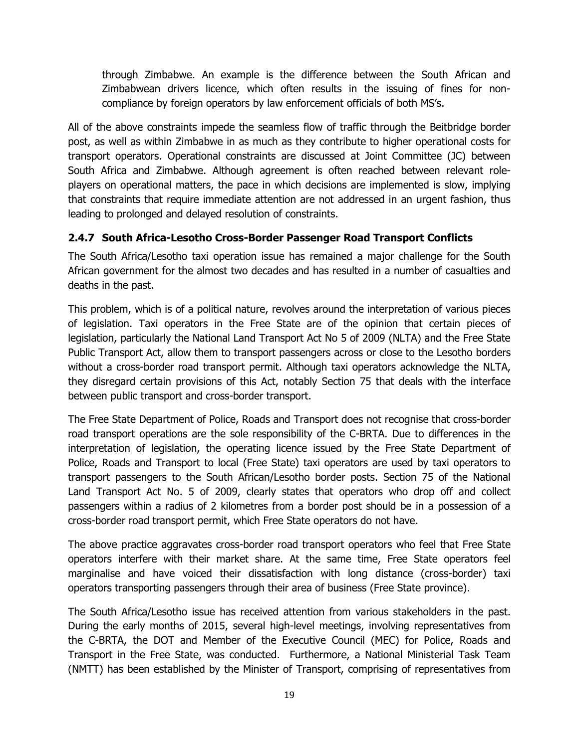through Zimbabwe. An example is the difference between the South African and Zimbabwean drivers licence, which often results in the issuing of fines for noncompliance by foreign operators by law enforcement officials of both MS's.

All of the above constraints impede the seamless flow of traffic through the Beitbridge border post, as well as within Zimbabwe in as much as they contribute to higher operational costs for transport operators. Operational constraints are discussed at Joint Committee (JC) between South Africa and Zimbabwe. Although agreement is often reached between relevant roleplayers on operational matters, the pace in which decisions are implemented is slow, implying that constraints that require immediate attention are not addressed in an urgent fashion, thus leading to prolonged and delayed resolution of constraints.

#### <span id="page-29-0"></span>**2.4.7 South Africa-Lesotho Cross-Border Passenger Road Transport Conflicts**

The South Africa/Lesotho taxi operation issue has remained a major challenge for the South African government for the almost two decades and has resulted in a number of casualties and deaths in the past.

This problem, which is of a political nature, revolves around the interpretation of various pieces of legislation. Taxi operators in the Free State are of the opinion that certain pieces of legislation, particularly the National Land Transport Act No 5 of 2009 (NLTA) and the Free State Public Transport Act, allow them to transport passengers across or close to the Lesotho borders without a cross-border road transport permit. Although taxi operators acknowledge the NLTA, they disregard certain provisions of this Act, notably Section 75 that deals with the interface between public transport and cross-border transport.

The Free State Department of Police, Roads and Transport does not recognise that cross-border road transport operations are the sole responsibility of the C-BRTA. Due to differences in the interpretation of legislation, the operating licence issued by the Free State Department of Police, Roads and Transport to local (Free State) taxi operators are used by taxi operators to transport passengers to the South African/Lesotho border posts. Section 75 of the National Land Transport Act No. 5 of 2009, clearly states that operators who drop off and collect passengers within a radius of 2 kilometres from a border post should be in a possession of a cross-border road transport permit, which Free State operators do not have.

The above practice aggravates cross-border road transport operators who feel that Free State operators interfere with their market share. At the same time, Free State operators feel marginalise and have voiced their dissatisfaction with long distance (cross-border) taxi operators transporting passengers through their area of business (Free State province).

The South Africa/Lesotho issue has received attention from various stakeholders in the past. During the early months of 2015, several high-level meetings, involving representatives from the C-BRTA, the DOT and Member of the Executive Council (MEC) for Police, Roads and Transport in the Free State, was conducted. Furthermore, a National Ministerial Task Team (NMTT) has been established by the Minister of Transport, comprising of representatives from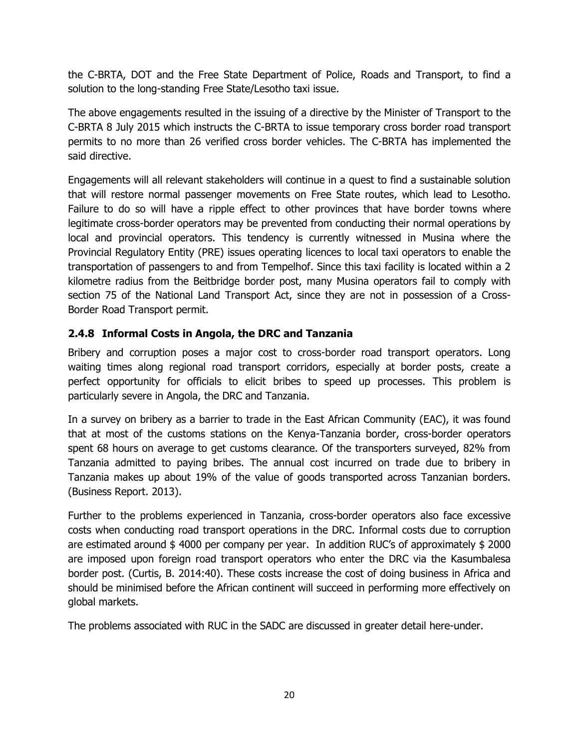the C-BRTA, DOT and the Free State Department of Police, Roads and Transport, to find a solution to the long-standing Free State/Lesotho taxi issue.

The above engagements resulted in the issuing of a directive by the Minister of Transport to the C-BRTA 8 July 2015 which instructs the C-BRTA to issue temporary cross border road transport permits to no more than 26 verified cross border vehicles. The C-BRTA has implemented the said directive.

Engagements will all relevant stakeholders will continue in a quest to find a sustainable solution that will restore normal passenger movements on Free State routes, which lead to Lesotho. Failure to do so will have a ripple effect to other provinces that have border towns where legitimate cross-border operators may be prevented from conducting their normal operations by local and provincial operators. This tendency is currently witnessed in Musina where the Provincial Regulatory Entity (PRE) issues operating licences to local taxi operators to enable the transportation of passengers to and from Tempelhof. Since this taxi facility is located within a 2 kilometre radius from the Beitbridge border post, many Musina operators fail to comply with section 75 of the National Land Transport Act, since they are not in possession of a Cross-Border Road Transport permit.

#### <span id="page-30-0"></span>**2.4.8 Informal Costs in Angola, the DRC and Tanzania**

Bribery and corruption poses a major cost to cross-border road transport operators. Long waiting times along regional road transport corridors, especially at border posts, create a perfect opportunity for officials to elicit bribes to speed up processes. This problem is particularly severe in Angola, the DRC and Tanzania.

In a survey on bribery as a barrier to trade in the East African Community (EAC), it was found that at most of the customs stations on the Kenya-Tanzania border, cross-border operators spent 68 hours on average to get customs clearance. Of the transporters surveyed, 82% from Tanzania admitted to paying bribes. The annual cost incurred on trade due to bribery in Tanzania makes up about 19% of the value of goods transported across Tanzanian borders. (Business Report. 2013).

Further to the problems experienced in Tanzania, cross-border operators also face excessive costs when conducting road transport operations in the DRC. Informal costs due to corruption are estimated around \$4000 per company per year. In addition RUC's of approximately \$2000 are imposed upon foreign road transport operators who enter the DRC via the Kasumbalesa border post. (Curtis, B. 2014:40). These costs increase the cost of doing business in Africa and should be minimised before the African continent will succeed in performing more effectively on global markets.

The problems associated with RUC in the SADC are discussed in greater detail here-under.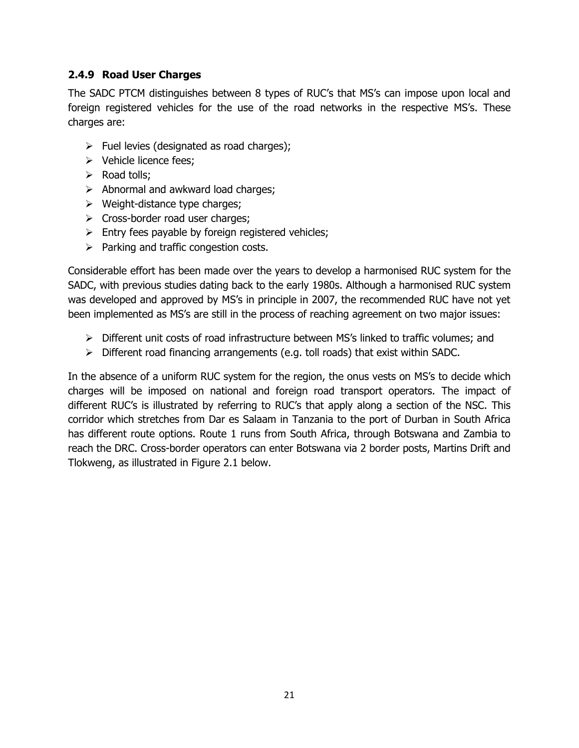#### <span id="page-31-0"></span>**2.4.9 Road User Charges**

The SADC PTCM distinguishes between 8 types of RUC's that MS's can impose upon local and foreign registered vehicles for the use of the road networks in the respective MS's. These charges are:

- $\triangleright$  Fuel levies (designated as road charges);
- **▶ Vehicle licence fees;**
- $\triangleright$  Road tolls;
- $\triangleright$  Abnormal and awkward load charges;
- $\triangleright$  Weight-distance type charges;
- $\triangleright$  Cross-border road user charges;
- $\triangleright$  Entry fees payable by foreign registered vehicles;
- $\triangleright$  Parking and traffic congestion costs.

Considerable effort has been made over the years to develop a harmonised RUC system for the SADC, with previous studies dating back to the early 1980s. Although a harmonised RUC system was developed and approved by MS's in principle in 2007, the recommended RUC have not yet been implemented as MS's are still in the process of reaching agreement on two major issues:

- $\triangleright$  Different unit costs of road infrastructure between MS's linked to traffic volumes; and
- $\triangleright$  Different road financing arrangements (e.g. toll roads) that exist within SADC.

In the absence of a uniform RUC system for the region, the onus vests on MS's to decide which charges will be imposed on national and foreign road transport operators. The impact of different RUC's is illustrated by referring to RUC's that apply along a section of the NSC. This corridor which stretches from Dar es Salaam in Tanzania to the port of Durban in South Africa has different route options. Route 1 runs from South Africa, through Botswana and Zambia to reach the DRC. Cross-border operators can enter Botswana via 2 border posts, Martins Drift and Tlokweng, as illustrated in Figure 2.1 below.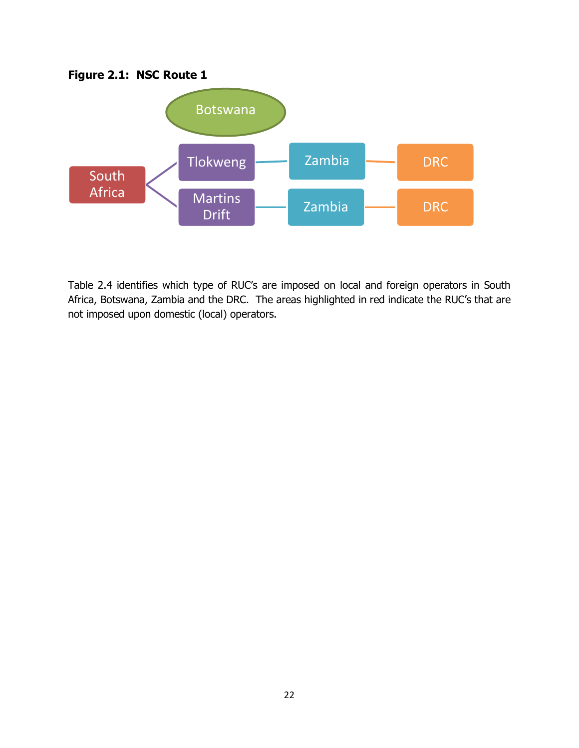



Table 2.4 identifies which type of RUC's are imposed on local and foreign operators in South Africa, Botswana, Zambia and the DRC. The areas highlighted in red indicate the RUC's that are not imposed upon domestic (local) operators.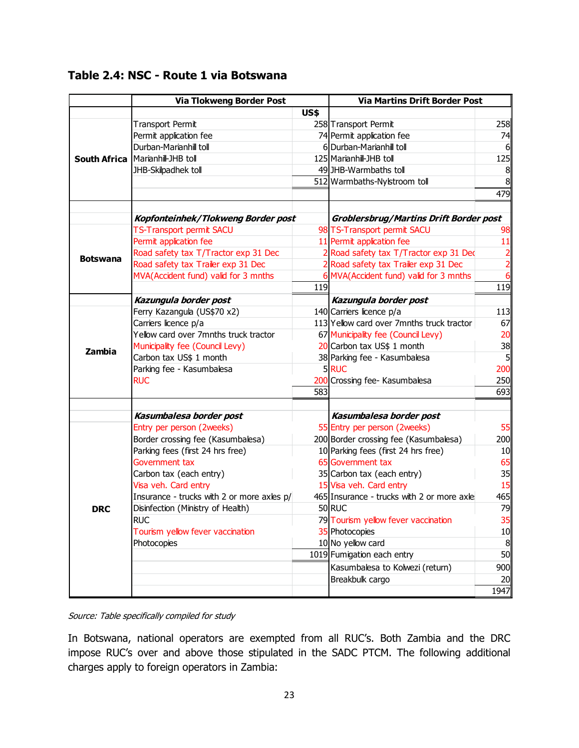## **Table 2.4: NSC - Route 1 via Botswana**

|            | <b>Via Tlokweng Border Post</b>                            |             | <b>Via Martins Drift Border Post</b>                                  |                      |
|------------|------------------------------------------------------------|-------------|-----------------------------------------------------------------------|----------------------|
|            |                                                            | <b>US\$</b> |                                                                       |                      |
|            | <b>Transport Permit</b>                                    |             | 258 Transport Permit                                                  | 258                  |
|            | Permit application fee                                     |             | 74 Permit application fee                                             | 74                   |
|            | Durban-Marianhill toll                                     |             | 6 Durban-Marianhill toll                                              | 6                    |
|            | South Africa   Marianhill-JHB toll                         |             | 125 Marianhill-JHB toll                                               | 125                  |
|            | JHB-Skilpadhek toll                                        |             | 49 JHB-Warmbaths toll                                                 | 8                    |
|            |                                                            |             | 512 Warmbaths-Nylstroom toll                                          | 8                    |
|            |                                                            |             |                                                                       | 479                  |
|            | Kopfonteinhek/Tlokweng Border post                         |             | <b>Groblersbrug/Martins Drift Border post</b>                         |                      |
|            | <b>TS-Transport permit SACU</b>                            |             | 98 TS-Transport permit SACU                                           | 98                   |
|            | Permit application fee                                     |             | 11 Permit application fee                                             | 11                   |
|            | Road safety tax T/Tractor exp 31 Dec                       |             | 2 Road safety tax T/Tractor exp 31 Dec                                |                      |
| Botswana   | Road safety tax Trailer exp 31 Dec                         |             | 2 Road safety tax Trailer exp 31 Dec                                  | $\frac{2}{2}$        |
|            | MVA(Accident fund) valid for 3 mnths                       |             | 6 MVA(Accident fund) valid for 3 mnths                                | 6                    |
|            |                                                            | 119         |                                                                       | 119                  |
|            |                                                            |             |                                                                       |                      |
|            | Kazungula border post                                      |             | Kazungula border post                                                 | 113                  |
|            | Ferry Kazangula (US\$70 x2)<br>Carriers licence p/a        |             | 140 Carriers licence p/a<br>113 Yellow card over 7mnths truck tractor | 67                   |
|            | Yellow card over 7mnths truck tractor                      |             |                                                                       | 20                   |
| Zambia     |                                                            |             | 67 Municipality fee (Council Levy)<br>20 Carbon tax US\$ 1 month      |                      |
|            | Municipality fee (Council Levy)<br>Carbon tax US\$ 1 month |             |                                                                       | 38<br>5 <sup>1</sup> |
|            |                                                            |             | 38 Parking fee - Kasumbalesa<br>5RUC                                  | 200                  |
|            | Parking fee - Kasumbalesa<br><b>RUC</b>                    |             |                                                                       |                      |
|            |                                                            | 583         | 200 Crossing fee- Kasumbalesa                                         | 250<br>693           |
|            |                                                            |             |                                                                       |                      |
|            | Kasumbalesa border post                                    |             | Kasumbalesa border post                                               |                      |
|            | Entry per person (2weeks)                                  |             | 55 Entry per person (2weeks)                                          | 55                   |
| <b>DRC</b> | Border crossing fee (Kasumbalesa)                          |             | 200 Border crossing fee (Kasumbalesa)                                 | 200                  |
|            | Parking fees (first 24 hrs free)                           |             | 10 Parking fees (first 24 hrs free)                                   | 10                   |
|            | Government tax                                             |             | 65 Government tax                                                     | 65                   |
|            | Carbon tax (each entry)                                    |             | 35 Carbon tax (each entry)                                            | 35                   |
|            | Visa veh. Card entry                                       |             | 15 Visa veh. Card entry                                               | 15                   |
|            | Insurance - trucks with 2 or more axles p/                 |             | 465 Insurance - trucks with 2 or more axle                            | 465                  |
|            | Disinfection (Ministry of Health)                          |             | 50 RUC                                                                | 79                   |
|            | <b>RUC</b>                                                 |             | 79 Tourism yellow fever vaccination                                   | 35                   |
|            | Tourism yellow fever vaccination                           |             | 35 Photocopies                                                        | 10                   |
|            | Photocopies                                                |             | 10 No yellow card                                                     | 8                    |
|            |                                                            |             | 1019 Fumigation each entry                                            | 50                   |
|            |                                                            |             | Kasumbalesa to Kolwezi (return)                                       | 900                  |
|            |                                                            |             | Breakbulk cargo                                                       | 20                   |
|            |                                                            |             |                                                                       | 1947                 |

Source: Table specifically compiled for study

In Botswana, national operators are exempted from all RUC's. Both Zambia and the DRC impose RUC's over and above those stipulated in the SADC PTCM. The following additional charges apply to foreign operators in Zambia: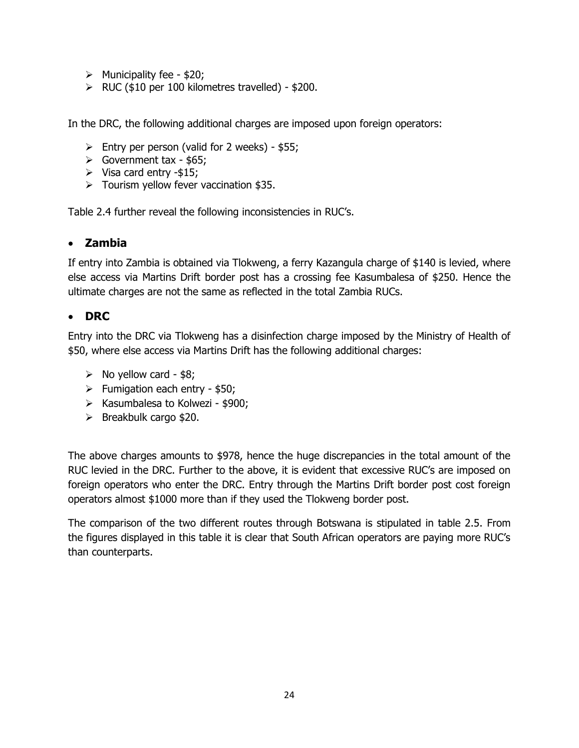- $\triangleright$  Municipality fee \$20;
- $\triangleright$  RUC (\$10 per 100 kilometres travelled) \$200.

In the DRC, the following additional charges are imposed upon foreign operators:

- $\triangleright$  Entry per person (valid for 2 weeks) \$55;
- $\triangleright$  Government tax \$65;
- $\triangleright$  Visa card entry -\$15;
- $\triangleright$  Tourism yellow fever vaccination \$35.

Table 2.4 further reveal the following inconsistencies in RUC's.

#### **Zambia**

If entry into Zambia is obtained via Tlokweng, a ferry Kazangula charge of \$140 is levied, where else access via Martins Drift border post has a crossing fee Kasumbalesa of \$250. Hence the ultimate charges are not the same as reflected in the total Zambia RUCs.

#### **DRC**

Entry into the DRC via Tlokweng has a disinfection charge imposed by the Ministry of Health of \$50, where else access via Martins Drift has the following additional charges:

- $\triangleright$  No yellow card \$8;
- $\triangleright$  Fumigation each entry \$50;
- $\triangleright$  Kasumbalesa to Kolwezi \$900;
- $\triangleright$  Breakbulk cargo \$20.

The above charges amounts to \$978, hence the huge discrepancies in the total amount of the RUC levied in the DRC. Further to the above, it is evident that excessive RUC's are imposed on foreign operators who enter the DRC. Entry through the Martins Drift border post cost foreign operators almost \$1000 more than if they used the Tlokweng border post.

The comparison of the two different routes through Botswana is stipulated in table 2.5. From the figures displayed in this table it is clear that South African operators are paying more RUC's than counterparts.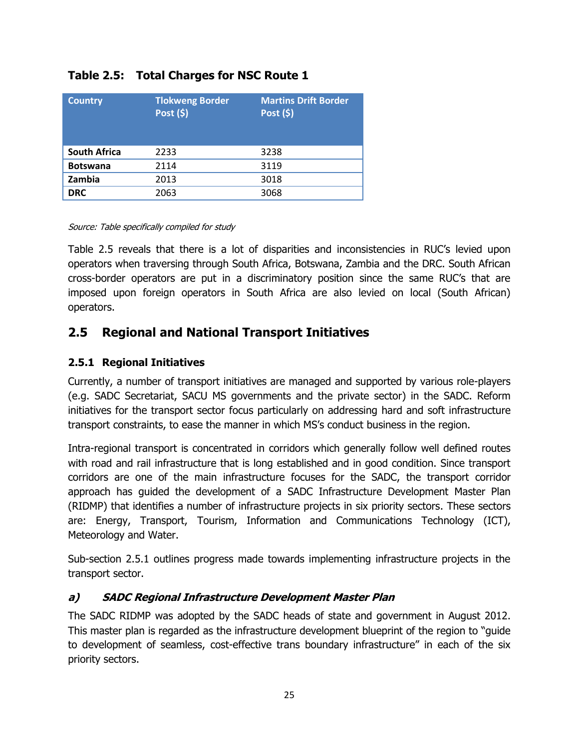| <b>Country</b>      | <b>Tlokweng Border</b><br>Post $(5)$ | <b>Martins Drift Border</b><br>Post (\$) |
|---------------------|--------------------------------------|------------------------------------------|
| <b>South Africa</b> | 2233                                 | 3238                                     |
| <b>Botswana</b>     | 2114                                 | 3119                                     |
| Zambia              | 2013                                 | 3018                                     |
| <b>DRC</b>          | 2063                                 | 3068                                     |

#### **Table 2.5: Total Charges for NSC Route 1**

#### Source: Table specifically compiled for study

Table 2.5 reveals that there is a lot of disparities and inconsistencies in RUC's levied upon operators when traversing through South Africa, Botswana, Zambia and the DRC. South African cross-border operators are put in a discriminatory position since the same RUC's that are imposed upon foreign operators in South Africa are also levied on local (South African) operators.

## <span id="page-35-0"></span>**2.5 Regional and National Transport Initiatives**

#### <span id="page-35-1"></span>**2.5.1 Regional Initiatives**

Currently, a number of transport initiatives are managed and supported by various role-players (e.g. SADC Secretariat, SACU MS governments and the private sector) in the SADC. Reform initiatives for the transport sector focus particularly on addressing hard and soft infrastructure transport constraints, to ease the manner in which MS's conduct business in the region.

Intra-regional transport is concentrated in corridors which generally follow well defined routes with road and rail infrastructure that is long established and in good condition. Since transport corridors are one of the main infrastructure focuses for the SADC, the transport corridor approach has guided the development of a SADC Infrastructure Development Master Plan (RIDMP) that identifies a number of infrastructure projects in six priority sectors. These sectors are: Energy, Transport, Tourism, Information and Communications Technology (ICT), Meteorology and Water.

Sub-section 2.5.1 outlines progress made towards implementing infrastructure projects in the transport sector.

#### **a) SADC Regional Infrastructure Development Master Plan**

The SADC RIDMP was adopted by the SADC heads of state and government in August 2012. This master plan is regarded as the infrastructure development blueprint of the region to "guide" to development of seamless, cost-effective trans boundary infrastructure" in each of the six priority sectors.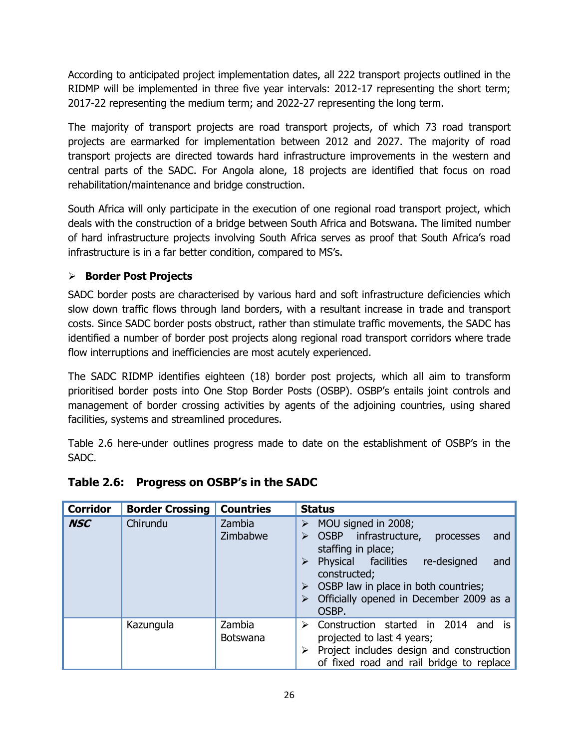According to anticipated project implementation dates, all 222 transport projects outlined in the RIDMP will be implemented in three five year intervals: 2012-17 representing the short term; 2017-22 representing the medium term; and 2022-27 representing the long term.

The majority of transport projects are road transport projects, of which 73 road transport projects are earmarked for implementation between 2012 and 2027. The majority of road transport projects are directed towards hard infrastructure improvements in the western and central parts of the SADC. For Angola alone, 18 projects are identified that focus on road rehabilitation/maintenance and bridge construction.

South Africa will only participate in the execution of one regional road transport project, which deals with the construction of a bridge between South Africa and Botswana. The limited number of hard infrastructure projects involving South Africa serves as proof that South Africa's road infrastructure is in a far better condition, compared to MS's.

## **Border Post Projects**

SADC border posts are characterised by various hard and soft infrastructure deficiencies which slow down traffic flows through land borders, with a resultant increase in trade and transport costs. Since SADC border posts obstruct, rather than stimulate traffic movements, the SADC has identified a number of border post projects along regional road transport corridors where trade flow interruptions and inefficiencies are most acutely experienced.

The SADC RIDMP identifies eighteen (18) border post projects, which all aim to transform prioritised border posts into One Stop Border Posts (OSBP). OSBP's entails joint controls and management of border crossing activities by agents of the adjoining countries, using shared facilities, systems and streamlined procedures.

Table 2.6 here-under outlines progress made to date on the establishment of OSBP's in the SADC.

| <b>Corridor</b> | <b>Border Crossing</b> | <b>Countries</b>          | <b>Status</b>                                                                                                                                                                                                                                                                                                |
|-----------------|------------------------|---------------------------|--------------------------------------------------------------------------------------------------------------------------------------------------------------------------------------------------------------------------------------------------------------------------------------------------------------|
| <b>NSC</b>      | Chirundu               | Zambia<br>Zimbabwe        | MOU signed in 2008;<br>⋗<br><b>OSBP</b><br>infrastructure,<br>processes<br>and<br>➤<br>staffing in place;<br>Physical facilities<br>re-designed<br>and<br>$\blacktriangleright$<br>constructed;<br>$\triangleright$ OSBP law in place in both countries;<br>Officially opened in December 2009 as a<br>OSBP. |
|                 | Kazungula              | Zambia<br><b>Botswana</b> | Construction started in 2014 and is<br>➤<br>projected to last 4 years;<br>Project includes design and construction<br>of fixed road and rail bridge to replace                                                                                                                                               |

## **Table 2.6: Progress on OSBP's in the SADC**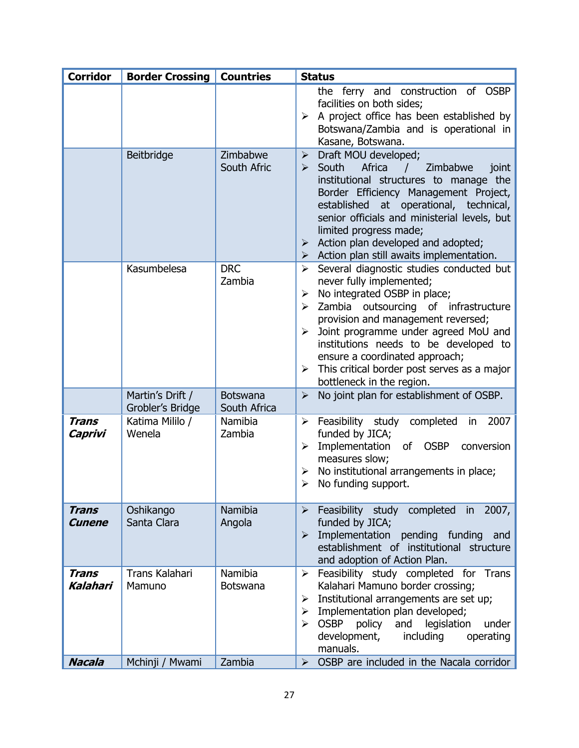| <b>Corridor</b>          | <b>Border Crossing   Countries</b>   |                            | <b>Status</b>                                                                                                                                                                                                                                                                                                                                                                                                                                      |
|--------------------------|--------------------------------------|----------------------------|----------------------------------------------------------------------------------------------------------------------------------------------------------------------------------------------------------------------------------------------------------------------------------------------------------------------------------------------------------------------------------------------------------------------------------------------------|
|                          |                                      |                            | the ferry and construction of OSBP<br>facilities on both sides;<br>A project office has been established by<br>≻<br>Botswana/Zambia and is operational in<br>Kasane, Botswana.                                                                                                                                                                                                                                                                     |
|                          | Beitbridge                           | Zimbabwe<br>South Afric    | Draft MOU developed;<br>$\blacktriangleright$<br>South<br>Africa<br>Zimbabwe<br>$\blacktriangleright$<br>joint<br>$\sqrt{2}$<br>institutional structures to manage the<br>Border Efficiency Management Project,<br>established at operational, technical,<br>senior officials and ministerial levels, but<br>limited progress made;<br>$\triangleright$ Action plan developed and adopted;<br>Action plan still awaits implementation.<br>➤        |
|                          | Kasumbelesa                          | <b>DRC</b><br>Zambia       | Several diagnostic studies conducted but<br>$\blacktriangleright$<br>never fully implemented;<br>No integrated OSBP in place;<br>➤<br>Zambia outsourcing of infrastructure<br>➤<br>provision and management reversed;<br>Joint programme under agreed MoU and<br>$\blacktriangleright$<br>institutions needs to be developed to<br>ensure a coordinated approach;<br>This critical border post serves as a major<br>➤<br>bottleneck in the region. |
|                          | Martin's Drift /<br>Grobler's Bridge | Botswana<br>South Africa   | No joint plan for establishment of OSBP.<br>$\blacktriangleright$                                                                                                                                                                                                                                                                                                                                                                                  |
| <b>Trans</b><br>Caprivi  | Katima Mililo /<br>Wenela            | Namibia<br>Zambia          | $\triangleright$ Feasibility study completed<br>2007<br>in.<br>funded by JICA;<br>Implementation<br>of OSBP<br>$\blacktriangleright$<br>conversion<br>measures slow;<br>No institutional arrangements in place;<br>≻<br>No funding support.<br>➤                                                                                                                                                                                                   |
| <b>Trans</b><br>Cunene   | Oshikango<br>Santa Clara             | Namibia<br>Angola          | $\triangleright$ Feasibility study completed in 2007,<br>funded by JICA;<br>Implementation pending funding<br>and<br>➤<br>establishment of institutional structure<br>and adoption of Action Plan.                                                                                                                                                                                                                                                 |
| <b>Trans</b><br>Kalahari | <b>Trans Kalahari</b><br>Mamuno      | Namibia<br><b>Botswana</b> | Feasibility study completed for Trans<br>➤<br>Kalahari Mamuno border crossing;<br>Institutional arrangements are set up;<br>≻<br>Implementation plan developed;<br>➤<br><b>OSBP</b><br>policy<br>and<br>legislation<br>under<br>⋗<br>development,<br>including<br>operating<br>manuals.                                                                                                                                                            |
| <b>Nacala</b>            | Mchinji / Mwami                      | Zambia                     | OSBP are included in the Nacala corridor<br>$\blacktriangleright$                                                                                                                                                                                                                                                                                                                                                                                  |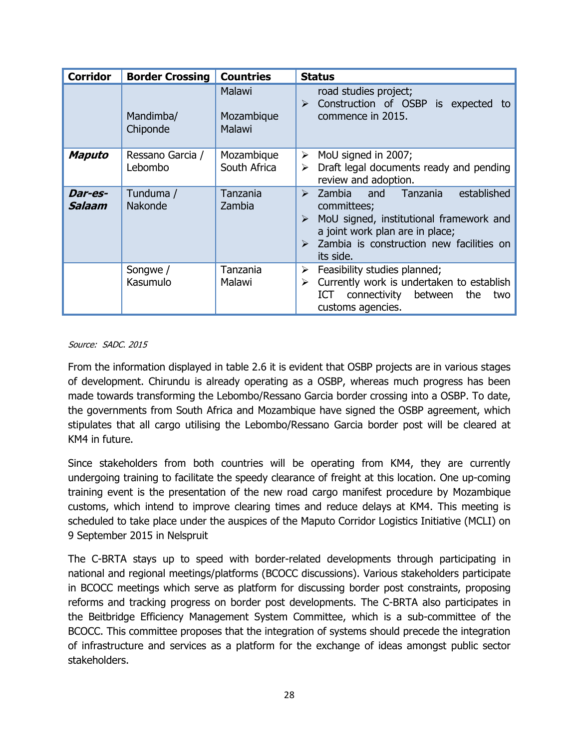| <b>Corridor</b>   | <b>Border Crossing</b>      | <b>Countries</b>                      | <b>Status</b>                                                                                                                                                                                                                                         |
|-------------------|-----------------------------|---------------------------------------|-------------------------------------------------------------------------------------------------------------------------------------------------------------------------------------------------------------------------------------------------------|
|                   | Mandimba/<br>Chiponde       | <b>Malawi</b><br>Mozambique<br>Malawi | road studies project;<br>Construction of OSBP is expected<br>➤<br>to<br>commence in 2015.                                                                                                                                                             |
| <b>Maputo</b>     | Ressano Garcia /<br>Lebombo | Mozambique<br>South Africa            | MoU signed in 2007;<br>➤<br>Draft legal documents ready and pending<br>➤<br>review and adoption.                                                                                                                                                      |
| Dar-es-<br>Salaam | Tunduma /<br>Nakonde        | Tanzania<br>Zambia                    | established<br>and<br>Tanzania<br>Zambia<br>➤<br>committees;<br>MoU signed, institutional framework and<br>$\blacktriangleright$<br>a joint work plan are in place;<br>Zambia is construction new facilities on<br>$\blacktriangleright$<br>its side. |
|                   | Songwe /<br>Kasumulo        | Tanzania<br>Malawi                    | Feasibility studies planned;<br>➤<br>Currently work is undertaken to establish<br>➤<br>between<br>the<br>ICT<br>connectivity<br>two<br>customs agencies.                                                                                              |

#### Source: SADC. 2015

From the information displayed in table 2.6 it is evident that OSBP projects are in various stages of development. Chirundu is already operating as a OSBP, whereas much progress has been made towards transforming the Lebombo/Ressano Garcia border crossing into a OSBP. To date, the governments from South Africa and Mozambique have signed the OSBP agreement, which stipulates that all cargo utilising the Lebombo/Ressano Garcia border post will be cleared at KM4 in future.

Since stakeholders from both countries will be operating from KM4, they are currently undergoing training to facilitate the speedy clearance of freight at this location. One up-coming training event is the presentation of the new road cargo manifest procedure by Mozambique customs, which intend to improve clearing times and reduce delays at KM4. This meeting is scheduled to take place under the auspices of the Maputo Corridor Logistics Initiative (MCLI) on 9 September 2015 in Nelspruit

The C-BRTA stays up to speed with border-related developments through participating in national and regional meetings/platforms (BCOCC discussions). Various stakeholders participate in BCOCC meetings which serve as platform for discussing border post constraints, proposing reforms and tracking progress on border post developments. The C-BRTA also participates in the Beitbridge Efficiency Management System Committee, which is a sub-committee of the BCOCC. This committee proposes that the integration of systems should precede the integration of infrastructure and services as a platform for the exchange of ideas amongst public sector stakeholders.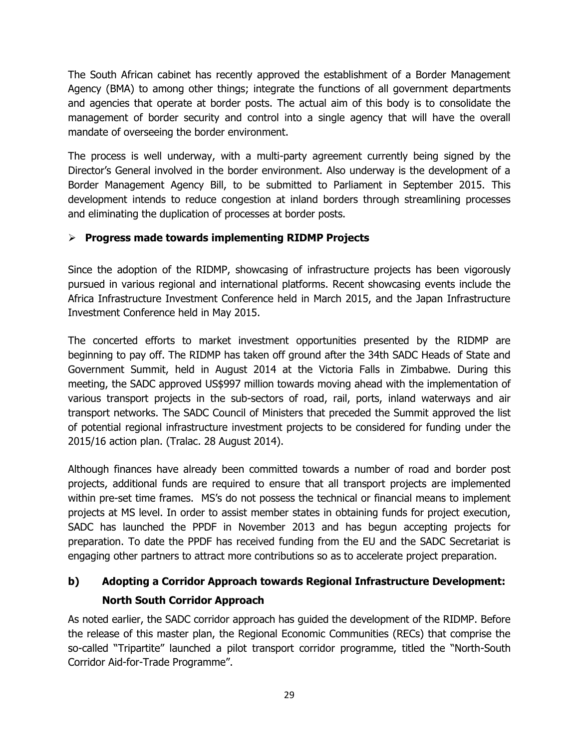The South African cabinet has recently approved the establishment of a Border Management Agency (BMA) to among other things; integrate the functions of all government departments and agencies that operate at border posts. The actual aim of this body is to consolidate the management of border security and control into a single agency that will have the overall mandate of overseeing the border environment.

The process is well underway, with a multi-party agreement currently being signed by the Director's General involved in the border environment. Also underway is the development of a Border Management Agency Bill, to be submitted to Parliament in September 2015. This development intends to reduce congestion at inland borders through streamlining processes and eliminating the duplication of processes at border posts.

## **Progress made towards implementing RIDMP Projects**

Since the adoption of the RIDMP, showcasing of infrastructure projects has been vigorously pursued in various regional and international platforms. Recent showcasing events include the Africa Infrastructure Investment Conference held in March 2015, and the Japan Infrastructure Investment Conference held in May 2015.

The concerted efforts to market investment opportunities presented by the RIDMP are beginning to pay off. The RIDMP has taken off ground after the 34th SADC Heads of State and Government Summit, held in August 2014 at the Victoria Falls in Zimbabwe. During this meeting, the SADC approved US\$997 million towards moving ahead with the implementation of various transport projects in the sub-sectors of road, rail, ports, inland waterways and air transport networks. The SADC Council of Ministers that preceded the Summit approved the list of potential regional infrastructure investment projects to be considered for funding under the 2015/16 action plan. (Tralac. 28 August 2014).

Although finances have already been committed towards a number of road and border post projects, additional funds are required to ensure that all transport projects are implemented within pre-set time frames. MS's do not possess the technical or financial means to implement projects at MS level. In order to assist member states in obtaining funds for project execution, SADC has launched the PPDF in November 2013 and has begun accepting projects for preparation. To date the PPDF has received funding from the EU and the SADC Secretariat is engaging other partners to attract more contributions so as to accelerate project preparation.

# **b) Adopting a Corridor Approach towards Regional Infrastructure Development: North South Corridor Approach**

As noted earlier, the SADC corridor approach has guided the development of the RIDMP. Before the release of this master plan, the Regional Economic Communities (RECs) that comprise the so-called "Tripartite" launched a pilot transport corridor programme, titled the "North-South Corridor Aid-for-Trade Programme".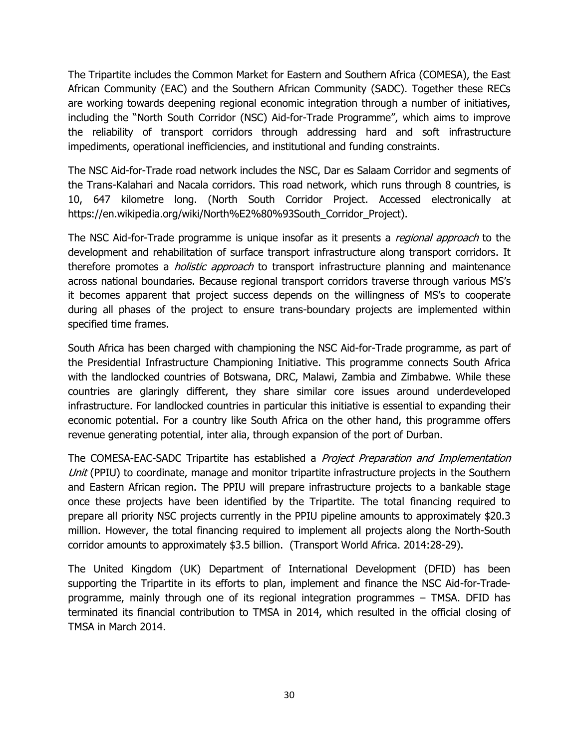The Tripartite includes the Common Market for Eastern and Southern Africa (COMESA), the East African Community (EAC) and the Southern African Community (SADC). Together these RECs are working towards deepening regional economic integration through a number of initiatives, including the "North South Corridor (NSC) Aid-for-Trade Programme", which aims to improve the reliability of transport corridors through addressing hard and soft infrastructure impediments, operational inefficiencies, and institutional and funding constraints.

The NSC Aid-for-Trade road network includes the NSC, Dar es Salaam Corridor and segments of the Trans-Kalahari and Nacala corridors. This road network, which runs through 8 countries, is 10, 647 kilometre long. (North South Corridor Project. Accessed electronically at [https://en.wikipedia.org/wiki/North%E2%80%93South\\_Corridor\\_Project\)](https://en.wikipedia.org/wiki/North%E2%80%93South_Corridor_Project).

The NSC Aid-for-Trade programme is unique insofar as it presents a *regional approach* to the development and rehabilitation of surface transport infrastructure along transport corridors. It therefore promotes a *holistic approach* to transport infrastructure planning and maintenance across national boundaries. Because regional transport corridors traverse through various MS's it becomes apparent that project success depends on the willingness of MS's to cooperate during all phases of the project to ensure trans-boundary projects are implemented within specified time frames.

South Africa has been charged with championing the NSC Aid-for-Trade programme, as part of the Presidential Infrastructure Championing Initiative. This programme connects South Africa with the landlocked countries of Botswana, DRC, Malawi, Zambia and Zimbabwe. While these countries are glaringly different, they share similar core issues around underdeveloped infrastructure. For landlocked countries in particular this initiative is essential to expanding their economic potential. For a country like South Africa on the other hand, this programme offers revenue generating potential, inter alia, through expansion of the port of Durban.

The COMESA-EAC-SADC Tripartite has established a *Project Preparation and Implementation* Unit (PPIU) to coordinate, manage and monitor tripartite infrastructure projects in the Southern and Eastern African region. The PPIU will prepare infrastructure projects to a bankable stage once these projects have been identified by the Tripartite. The total financing required to prepare all priority NSC projects currently in the PPIU pipeline amounts to approximately \$20.3 million. However, the total financing required to implement all projects along the North-South corridor amounts to approximately \$3.5 billion. (Transport World Africa. 2014:28-29).

The United Kingdom (UK) Department of International Development (DFID) has been supporting the Tripartite in its efforts to plan, implement and finance the NSC Aid-for-Tradeprogramme, mainly through one of its regional integration programmes – TMSA. DFID has terminated its financial contribution to TMSA in 2014, which resulted in the official closing of TMSA in March 2014.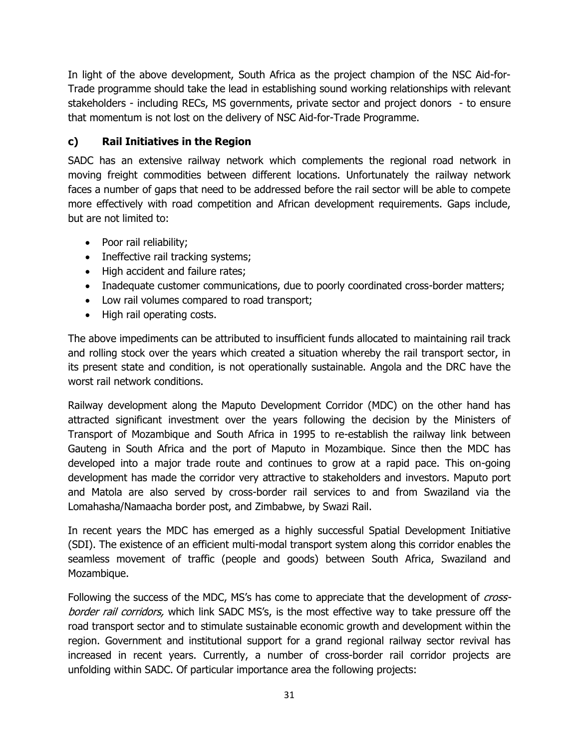In light of the above development, South Africa as the project champion of the NSC Aid-for-Trade programme should take the lead in establishing sound working relationships with relevant stakeholders - including RECs, MS governments, private sector and project donors - to ensure that momentum is not lost on the delivery of NSC Aid-for-Trade Programme.

## **c) Rail Initiatives in the Region**

SADC has an extensive railway network which complements the regional road network in moving freight commodities between different locations. Unfortunately the railway network faces a number of gaps that need to be addressed before the rail sector will be able to compete more effectively with road competition and African development requirements. Gaps include, but are not limited to:

- Poor rail reliability;
- Ineffective rail tracking systems;
- High accident and failure rates:
- Inadequate customer communications, due to poorly coordinated cross-border matters;
- Low rail volumes compared to road transport;
- High rail operating costs.

The above impediments can be attributed to insufficient funds allocated to maintaining rail track and rolling stock over the years which created a situation whereby the rail transport sector, in its present state and condition, is not operationally sustainable. Angola and the DRC have the worst rail network conditions.

Railway development along the Maputo Development Corridor (MDC) on the other hand has attracted significant investment over the years following the decision by the Ministers of Transport of Mozambique and South Africa in 1995 to re-establish the railway link between Gauteng in South Africa and the port of Maputo in Mozambique. Since then the MDC has developed into a major trade route and continues to grow at a rapid pace. This on-going development has made the corridor very attractive to stakeholders and investors. Maputo port and Matola are also served by cross-border rail services to and from Swaziland via the [Lomahasha/Namaacha border post, and Z](http://www.mcli.co.za/mcli-web/mdc/border.htm#swazi)imbabwe, by [Swazi Rail.](http://www.mcli.co.za/mcli-web/members/swazi-rail.htm)

In recent years the MDC has emerged as a highly successful Spatial Development Initiative (SDI). The existence of an efficient multi-modal transport system along this corridor enables the seamless movement of traffic (people and goods) between South Africa, Swaziland and Mozambique.

Following the success of the MDC, MS's has come to appreciate that the development of *cross*border rail corridors, which link SADC MS's, is the most effective way to take pressure off the road transport sector and to stimulate sustainable economic growth and development within the region. Government and institutional support for a grand regional railway sector revival has increased in recent years. Currently, a number of cross-border rail corridor projects are unfolding within SADC. Of particular importance area the following projects: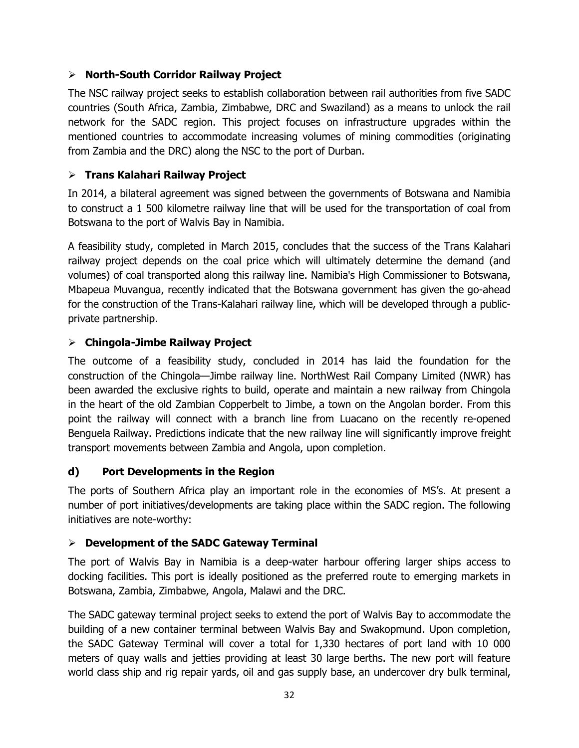### **North-South Corridor Railway Project**

The NSC railway project seeks to establish collaboration between rail authorities from five SADC countries (South Africa, Zambia, Zimbabwe, DRC and Swaziland) as a means to unlock the rail network for the SADC region. This project focuses on infrastructure upgrades within the mentioned countries to accommodate increasing volumes of mining commodities (originating from Zambia and the DRC) along the NSC to the port of Durban.

## **Trans Kalahari Railway Project**

In 2014, a bilateral agreement was signed between the governments of Botswana and Namibia to construct a 1 500 kilometre railway line that will be used for the transportation of coal from Botswana to the port of Walvis Bay in Namibia.

A feasibility study, completed in March 2015, concludes that the success of the Trans Kalahari railway project depends on the coal price which will ultimately determine the demand (and volumes) of coal transported along this railway line. Namibia's High Commissioner to Botswana, Mbapeua Muvangua, recently indicated that the Botswana government has given the go-ahead for the construction of the Trans-Kalahari railway line, which will be developed through a publicprivate partnership.

## **Chingola-Jimbe Railway Project**

The outcome of a feasibility study, concluded in 2014 has laid the foundation for the construction of the Chingola—Jimbe railway line. NorthWest Rail Company Limited (NWR) has been awarded the exclusive rights to build, operate and maintain a new railway from Chingola in the heart of the old Zambian Copperbelt to Jimbe, a town on the Angolan border. From this point the railway will connect with a branch line from Luacano on the recently re-opened Benguela Railway. Predictions indicate that the new railway line will significantly improve freight transport movements between Zambia and Angola, upon completion.

#### **d) Port Developments in the Region**

The ports of Southern Africa play an important role in the economies of MS's. At present a number of port initiatives/developments are taking place within the SADC region. The following initiatives are note-worthy:

#### **Development of the SADC Gateway Terminal**

The port of Walvis Bay in Namibia is a deep-water harbour offering larger ships access to docking facilities. This port is ideally positioned as the preferred route to emerging markets in Botswana, Zambia, Zimbabwe, Angola, Malawi and the DRC.

The SADC gateway terminal project seeks to extend the port of Walvis Bay to accommodate the building of a new container terminal between Walvis Bay and Swakopmund. Upon completion, the SADC Gateway Terminal will cover a total for 1,330 hectares of port land with 10 000 meters of quay walls and jetties providing at least 30 large berths. The new port will feature world class ship and rig repair yards, oil and gas supply base, an undercover dry bulk terminal,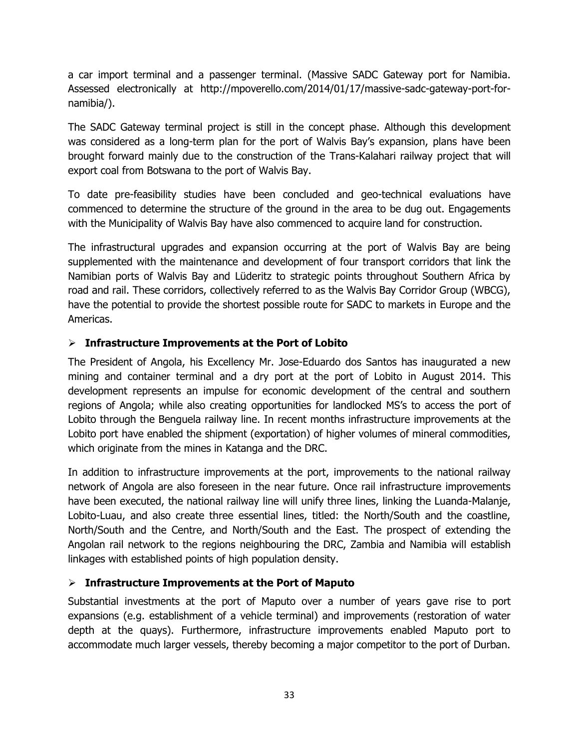a car import terminal and a passenger terminal. (Massive SADC Gateway port for Namibia. Assessed electronically at [http://mpoverello.com/2014/01/17/massive-sadc-gateway-port-for](http://mpoverello.com/2014/01/17/massive-sadc-gateway-port-for-namibia/)[namibia/\)](http://mpoverello.com/2014/01/17/massive-sadc-gateway-port-for-namibia/).

The SADC Gateway terminal project is still in the concept phase. Although this development was considered as a long-term plan for the port of Walvis Bay's expansion, plans have been brought forward mainly due to the construction of the Trans-Kalahari railway project that will export coal from Botswana to the port of Walvis Bay.

To date pre-feasibility studies have been concluded and geo-technical evaluations have commenced to determine the structure of the ground in the area to be dug out. Engagements with the Municipality of Walvis Bay have also commenced to acquire land for construction.

The infrastructural upgrades and expansion occurring at the port of Walvis Bay are being supplemented with the maintenance and development of four transport corridors that link the Namibian ports of Walvis Bay and Lüderitz to strategic points throughout Southern Africa by road and rail. These corridors, collectively referred to as the Walvis Bay Corridor Group (WBCG), have the potential to provide the shortest possible route for SADC to markets in Europe and the Americas.

#### **Infrastructure Improvements at the Port of Lobito**

The President of Angola, his Excellency Mr. Jose-Eduardo dos Santos has inaugurated a new mining and container terminal and a dry port at the port of Lobito in August 2014. This development represents an impulse for economic development of the central and southern regions of Angola; while also creating opportunities for landlocked MS's to access the port of Lobito through the Benguela railway line. In recent months infrastructure improvements at the Lobito port have enabled the shipment (exportation) of higher volumes of mineral commodities, which originate from the mines in Katanga and the DRC.

In addition to infrastructure improvements at the port, improvements to the national railway network of Angola are also foreseen in the near future. Once rail infrastructure improvements have been executed, the national railway line will unify three lines, linking the Luanda-Malanje, Lobito-Luau, and also create three essential lines, titled: the North/South and the coastline, North/South and the Centre, and North/South and the East. The prospect of extending the Angolan rail network to the regions neighbouring the DRC, Zambia and Namibia will establish linkages with established points of high population density.

#### **Infrastructure Improvements at the Port of Maputo**

Substantial investments at the port of Maputo over a number of years gave rise to port expansions (e.g. establishment of a vehicle terminal) and improvements (restoration of water depth at the quays). Furthermore, infrastructure improvements enabled Maputo port to accommodate much larger vessels, thereby becoming a major competitor to the port of Durban.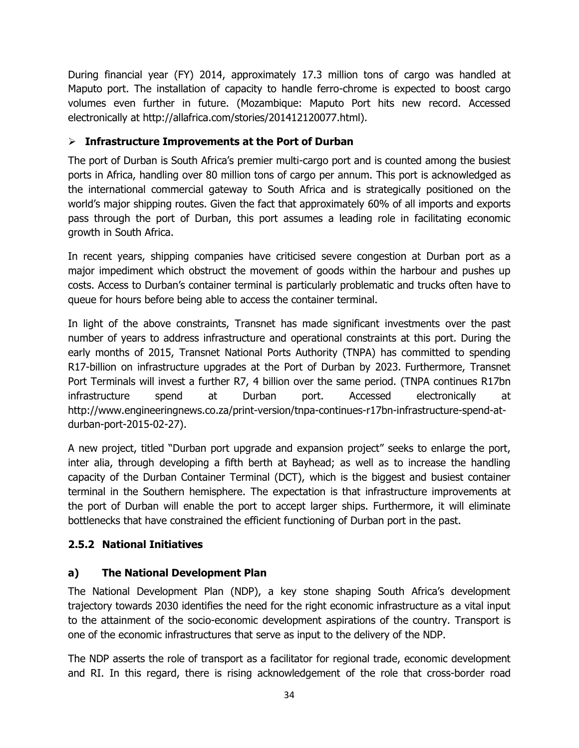During financial year (FY) 2014, approximately 17.3 million tons of cargo was handled at Maputo port. The installation of capacity to handle ferro-chrome is expected to boost cargo volumes even further in future. (Mozambique: Maputo Port hits new record. Accessed electronically at [http://allafrica.com/stories/201412120077.html\)](http://allafrica.com/stories/201412120077.html).

## **Infrastructure Improvements at the Port of Durban**

The port of Durban is South Africa's premier multi-cargo port and is counted among the busiest ports in Africa, handling over 80 million tons of cargo per annum. This port is acknowledged as the international commercial gateway to South Africa and is strategically positioned on the world's major shipping routes. Given the fact that approximately 60% of all imports and exports pass through the port of Durban, this port assumes a leading role in facilitating economic growth in South Africa.

In recent years, shipping companies have criticised severe congestion at Durban port as a major impediment which obstruct the movement of goods within the harbour and pushes up costs. Access to Durban's container terminal is particularly problematic and trucks often have to queue for hours before being able to access the container terminal.

In light of the above constraints, Transnet has made significant investments over the past number of years to address infrastructure and operational constraints at this port. During the early months of 2015, Transnet National Ports Authority (TNPA) has committed to spending R17-billion on infrastructure upgrades at the Port of Durban by 2023. Furthermore, Transnet Port Terminals will invest a further R7, 4 billion over the same period. (TNPA continues R17bn infrastructure spend at Durban port. Accessed electronically at http://www.engineeringnews.co.za/print-version/tnpa-continues-r17bn-infrastructure-spend-atdurban-port-2015-02-27).

A new project, titled "Durban port upgrade and expansion project" seeks to enlarge the port, inter alia, through developing a fifth berth at Bayhead; as well as to increase the handling capacity of the Durban Container Terminal (DCT), which is the biggest and busiest container terminal in the Southern hemisphere. The expectation is that infrastructure improvements at the port of Durban will enable the port to accept larger ships. Furthermore, it will eliminate bottlenecks that have constrained the efficient functioning of Durban port in the past.

## **2.5.2 National Initiatives**

## **a) The National Development Plan**

The National Development Plan (NDP), a key stone shaping South Africa's development trajectory towards 2030 identifies the need for the right economic infrastructure as a vital input to the attainment of the socio-economic development aspirations of the country. Transport is one of the economic infrastructures that serve as input to the delivery of the NDP.

The NDP asserts the role of transport as a facilitator for regional trade, economic development and RI. In this regard, there is rising acknowledgement of the role that cross-border road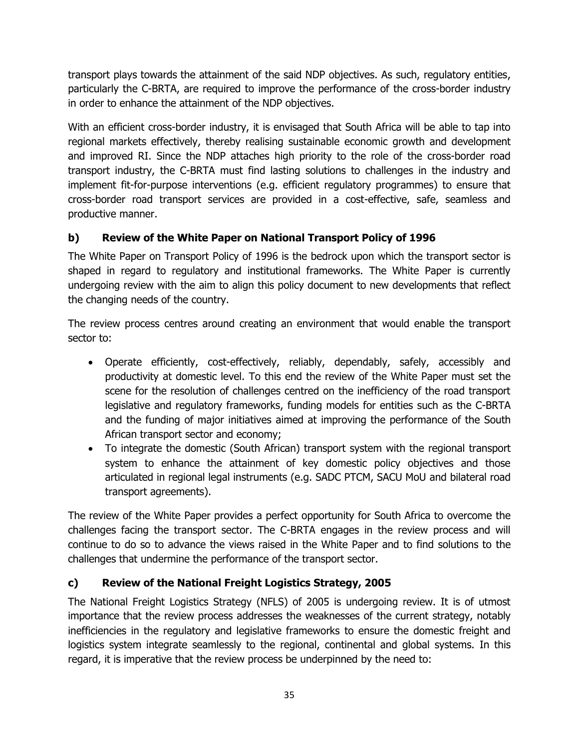transport plays towards the attainment of the said NDP objectives. As such, regulatory entities, particularly the C-BRTA, are required to improve the performance of the cross-border industry in order to enhance the attainment of the NDP objectives.

With an efficient cross-border industry, it is envisaged that South Africa will be able to tap into regional markets effectively, thereby realising sustainable economic growth and development and improved RI. Since the NDP attaches high priority to the role of the cross-border road transport industry, the C-BRTA must find lasting solutions to challenges in the industry and implement fit-for-purpose interventions (e.g. efficient regulatory programmes) to ensure that cross-border road transport services are provided in a cost-effective, safe, seamless and productive manner.

## **b) Review of the White Paper on National Transport Policy of 1996**

The White Paper on Transport Policy of 1996 is the bedrock upon which the transport sector is shaped in regard to regulatory and institutional frameworks. The White Paper is currently undergoing review with the aim to align this policy document to new developments that reflect the changing needs of the country.

The review process centres around creating an environment that would enable the transport sector to:

- Operate efficiently, cost-effectively, reliably, dependably, safely, accessibly and productivity at domestic level. To this end the review of the White Paper must set the scene for the resolution of challenges centred on the inefficiency of the road transport legislative and regulatory frameworks, funding models for entities such as the C-BRTA and the funding of major initiatives aimed at improving the performance of the South African transport sector and economy;
- To integrate the domestic (South African) transport system with the regional transport system to enhance the attainment of key domestic policy objectives and those articulated in regional legal instruments (e.g. SADC PTCM, SACU MoU and bilateral road transport agreements).

The review of the White Paper provides a perfect opportunity for South Africa to overcome the challenges facing the transport sector. The C-BRTA engages in the review process and will continue to do so to advance the views raised in the White Paper and to find solutions to the challenges that undermine the performance of the transport sector.

## **c) Review of the National Freight Logistics Strategy, 2005**

The National Freight Logistics Strategy (NFLS) of 2005 is undergoing review. It is of utmost importance that the review process addresses the weaknesses of the current strategy, notably inefficiencies in the regulatory and legislative frameworks to ensure the domestic freight and logistics system integrate seamlessly to the regional, continental and global systems. In this regard, it is imperative that the review process be underpinned by the need to: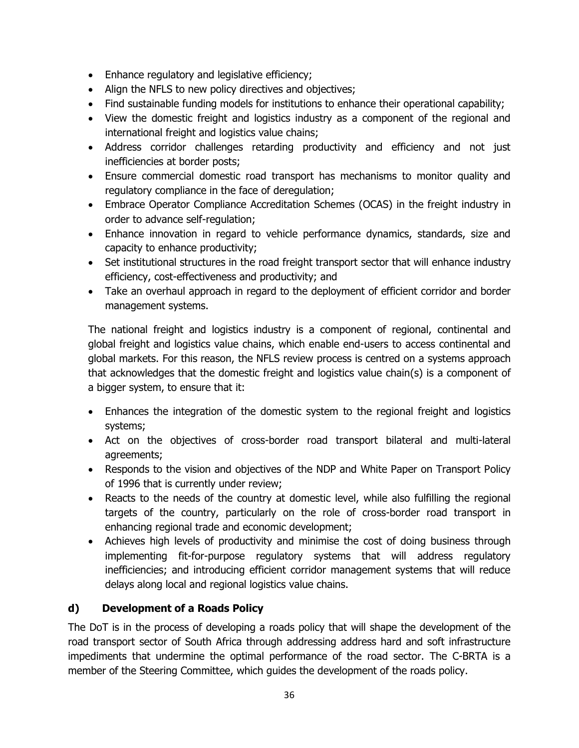- Enhance regulatory and legislative efficiency;
- Align the NFLS to new policy directives and objectives;
- Find sustainable funding models for institutions to enhance their operational capability;
- View the domestic freight and logistics industry as a component of the regional and international freight and logistics value chains;
- Address corridor challenges retarding productivity and efficiency and not just inefficiencies at border posts;
- Ensure commercial domestic road transport has mechanisms to monitor quality and regulatory compliance in the face of deregulation;
- Embrace Operator Compliance Accreditation Schemes (OCAS) in the freight industry in order to advance self-regulation;
- Enhance innovation in regard to vehicle performance dynamics, standards, size and capacity to enhance productivity;
- Set institutional structures in the road freight transport sector that will enhance industry efficiency, cost-effectiveness and productivity; and
- Take an overhaul approach in regard to the deployment of efficient corridor and border management systems.

The national freight and logistics industry is a component of regional, continental and global freight and logistics value chains, which enable end-users to access continental and global markets. For this reason, the NFLS review process is centred on a systems approach that acknowledges that the domestic freight and logistics value chain(s) is a component of a bigger system, to ensure that it:

- Enhances the integration of the domestic system to the regional freight and logistics systems;
- Act on the objectives of cross-border road transport bilateral and multi-lateral agreements;
- Responds to the vision and objectives of the NDP and White Paper on Transport Policy of 1996 that is currently under review;
- Reacts to the needs of the country at domestic level, while also fulfilling the regional targets of the country, particularly on the role of cross-border road transport in enhancing regional trade and economic development;
- Achieves high levels of productivity and minimise the cost of doing business through implementing fit-for-purpose regulatory systems that will address regulatory inefficiencies; and introducing efficient corridor management systems that will reduce delays along local and regional logistics value chains.

## **d) Development of a Roads Policy**

The DoT is in the process of developing a roads policy that will shape the development of the road transport sector of South Africa through addressing address hard and soft infrastructure impediments that undermine the optimal performance of the road sector. The C-BRTA is a member of the Steering Committee, which guides the development of the roads policy.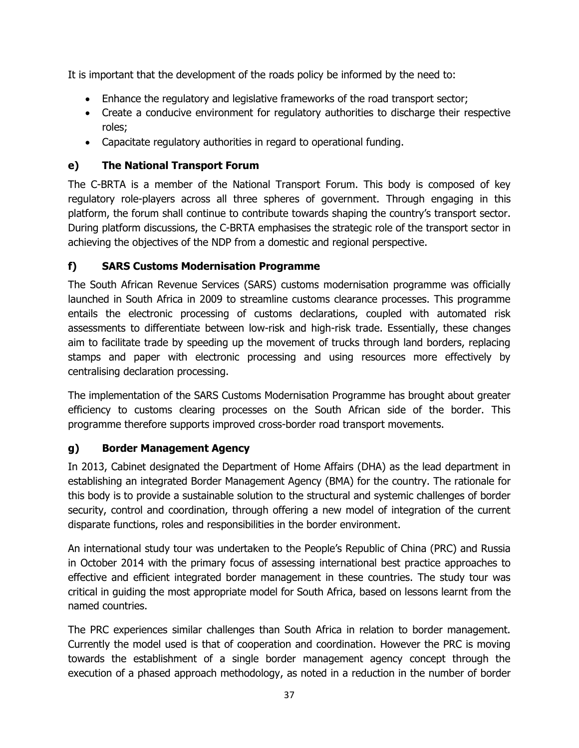It is important that the development of the roads policy be informed by the need to:

- Enhance the regulatory and legislative frameworks of the road transport sector;
- Create a conducive environment for regulatory authorities to discharge their respective roles;
- Capacitate regulatory authorities in regard to operational funding.

## **e) The National Transport Forum**

The C-BRTA is a member of the National Transport Forum. This body is composed of key regulatory role-players across all three spheres of government. Through engaging in this platform, the forum shall continue to contribute towards shaping the country's transport sector. During platform discussions, the C-BRTA emphasises the strategic role of the transport sector in achieving the objectives of the NDP from a domestic and regional perspective.

## **f) SARS Customs Modernisation Programme**

The South African Revenue Services (SARS) customs modernisation programme was officially launched in South Africa in 2009 to streamline customs clearance processes. This programme entails the electronic processing of customs declarations, coupled with automated risk assessments to differentiate between low-risk and high-risk trade. Essentially, these changes aim to facilitate trade by speeding up the movement of trucks through land borders, replacing stamps and paper with electronic processing and using resources more effectively by centralising declaration processing.

The implementation of the SARS Customs Modernisation Programme has brought about greater efficiency to customs clearing processes on the South African side of the border. This programme therefore supports improved cross-border road transport movements.

## **g) Border Management Agency**

In 2013, Cabinet designated the Department of Home Affairs (DHA) as the lead department in establishing an integrated Border Management Agency (BMA) for the country. The rationale for this body is to provide a sustainable solution to the structural and systemic challenges of border security, control and coordination, through offering a new model of integration of the current disparate functions, roles and responsibilities in the border environment.

An international study tour was undertaken to the People's Republic of China (PRC) and Russia in October 2014 with the primary focus of assessing international best practice approaches to effective and efficient integrated border management in these countries. The study tour was critical in guiding the most appropriate model for South Africa, based on lessons learnt from the named countries.

The PRC experiences similar challenges than South Africa in relation to border management. Currently the model used is that of cooperation and coordination. However the PRC is moving towards the establishment of a single border management agency concept through the execution of a phased approach methodology, as noted in a reduction in the number of border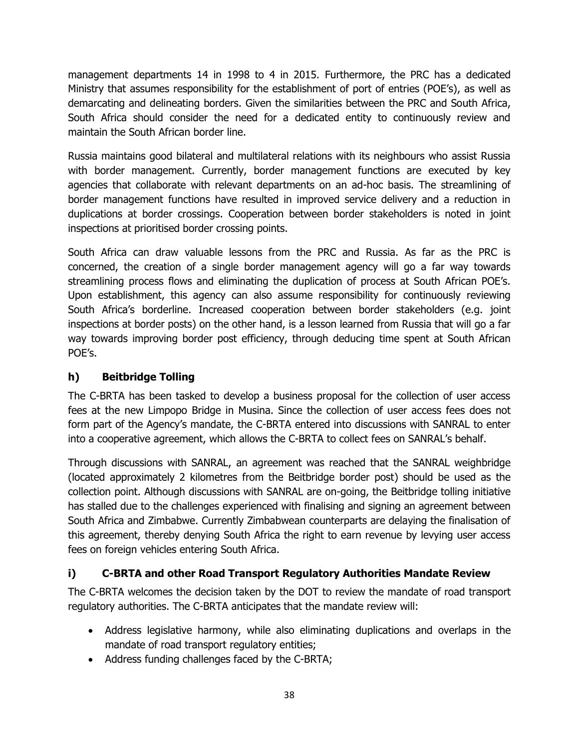management departments 14 in 1998 to 4 in 2015. Furthermore, the PRC has a dedicated Ministry that assumes responsibility for the establishment of port of entries (POE's), as well as demarcating and delineating borders. Given the similarities between the PRC and South Africa, South Africa should consider the need for a dedicated entity to continuously review and maintain the South African border line.

Russia maintains good bilateral and multilateral relations with its neighbours who assist Russia with border management. Currently, border management functions are executed by key agencies that collaborate with relevant departments on an ad-hoc basis. The streamlining of border management functions have resulted in improved service delivery and a reduction in duplications at border crossings. Cooperation between border stakeholders is noted in joint inspections at prioritised border crossing points.

South Africa can draw valuable lessons from the PRC and Russia. As far as the PRC is concerned, the creation of a single border management agency will go a far way towards streamlining process flows and eliminating the duplication of process at South African POE's. Upon establishment, this agency can also assume responsibility for continuously reviewing South Africa's borderline. Increased cooperation between border stakeholders (e.g. joint inspections at border posts) on the other hand, is a lesson learned from Russia that will go a far way towards improving border post efficiency, through deducing time spent at South African POE's.

## **h) Beitbridge Tolling**

The C-BRTA has been tasked to develop a business proposal for the collection of user access fees at the new Limpopo Bridge in Musina. Since the collection of user access fees does not form part of the Agency's mandate, the C-BRTA entered into discussions with SANRAL to enter into a cooperative agreement, which allows the C-BRTA to collect fees on SANRAL's behalf.

Through discussions with SANRAL, an agreement was reached that the SANRAL weighbridge (located approximately 2 kilometres from the Beitbridge border post) should be used as the collection point. Although discussions with SANRAL are on-going, the Beitbridge tolling initiative has stalled due to the challenges experienced with finalising and signing an agreement between South Africa and Zimbabwe. Currently Zimbabwean counterparts are delaying the finalisation of this agreement, thereby denying South Africa the right to earn revenue by levying user access fees on foreign vehicles entering South Africa.

## **i) C-BRTA and other Road Transport Regulatory Authorities Mandate Review**

The C-BRTA welcomes the decision taken by the DOT to review the mandate of road transport regulatory authorities. The C-BRTA anticipates that the mandate review will:

- Address legislative harmony, while also eliminating duplications and overlaps in the mandate of road transport regulatory entities;
- Address funding challenges faced by the C-BRTA;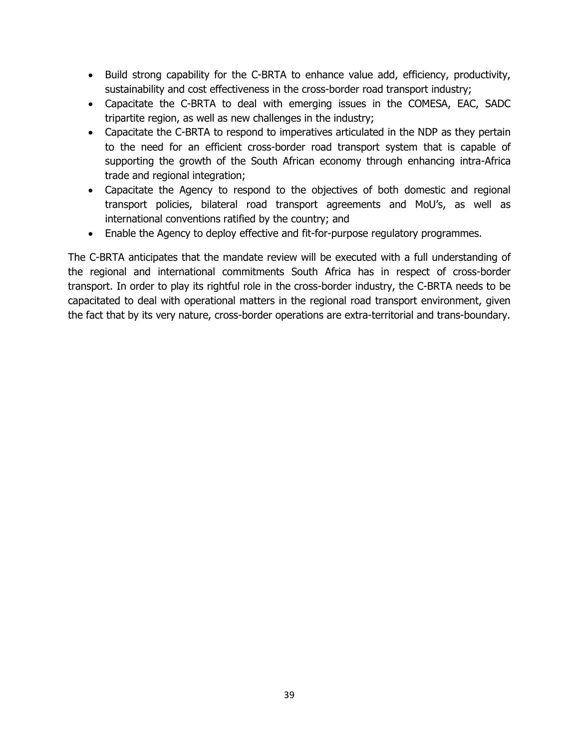- Build strong capability for the C-BRTA to enhance value add, efficiency, productivity, sustainability and cost effectiveness in the cross-border road transport industry;
- Capacitate the C-BRTA to deal with emerging issues in the COMESA, EAC, SADC tripartite region, as well as new challenges in the industry;
- Capacitate the C-BRTA to respond to imperatives articulated in the NDP as they pertain to the need for an efficient cross-border road transport system that is capable of supporting the growth of the South African economy through enhancing intra-Africa trade and regional integration;
- Capacitate the Agency to respond to the objectives of both domestic and regional transport policies, bilateral road transport agreements and MoU's, as well as international conventions ratified by the country; and
- Enable the Agency to deploy effective and fit-for-purpose regulatory programmes.

The C-BRTA anticipates that the mandate review will be executed with a full understanding of the regional and international commitments South Africa has in respect of cross-border transport. In order to play its rightful role in the cross-border industry, the C-BRTA needs to be capacitated to deal with operational matters in the regional road transport environment, given the fact that by its very nature, cross-border operations are extra-territorial and trans-boundary.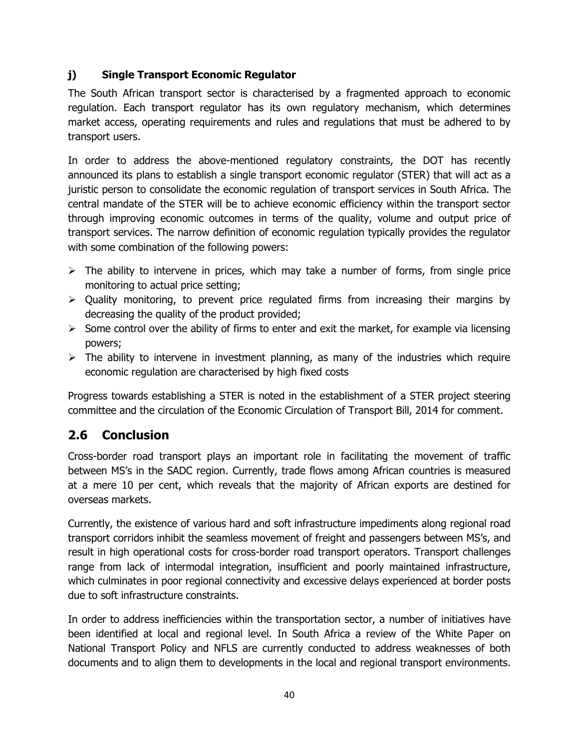## **j) Single Transport Economic Regulator**

The South African transport sector is characterised by a fragmented approach to economic regulation. Each transport regulator has its own regulatory mechanism, which determines market access, operating requirements and rules and regulations that must be adhered to by transport users.

In order to address the above-mentioned regulatory constraints, the DOT has recently announced its plans to establish a single transport economic regulator (STER) that will act as a juristic person to consolidate the economic regulation of transport services in South Africa. The central mandate of the STER will be to achieve economic efficiency within the transport sector through improving economic outcomes in terms of the quality, volume and output price of transport services. The narrow definition of economic regulation typically provides the regulator with some combination of the following powers:

- $\triangleright$  The ability to intervene in prices, which may take a number of forms, from single price monitoring to actual price setting;
- $\triangleright$  Quality monitoring, to prevent price regulated firms from increasing their margins by decreasing the quality of the product provided;
- $\triangleright$  Some control over the ability of firms to enter and exit the market, for example via licensing powers;
- $\triangleright$  The ability to intervene in investment planning, as many of the industries which require economic regulation are characterised by high fixed costs

Progress towards establishing a STER is noted in the establishment of a STER project steering committee and the circulation of the Economic Circulation of Transport Bill, 2014 for comment.

# **2.6 Conclusion**

Cross-border road transport plays an important role in facilitating the movement of traffic between MS's in the SADC region. Currently, trade flows among African countries is measured at a mere 10 per cent, which reveals that the majority of African exports are destined for overseas markets.

Currently, the existence of various hard and soft infrastructure impediments along regional road transport corridors inhibit the seamless movement of freight and passengers between MS's, and result in high operational costs for cross-border road transport operators. Transport challenges range from lack of intermodal integration, insufficient and poorly maintained infrastructure, which culminates in poor regional connectivity and excessive delays experienced at border posts due to soft infrastructure constraints.

In order to address inefficiencies within the transportation sector, a number of initiatives have been identified at local and regional level. In South Africa a review of the White Paper on National Transport Policy and NFLS are currently conducted to address weaknesses of both documents and to align them to developments in the local and regional transport environments.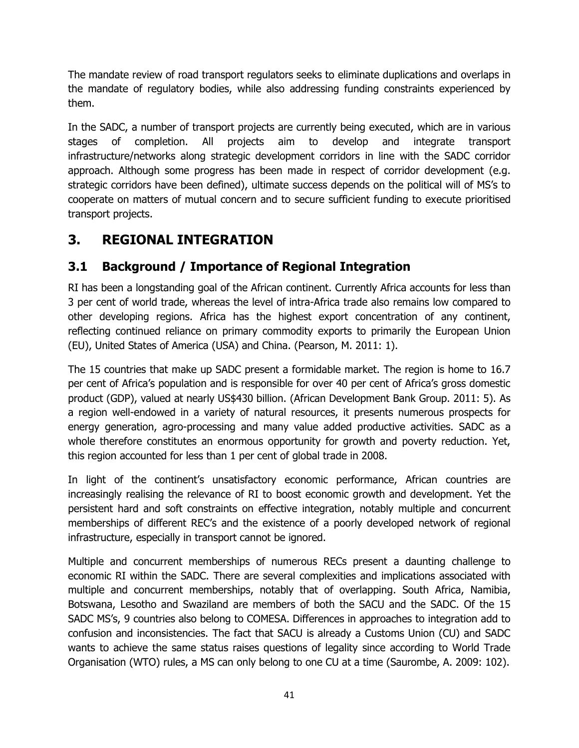The mandate review of road transport regulators seeks to eliminate duplications and overlaps in the mandate of regulatory bodies, while also addressing funding constraints experienced by them.

In the SADC, a number of transport projects are currently being executed, which are in various stages of completion. All projects aim to develop and integrate transport infrastructure/networks along strategic development corridors in line with the SADC corridor approach. Although some progress has been made in respect of corridor development (e.g. strategic corridors have been defined), ultimate success depends on the political will of MS's to cooperate on matters of mutual concern and to secure sufficient funding to execute prioritised transport projects.

# **3. REGIONAL INTEGRATION**

# **3.1 Background / Importance of Regional Integration**

RI has been a longstanding goal of the African continent. Currently Africa accounts for less than 3 per cent of world trade, whereas the level of intra-Africa trade also remains low compared to other developing regions. Africa has the highest export concentration of any continent, reflecting continued reliance on primary commodity exports to primarily the European Union (EU), United States of America (USA) and China. (Pearson, M. 2011: 1).

The 15 countries that make up SADC present a formidable market. The region is home to 16.7 per cent of Africa's population and is responsible for over 40 per cent of Africa's gross domestic product (GDP), valued at nearly US\$430 billion. (African Development Bank Group. 2011: 5). As a region well-endowed in a variety of natural resources, it presents numerous prospects for energy generation, agro-processing and many value added productive activities. SADC as a whole therefore constitutes an enormous opportunity for growth and poverty reduction. Yet, this region accounted for less than 1 per cent of global trade in 2008.

In light of the continent's unsatisfactory economic performance, African countries are increasingly realising the relevance of RI to boost economic growth and development. Yet the persistent hard and soft constraints on effective integration, notably multiple and concurrent memberships of different REC's and the existence of a poorly developed network of regional infrastructure, especially in transport cannot be ignored.

Multiple and concurrent memberships of numerous RECs present a daunting challenge to economic RI within the SADC. There are several complexities and implications associated with multiple and concurrent memberships, notably that of overlapping. South Africa, Namibia, Botswana, Lesotho and Swaziland are members of both the SACU and the SADC. Of the 15 SADC MS's, 9 countries also belong to COMESA. Differences in approaches to integration add to confusion and inconsistencies. The fact that SACU is already a Customs Union (CU) and SADC wants to achieve the same status raises questions of legality since according to World Trade Organisation (WTO) rules, a MS can only belong to one CU at a time (Saurombe, A. 2009: 102).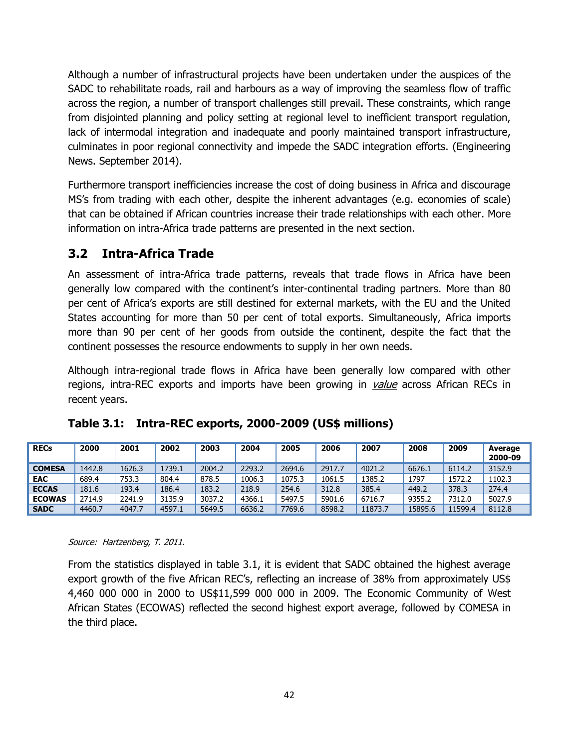Although a number of infrastructural projects have been undertaken under the auspices of the SADC to rehabilitate roads, rail and harbours as a way of improving the seamless flow of traffic across the region, a number of transport challenges still prevail. These constraints, which range from disjointed planning and policy setting at regional level to inefficient transport regulation, lack of intermodal integration and inadequate and poorly maintained transport infrastructure, culminates in poor regional connectivity and impede the SADC integration efforts. (Engineering News. September 2014).

Furthermore transport inefficiencies increase the cost of doing business in Africa and discourage MS's from trading with each other, despite the inherent advantages (e.g. economies of scale) that can be obtained if African countries increase their trade relationships with each other. More information on intra-Africa trade patterns are presented in the next section.

## **3.2 Intra-Africa Trade**

An assessment of intra-Africa trade patterns, reveals that trade flows in Africa have been generally low compared with the continent's inter-continental trading partners. More than 80 per cent of Africa's exports are still destined for external markets, with the EU and the United States accounting for more than 50 per cent of total exports. Simultaneously, Africa imports more than 90 per cent of her goods from outside the continent, despite the fact that the continent possesses the resource endowments to supply in her own needs.

Although intra-regional trade flows in Africa have been generally low compared with other regions, intra-REC exports and imports have been growing in value across African RECs in recent years.

| <b>RECs</b>   | 2000   | 2001   | 2002   | 2003   | 2004   | 2005   | 2006   | 2007    | 2008    | 2009    | Average<br>2000-09 |
|---------------|--------|--------|--------|--------|--------|--------|--------|---------|---------|---------|--------------------|
| <b>COMESA</b> | 1442.8 | 1626.3 | 1739.1 | 2004.2 | 2293.2 | 2694.6 | 2917.7 | 4021.2  | 6676.1  | 6114.2  | 3152.9             |
| <b>EAC</b>    | 689.4  | 753.3  | 804.4  | 878.5  | 1006.3 | 1075.3 | 1061.5 | 1385.2  | 1797    | 1572.2  | 1102.3             |
| <b>ECCAS</b>  | 181.6  | 193.4  | 186.4  | 183.2  | 218.9  | 254.6  | 312.8  | 385.4   | 449.2   | 378.3   | 274.4              |
| <b>ECOWAS</b> | 2714.9 | 2241.9 | 3135.9 | 3037.2 | 4366.1 | 5497.5 | 5901.6 | 6716.7  | 9355.2  | 7312.0  | 5027.9             |
| <b>SADC</b>   | 4460.7 | 4047.7 | 4597.1 | 5649.5 | 6636.2 | 7769.6 | 8598.2 | 11873.7 | 15895.6 | 11599.4 | 8112.8             |

**Table 3.1: Intra-REC exports, 2000-2009 (US\$ millions)**

Source: Hartzenberg, T. 2011.

From the statistics displayed in table 3.1, it is evident that SADC obtained the highest average export growth of the five African REC's, reflecting an increase of 38% from approximately US\$ 4,460 000 000 in 2000 to US\$11,599 000 000 in 2009. The Economic Community of West African States (ECOWAS) reflected the second highest export average, followed by COMESA in the third place.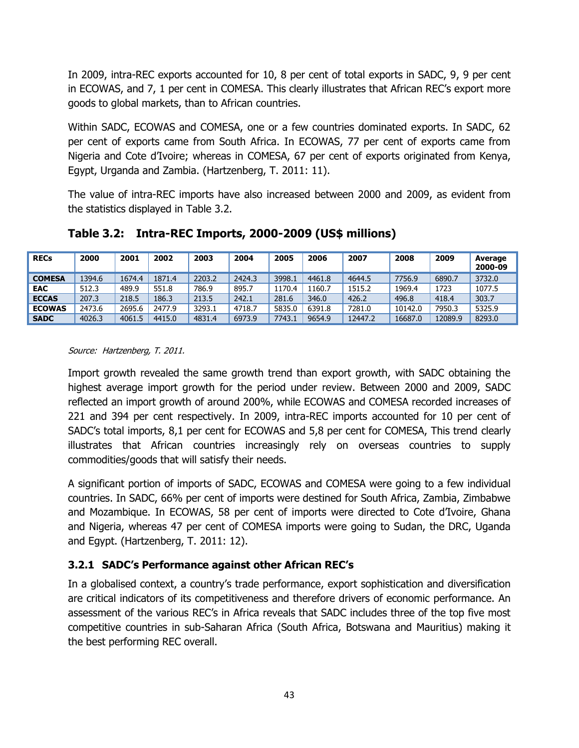In 2009, intra-REC exports accounted for 10, 8 per cent of total exports in SADC, 9, 9 per cent in ECOWAS, and 7, 1 per cent in COMESA. This clearly illustrates that African REC's export more goods to global markets, than to African countries.

Within SADC, ECOWAS and COMESA, one or a few countries dominated exports. In SADC, 62 per cent of exports came from South Africa. In ECOWAS, 77 per cent of exports came from Nigeria and Cote d'Ivoire; whereas in COMESA, 67 per cent of exports originated from Kenya, Egypt, Urganda and Zambia. (Hartzenberg, T. 2011: 11).

The value of intra-REC imports have also increased between 2000 and 2009, as evident from the statistics displayed in Table 3.2.

| <b>RECs</b>   | 2000   | 2001   | 2002   | 2003   | 2004   | 2005   | 2006   | 2007    | 2008    | 2009    | Average<br>2000-09 |
|---------------|--------|--------|--------|--------|--------|--------|--------|---------|---------|---------|--------------------|
| <b>COMESA</b> | 1394.6 | 1674.4 | 1871.4 | 2203.2 | 2424.3 | 3998.1 | 4461.8 | 4644.5  | 7756.9  | 6890.7  | 3732.0             |
| <b>EAC</b>    | 512.3  | 489.9  | 551.8  | 786.9  | 895.7  | 1170.4 | 1160.7 | 1515.2  | 1969.4  | 1723    | 1077.5             |
| <b>ECCAS</b>  | 207.3  | 218.5  | 186.3  | 213.5  | 242.1  | 281.6  | 346.0  | 426.2   | 496.8   | 418.4   | 303.7              |
| <b>ECOWAS</b> | 2473.6 | 2695.6 | 2477.9 | 3293.1 | 4718.7 | 5835.0 | 6391.8 | 7281.0  | 10142.0 | 7950.3  | 5325.9             |
| <b>SADC</b>   | 4026.3 | 4061.5 | 4415.0 | 4831.4 | 6973.9 | 7743.1 | 9654.9 | 12447.2 | 16687.0 | 12089.9 | 8293.0             |

**Table 3.2: Intra-REC Imports, 2000-2009 (US\$ millions)**

#### Source: Hartzenberg, T. 2011.

Import growth revealed the same growth trend than export growth, with SADC obtaining the highest average import growth for the period under review. Between 2000 and 2009, SADC reflected an import growth of around 200%, while ECOWAS and COMESA recorded increases of 221 and 394 per cent respectively. In 2009, intra-REC imports accounted for 10 per cent of SADC's total imports, 8,1 per cent for ECOWAS and 5,8 per cent for COMESA, This trend clearly illustrates that African countries increasingly rely on overseas countries to supply commodities/goods that will satisfy their needs.

A significant portion of imports of SADC, ECOWAS and COMESA were going to a few individual countries. In SADC, 66% per cent of imports were destined for South Africa, Zambia, Zimbabwe and Mozambique. In ECOWAS, 58 per cent of imports were directed to Cote d'Ivoire, Ghana and Nigeria, whereas 47 per cent of COMESA imports were going to Sudan, the DRC, Uganda and Egypt. (Hartzenberg, T. 2011: 12).

## **3.2.1 SADC's Performance against other African REC's**

In a globalised context, a country's trade performance, export sophistication and diversification are critical indicators of its competitiveness and therefore drivers of economic performance. An assessment of the various REC's in Africa reveals that SADC includes three of the top five most competitive countries in sub-Saharan Africa (South Africa, Botswana and Mauritius) making it the best performing REC overall.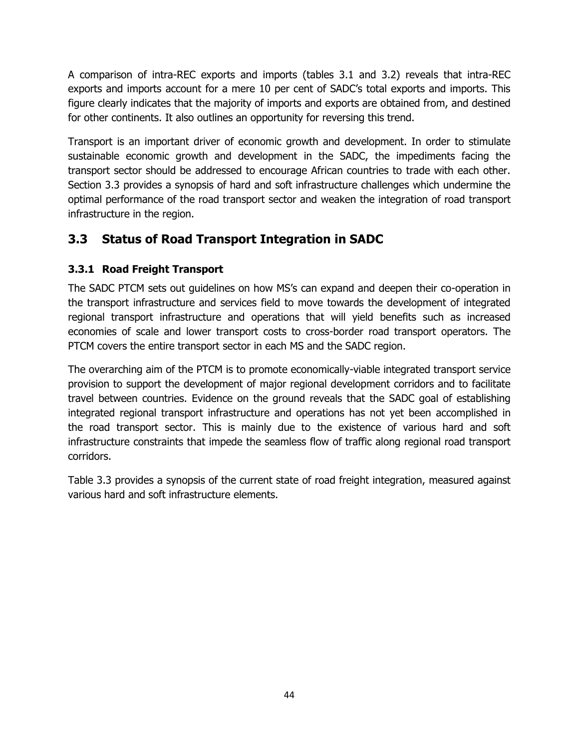A comparison of intra-REC exports and imports (tables 3.1 and 3.2) reveals that intra-REC exports and imports account for a mere 10 per cent of SADC's total exports and imports. This figure clearly indicates that the majority of imports and exports are obtained from, and destined for other continents. It also outlines an opportunity for reversing this trend.

Transport is an important driver of economic growth and development. In order to stimulate sustainable economic growth and development in the SADC, the impediments facing the transport sector should be addressed to encourage African countries to trade with each other. Section 3.3 provides a synopsis of hard and soft infrastructure challenges which undermine the optimal performance of the road transport sector and weaken the integration of road transport infrastructure in the region.

# **3.3 Status of Road Transport Integration in SADC**

## **3.3.1 Road Freight Transport**

The SADC PTCM sets out guidelines on how MS's can expand and deepen their co-operation in the transport infrastructure and services field to move towards the development of integrated regional transport infrastructure and operations that will yield benefits such as increased economies of scale and lower transport costs to cross-border road transport operators. The PTCM covers the entire transport sector in each MS and the SADC region.

The overarching aim of the PTCM is to promote economically-viable integrated transport service provision to support the development of major regional development corridors and to facilitate travel between countries. Evidence on the ground reveals that the SADC goal of establishing integrated regional transport infrastructure and operations has not yet been accomplished in the road transport sector. This is mainly due to the existence of various hard and soft infrastructure constraints that impede the seamless flow of traffic along regional road transport corridors.

Table 3.3 provides a synopsis of the current state of road freight integration, measured against various hard and soft infrastructure elements.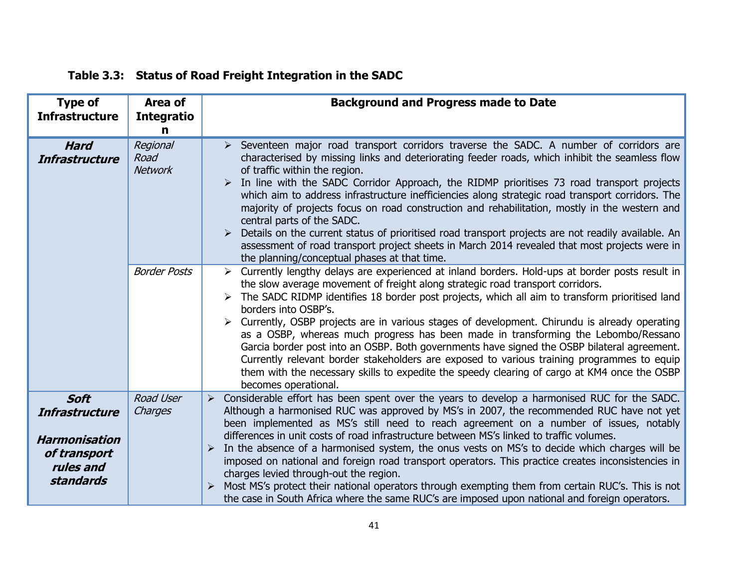| <b>Type of</b><br><b>Infrastructure</b>                                                                       | Area of<br><b>Integratio</b><br>n                         | <b>Background and Progress made to Date</b>                                                                                                                                                                                                                                                                                                                                                                                                                                                                                                                                                                                                                                                                                                                                                                                                                                                                                                                                                                                                                                                                                                                                                                                                                                                                                                                                                                                                                                                                                                                                                                                                |
|---------------------------------------------------------------------------------------------------------------|-----------------------------------------------------------|--------------------------------------------------------------------------------------------------------------------------------------------------------------------------------------------------------------------------------------------------------------------------------------------------------------------------------------------------------------------------------------------------------------------------------------------------------------------------------------------------------------------------------------------------------------------------------------------------------------------------------------------------------------------------------------------------------------------------------------------------------------------------------------------------------------------------------------------------------------------------------------------------------------------------------------------------------------------------------------------------------------------------------------------------------------------------------------------------------------------------------------------------------------------------------------------------------------------------------------------------------------------------------------------------------------------------------------------------------------------------------------------------------------------------------------------------------------------------------------------------------------------------------------------------------------------------------------------------------------------------------------------|
| <b>Hard</b><br><b>Infrastructure</b>                                                                          | Regional<br>Road<br><b>Network</b><br><b>Border Posts</b> | > Seventeen major road transport corridors traverse the SADC. A number of corridors are<br>characterised by missing links and deteriorating feeder roads, which inhibit the seamless flow<br>of traffic within the region.<br>In line with the SADC Corridor Approach, the RIDMP prioritises 73 road transport projects<br>which aim to address infrastructure inefficiencies along strategic road transport corridors. The<br>majority of projects focus on road construction and rehabilitation, mostly in the western and<br>central parts of the SADC.<br>Details on the current status of prioritised road transport projects are not readily available. An<br>assessment of road transport project sheets in March 2014 revealed that most projects were in<br>the planning/conceptual phases at that time.<br>Currently lengthy delays are experienced at inland borders. Hold-ups at border posts result in<br>the slow average movement of freight along strategic road transport corridors.<br>The SADC RIDMP identifies 18 border post projects, which all aim to transform prioritised land<br>borders into OSBP's.<br>Currently, OSBP projects are in various stages of development. Chirundu is already operating<br>as a OSBP, whereas much progress has been made in transforming the Lebombo/Ressano<br>Garcia border post into an OSBP. Both governments have signed the OSBP bilateral agreement.<br>Currently relevant border stakeholders are exposed to various training programmes to equip<br>them with the necessary skills to expedite the speedy clearing of cargo at KM4 once the OSBP<br>becomes operational. |
| <b>Soft</b><br><b>Infrastructure</b><br><b>Harmonisation</b><br>of transport<br>rules and<br><b>standards</b> | <b>Road User</b><br>Charges                               | Considerable effort has been spent over the years to develop a harmonised RUC for the SADC.<br>➤<br>Although a harmonised RUC was approved by MS's in 2007, the recommended RUC have not yet<br>been implemented as MS's still need to reach agreement on a number of issues, notably<br>differences in unit costs of road infrastructure between MS's linked to traffic volumes.<br>In the absence of a harmonised system, the onus vests on MS's to decide which charges will be<br>imposed on national and foreign road transport operators. This practice creates inconsistencies in<br>charges levied through-out the region.<br>Most MS's protect their national operators through exempting them from certain RUC's. This is not<br>the case in South Africa where the same RUC's are imposed upon national and foreign operators.                                                                                                                                                                                                                                                                                                                                                                                                                                                                                                                                                                                                                                                                                                                                                                                                  |

# **Table 3.3: Status of Road Freight Integration in the SADC**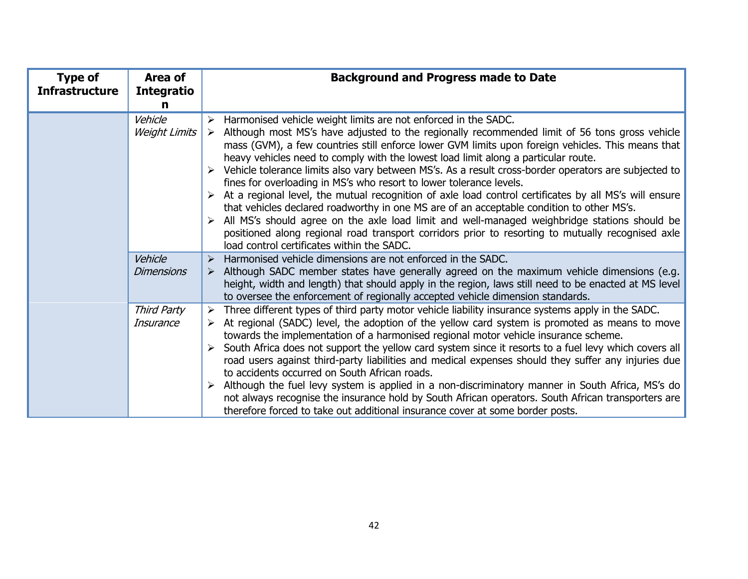| <b>Type of</b><br><b>Infrastructure</b> | Area of<br><b>Integratio</b>    | <b>Background and Progress made to Date</b>                                                                                                                                                                                                                                                                                                                                                                                                                                                                                                                                                                                                                                                                                                                                                                                                                                                                                                                                                                         |
|-----------------------------------------|---------------------------------|---------------------------------------------------------------------------------------------------------------------------------------------------------------------------------------------------------------------------------------------------------------------------------------------------------------------------------------------------------------------------------------------------------------------------------------------------------------------------------------------------------------------------------------------------------------------------------------------------------------------------------------------------------------------------------------------------------------------------------------------------------------------------------------------------------------------------------------------------------------------------------------------------------------------------------------------------------------------------------------------------------------------|
|                                         | n                               |                                                                                                                                                                                                                                                                                                                                                                                                                                                                                                                                                                                                                                                                                                                                                                                                                                                                                                                                                                                                                     |
|                                         | Vehicle<br><b>Weight Limits</b> | Harmonised vehicle weight limits are not enforced in the SADC.<br>$\triangleright$ Although most MS's have adjusted to the regionally recommended limit of 56 tons gross vehicle<br>mass (GVM), a few countries still enforce lower GVM limits upon foreign vehicles. This means that<br>heavy vehicles need to comply with the lowest load limit along a particular route.<br>Vehicle tolerance limits also vary between MS's. As a result cross-border operators are subjected to<br>fines for overloading in MS's who resort to lower tolerance levels.<br>At a regional level, the mutual recognition of axle load control certificates by all MS's will ensure<br>that vehicles declared roadworthy in one MS are of an acceptable condition to other MS's.<br>All MS's should agree on the axle load limit and well-managed weighbridge stations should be<br>positioned along regional road transport corridors prior to resorting to mutually recognised axle<br>load control certificates within the SADC. |
|                                         | Vehicle<br><b>Dimensions</b>    | Harmonised vehicle dimensions are not enforced in the SADC.<br>Although SADC member states have generally agreed on the maximum vehicle dimensions (e.g.<br>height, width and length) that should apply in the region, laws still need to be enacted at MS level<br>to oversee the enforcement of regionally accepted vehicle dimension standards.                                                                                                                                                                                                                                                                                                                                                                                                                                                                                                                                                                                                                                                                  |
|                                         | Third Party<br>Insurance        | Three different types of third party motor vehicle liability insurance systems apply in the SADC.<br>➤<br>At regional (SADC) level, the adoption of the yellow card system is promoted as means to move<br>towards the implementation of a harmonised regional motor vehicle insurance scheme.<br>South Africa does not support the yellow card system since it resorts to a fuel levy which covers all<br>road users against third-party liabilities and medical expenses should they suffer any injuries due<br>to accidents occurred on South African roads.<br>Although the fuel levy system is applied in a non-discriminatory manner in South Africa, MS's do<br>not always recognise the insurance hold by South African operators. South African transporters are<br>therefore forced to take out additional insurance cover at some border posts.                                                                                                                                                          |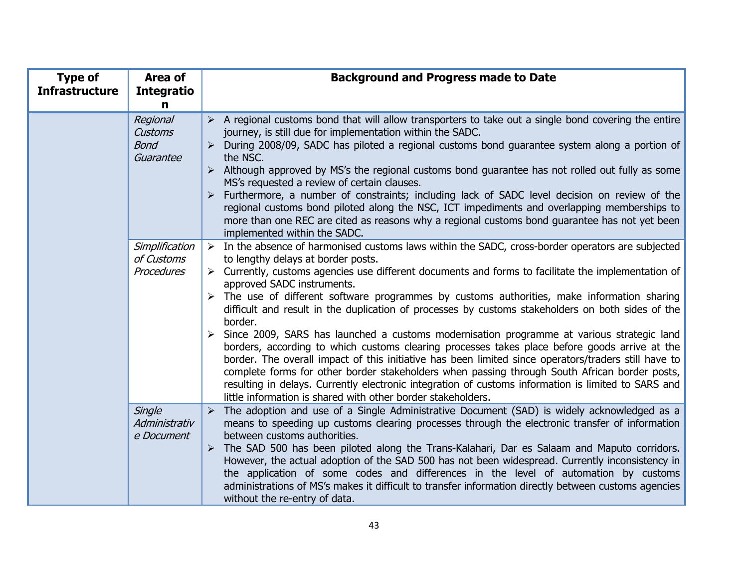| <b>Type of</b><br><b>Infrastructure</b> | Area of<br><b>Integratio</b><br>$\mathbf n$            | <b>Background and Progress made to Date</b>                                                                                                                                                                                                                                                                                                                                                                                                                                                                                                                                                                                                                                                                                                                                                                                                                                                                                                                                                                                                                                                           |
|-----------------------------------------|--------------------------------------------------------|-------------------------------------------------------------------------------------------------------------------------------------------------------------------------------------------------------------------------------------------------------------------------------------------------------------------------------------------------------------------------------------------------------------------------------------------------------------------------------------------------------------------------------------------------------------------------------------------------------------------------------------------------------------------------------------------------------------------------------------------------------------------------------------------------------------------------------------------------------------------------------------------------------------------------------------------------------------------------------------------------------------------------------------------------------------------------------------------------------|
|                                         | Regional<br><b>Customs</b><br><b>Bond</b><br>Guarantee | A regional customs bond that will allow transporters to take out a single bond covering the entire<br>journey, is still due for implementation within the SADC.<br>During 2008/09, SADC has piloted a regional customs bond guarantee system along a portion of<br>the NSC.<br>Although approved by MS's the regional customs bond guarantee has not rolled out fully as some<br>MS's requested a review of certain clauses.<br>Furthermore, a number of constraints; including lack of SADC level decision on review of the<br>regional customs bond piloted along the NSC, ICT impediments and overlapping memberships to<br>more than one REC are cited as reasons why a regional customs bond guarantee has not yet been<br>implemented within the SADC.                                                                                                                                                                                                                                                                                                                                          |
|                                         | Simplification<br>of Customs<br><b>Procedures</b>      | $\triangleright$ In the absence of harmonised customs laws within the SADC, cross-border operators are subjected<br>to lengthy delays at border posts.<br>$\triangleright$ Currently, customs agencies use different documents and forms to facilitate the implementation of<br>approved SADC instruments.<br>The use of different software programmes by customs authorities, make information sharing<br>difficult and result in the duplication of processes by customs stakeholders on both sides of the<br>border.<br>Since 2009, SARS has launched a customs modernisation programme at various strategic land<br>borders, according to which customs clearing processes takes place before goods arrive at the<br>border. The overall impact of this initiative has been limited since operators/traders still have to<br>complete forms for other border stakeholders when passing through South African border posts,<br>resulting in delays. Currently electronic integration of customs information is limited to SARS and<br>little information is shared with other border stakeholders. |
|                                         | Single<br>Administrativ<br>e Document                  | The adoption and use of a Single Administrative Document (SAD) is widely acknowledged as a<br>$\blacktriangleright$<br>means to speeding up customs clearing processes through the electronic transfer of information<br>between customs authorities.<br>The SAD 500 has been piloted along the Trans-Kalahari, Dar es Salaam and Maputo corridors.<br>However, the actual adoption of the SAD 500 has not been widespread. Currently inconsistency in<br>the application of some codes and differences in the level of automation by customs<br>administrations of MS's makes it difficult to transfer information directly between customs agencies<br>without the re-entry of data.                                                                                                                                                                                                                                                                                                                                                                                                                |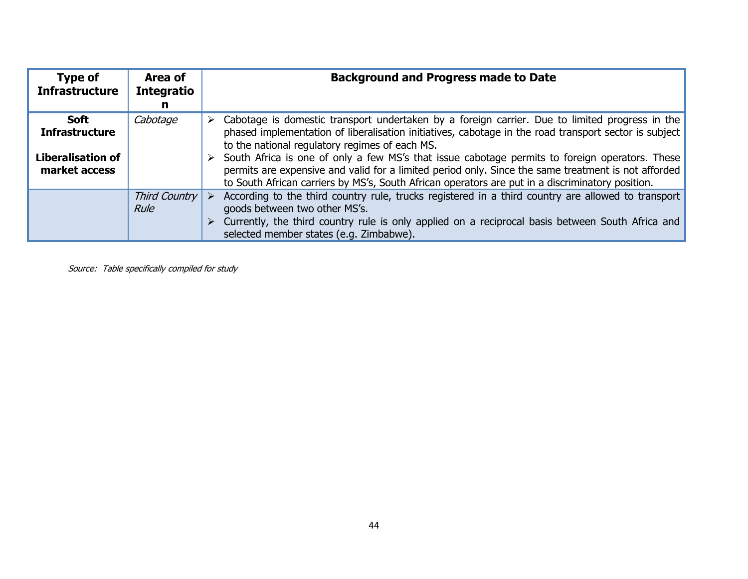| Type of<br><b>Infrastructure</b>          | Area of<br><b>Integratio</b>           | <b>Background and Progress made to Date</b>                                                                                                                                                                                                                                                                 |
|-------------------------------------------|----------------------------------------|-------------------------------------------------------------------------------------------------------------------------------------------------------------------------------------------------------------------------------------------------------------------------------------------------------------|
|                                           |                                        |                                                                                                                                                                                                                                                                                                             |
| <b>Soft</b><br><b>Infrastructure</b>      | Cabotage                               | Cabotage is domestic transport undertaken by a foreign carrier. Due to limited progress in the<br>phased implementation of liberalisation initiatives, cabotage in the road transport sector is subject<br>to the national regulatory regimes of each MS.                                                   |
| <b>Liberalisation of</b><br>market access |                                        | > South Africa is one of only a few MS's that issue cabotage permits to foreign operators. These<br>permits are expensive and valid for a limited period only. Since the same treatment is not afforded<br>to South African carriers by MS's, South African operators are put in a discriminatory position. |
|                                           | Third Country $\triangleright$<br>Rule | According to the third country rule, trucks registered in a third country are allowed to transport<br>goods between two other MS's.<br>> Currently, the third country rule is only applied on a reciprocal basis between South Africa and<br>selected member states (e.g. Zimbabwe).                        |

Source: Table specifically compiled for study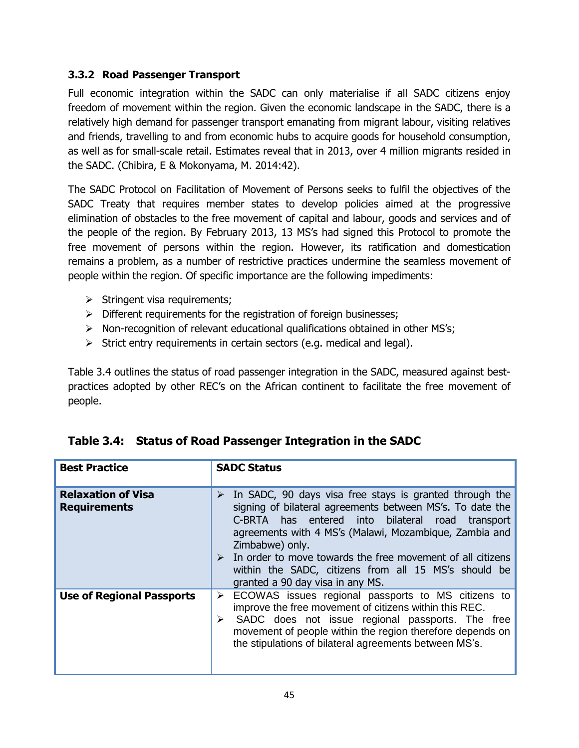#### **3.3.2 Road Passenger Transport**

Full economic integration within the SADC can only materialise if all SADC citizens enjoy freedom of movement within the region. Given the economic landscape in the SADC, there is a relatively high demand for passenger transport emanating from migrant labour, visiting relatives and friends, travelling to and from economic hubs to acquire goods for household consumption, as well as for small-scale retail. Estimates reveal that in 2013, over 4 million migrants resided in the SADC. (Chibira, E & Mokonyama, M. 2014:42).

The SADC Protocol on Facilitation of Movement of Persons seeks to fulfil the objectives of the SADC Treaty that requires member states to develop policies aimed at the progressive elimination of obstacles to the free movement of capital and labour, goods and services and of the people of the region. By February 2013, 13 MS's had signed this Protocol to promote the free movement of persons within the region. However, its ratification and domestication remains a problem, as a number of restrictive practices undermine the seamless movement of people within the region. Of specific importance are the following impediments:

- $\triangleright$  Stringent visa requirements;
- $\triangleright$  Different requirements for the registration of foreign businesses;
- $\triangleright$  Non-recognition of relevant educational qualifications obtained in other MS's;
- $\triangleright$  Strict entry requirements in certain sectors (e.g. medical and legal).

Table 3.4 outlines the status of road passenger integration in the SADC, measured against bestpractices adopted by other REC's on the African continent to facilitate the free movement of people.

| <b>Best Practice</b>                             | <b>SADC Status</b>                                                                                                                                                                                                                                                                                                                                                                                                                    |
|--------------------------------------------------|---------------------------------------------------------------------------------------------------------------------------------------------------------------------------------------------------------------------------------------------------------------------------------------------------------------------------------------------------------------------------------------------------------------------------------------|
| <b>Relaxation of Visa</b><br><b>Requirements</b> | In SADC, 90 days visa free stays is granted through the<br>➤<br>signing of bilateral agreements between MS's. To date the<br>C-BRTA has entered into bilateral road transport<br>agreements with 4 MS's (Malawi, Mozambique, Zambia and<br>Zimbabwe) only.<br>$\triangleright$ In order to move towards the free movement of all citizens<br>within the SADC, citizens from all 15 MS's should be<br>granted a 90 day visa in any MS. |
| <b>Use of Regional Passports</b>                 | ECOWAS issues regional passports to MS citizens to<br>≻<br>improve the free movement of citizens within this REC.<br>SADC does not issue regional passports. The free<br>movement of people within the region therefore depends on<br>the stipulations of bilateral agreements between MS's.                                                                                                                                          |

## **Table 3.4: Status of Road Passenger Integration in the SADC**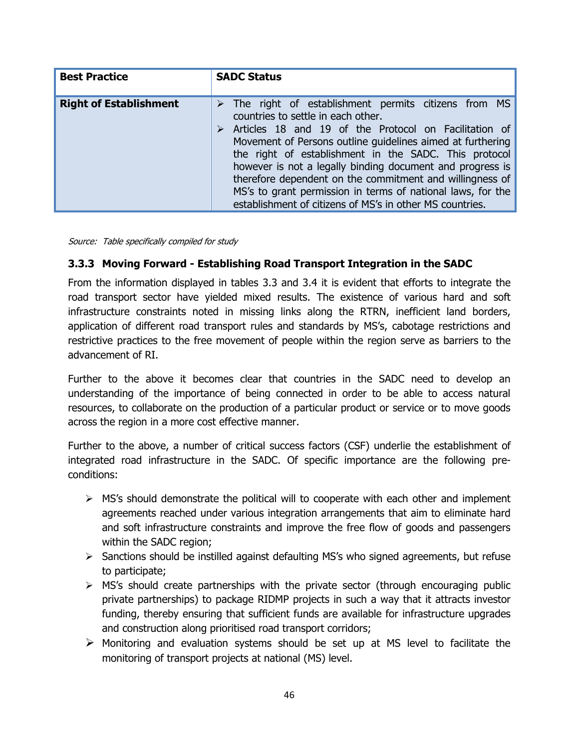| <b>Best Practice</b>          | <b>SADC Status</b>                                                                                                                                                                                                                                                                                                                                                                                                                                                                                                                             |
|-------------------------------|------------------------------------------------------------------------------------------------------------------------------------------------------------------------------------------------------------------------------------------------------------------------------------------------------------------------------------------------------------------------------------------------------------------------------------------------------------------------------------------------------------------------------------------------|
| <b>Right of Establishment</b> | $\triangleright$ The right of establishment permits citizens from MS<br>countries to settle in each other.<br>Articles 18 and 19 of the Protocol on Facilitation of<br>Movement of Persons outline guidelines aimed at furthering<br>the right of establishment in the SADC. This protocol<br>however is not a legally binding document and progress is<br>therefore dependent on the commitment and willingness of<br>MS's to grant permission in terms of national laws, for the<br>establishment of citizens of MS's in other MS countries. |

Source: Table specifically compiled for study

#### **3.3.3 Moving Forward - Establishing Road Transport Integration in the SADC**

From the information displayed in tables 3.3 and 3.4 it is evident that efforts to integrate the road transport sector have yielded mixed results. The existence of various hard and soft infrastructure constraints noted in missing links along the RTRN, inefficient land borders, application of different road transport rules and standards by MS's, cabotage restrictions and restrictive practices to the free movement of people within the region serve as barriers to the advancement of RI.

Further to the above it becomes clear that countries in the SADC need to develop an understanding of the importance of being connected in order to be able to access natural resources, to collaborate on the production of a particular product or service or to move goods across the region in a more cost effective manner.

Further to the above, a number of critical success factors (CSF) underlie the establishment of integrated road infrastructure in the SADC. Of specific importance are the following preconditions:

- $\triangleright$  MS's should demonstrate the political will to cooperate with each other and implement agreements reached under various integration arrangements that aim to eliminate hard and soft infrastructure constraints and improve the free flow of goods and passengers within the SADC region;
- $\triangleright$  Sanctions should be instilled against defaulting MS's who signed agreements, but refuse to participate;
- $\triangleright$  MS's should create partnerships with the private sector (through encouraging public private partnerships) to package RIDMP projects in such a way that it attracts investor funding, thereby ensuring that sufficient funds are available for infrastructure upgrades and construction along prioritised road transport corridors;
- $\triangleright$  Monitoring and evaluation systems should be set up at MS level to facilitate the monitoring of transport projects at national (MS) level.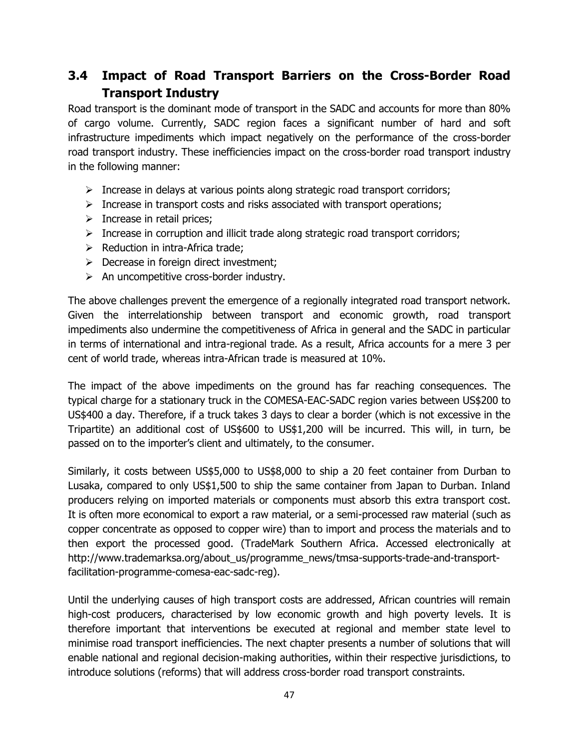# **3.4 Impact of Road Transport Barriers on the Cross-Border Road Transport Industry**

Road transport is the dominant mode of transport in the SADC and accounts for more than 80% of cargo volume. Currently, SADC region faces a significant number of hard and soft infrastructure impediments which impact negatively on the performance of the cross-border road transport industry. These inefficiencies impact on the cross-border road transport industry in the following manner:

- $\triangleright$  Increase in delays at various points along strategic road transport corridors;
- $\triangleright$  Increase in transport costs and risks associated with transport operations;
- $\triangleright$  Increase in retail prices;
- $\triangleright$  Increase in corruption and illicit trade along strategic road transport corridors;
- $\triangleright$  Reduction in intra-Africa trade;
- $\triangleright$  Decrease in foreign direct investment;
- $\triangleright$  An uncompetitive cross-border industry.

The above challenges prevent the emergence of a regionally integrated road transport network. Given the interrelationship between transport and economic growth, road transport impediments also undermine the competitiveness of Africa in general and the SADC in particular in terms of international and intra-regional trade. As a result, Africa accounts for a mere 3 per cent of world trade, whereas intra-African trade is measured at 10%.

The impact of the above impediments on the ground has far reaching consequences. The typical charge for a stationary truck in the COMESA-EAC-SADC region varies between US\$200 to US\$400 a day. Therefore, if a truck takes 3 days to clear a border (which is not excessive in the Tripartite) an additional cost of US\$600 to US\$1,200 will be incurred. This will, in turn, be passed on to the importer's client and ultimately, to the consumer.

Similarly, it costs between US\$5,000 to US\$8,000 to ship a 20 feet container from Durban to Lusaka, compared to only US\$1,500 to ship the same container from Japan to Durban. Inland producers relying on imported materials or components must absorb this extra transport cost. It is often more economical to export a raw material, or a semi-processed raw material (such as copper concentrate as opposed to copper wire) than to import and process the materials and to then export the processed good. (TradeMark Southern Africa. Accessed electronically at [http://www.trademarksa.org/about\\_us/programme\\_news/tmsa-supports-trade-and-transport](http://www.trademarksa.org/about_us/programme_news/tmsa-supports-trade-and-transport-facilitation-programme-comesa-eac-sadc-reg)[facilitation-programme-comesa-eac-sadc-reg\)](http://www.trademarksa.org/about_us/programme_news/tmsa-supports-trade-and-transport-facilitation-programme-comesa-eac-sadc-reg).

Until the underlying causes of high transport costs are addressed, African countries will remain high-cost producers, characterised by low economic growth and high poverty levels. It is therefore important that interventions be executed at regional and member state level to minimise road transport inefficiencies. The next chapter presents a number of solutions that will enable national and regional decision-making authorities, within their respective jurisdictions, to introduce solutions (reforms) that will address cross-border road transport constraints.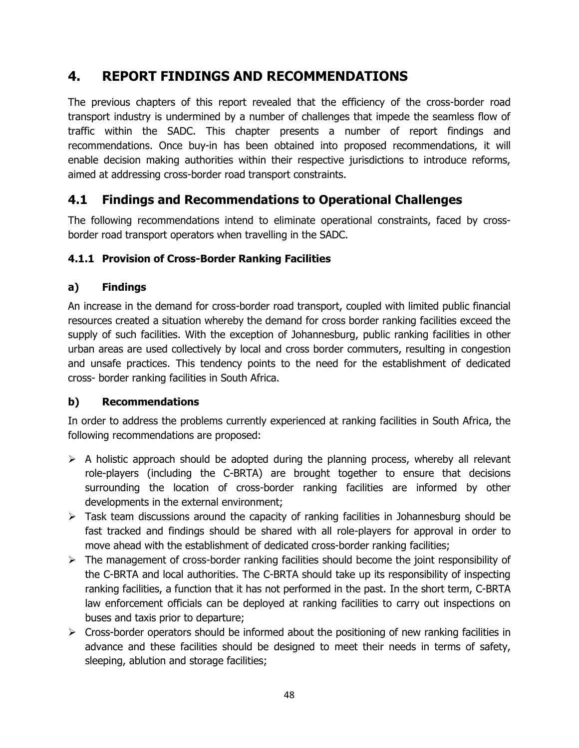# **4. REPORT FINDINGS AND RECOMMENDATIONS**

The previous chapters of this report revealed that the efficiency of the cross-border road transport industry is undermined by a number of challenges that impede the seamless flow of traffic within the SADC. This chapter presents a number of report findings and recommendations. Once buy-in has been obtained into proposed recommendations, it will enable decision making authorities within their respective jurisdictions to introduce reforms, aimed at addressing cross-border road transport constraints.

# **4.1 Findings and Recommendations to Operational Challenges**

The following recommendations intend to eliminate operational constraints, faced by crossborder road transport operators when travelling in the SADC.

## **4.1.1 Provision of Cross-Border Ranking Facilities**

## **a) Findings**

An increase in the demand for cross-border road transport, coupled with limited public financial resources created a situation whereby the demand for cross border ranking facilities exceed the supply of such facilities. With the exception of Johannesburg, public ranking facilities in other urban areas are used collectively by local and cross border commuters, resulting in congestion and unsafe practices. This tendency points to the need for the establishment of dedicated cross- border ranking facilities in South Africa.

## **b) Recommendations**

In order to address the problems currently experienced at ranking facilities in South Africa, the following recommendations are proposed:

- $\triangleright$  A holistic approach should be adopted during the planning process, whereby all relevant role-players (including the C-BRTA) are brought together to ensure that decisions surrounding the location of cross-border ranking facilities are informed by other developments in the external environment;
- $\triangleright$  Task team discussions around the capacity of ranking facilities in Johannesburg should be fast tracked and findings should be shared with all role-players for approval in order to move ahead with the establishment of dedicated cross-border ranking facilities;
- $\triangleright$  The management of cross-border ranking facilities should become the joint responsibility of the C-BRTA and local authorities. The C-BRTA should take up its responsibility of inspecting ranking facilities, a function that it has not performed in the past. In the short term, C-BRTA law enforcement officials can be deployed at ranking facilities to carry out inspections on buses and taxis prior to departure;
- $\triangleright$  Cross-border operators should be informed about the positioning of new ranking facilities in advance and these facilities should be designed to meet their needs in terms of safety, sleeping, ablution and storage facilities;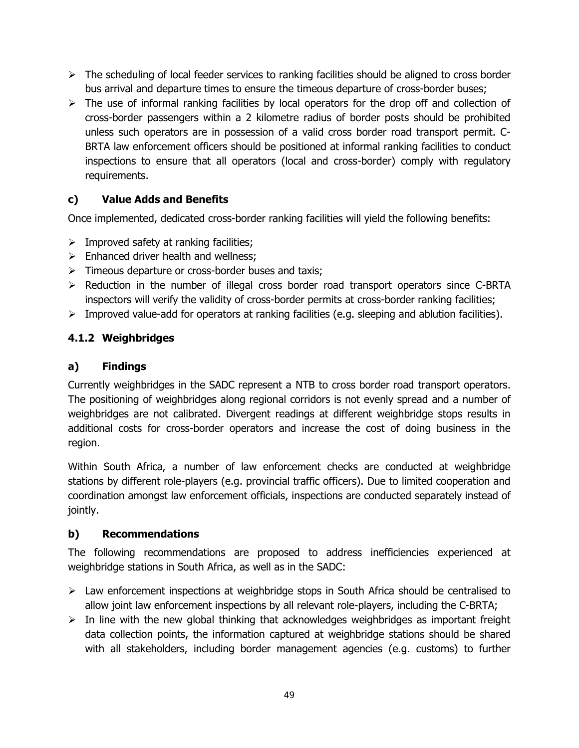- $\triangleright$  The scheduling of local feeder services to ranking facilities should be aligned to cross border bus arrival and departure times to ensure the timeous departure of cross-border buses;
- $\triangleright$  The use of informal ranking facilities by local operators for the drop off and collection of cross-border passengers within a 2 kilometre radius of border posts should be prohibited unless such operators are in possession of a valid cross border road transport permit. C-BRTA law enforcement officers should be positioned at informal ranking facilities to conduct inspections to ensure that all operators (local and cross-border) comply with regulatory requirements.

## **c) Value Adds and Benefits**

Once implemented, dedicated cross-border ranking facilities will yield the following benefits:

- $\triangleright$  Improved safety at ranking facilities;
- $\triangleright$  Enhanced driver health and wellness:
- $\triangleright$  Timeous departure or cross-border buses and taxis;
- $\triangleright$  Reduction in the number of illegal cross border road transport operators since C-BRTA inspectors will verify the validity of cross-border permits at cross-border ranking facilities;
- $\triangleright$  Improved value-add for operators at ranking facilities (e.g. sleeping and ablution facilities).

## **4.1.2 Weighbridges**

#### **a) Findings**

Currently weighbridges in the SADC represent a NTB to cross border road transport operators. The positioning of weighbridges along regional corridors is not evenly spread and a number of weighbridges are not calibrated. Divergent readings at different weighbridge stops results in additional costs for cross-border operators and increase the cost of doing business in the region.

Within South Africa, a number of law enforcement checks are conducted at weighbridge stations by different role-players (e.g. provincial traffic officers). Due to limited cooperation and coordination amongst law enforcement officials, inspections are conducted separately instead of jointly.

#### **b) Recommendations**

The following recommendations are proposed to address inefficiencies experienced at weighbridge stations in South Africa, as well as in the SADC:

- $\triangleright$  Law enforcement inspections at weighbridge stops in South Africa should be centralised to allow joint law enforcement inspections by all relevant role-players, including the C-BRTA;
- $\triangleright$  In line with the new global thinking that acknowledges weighbridges as important freight data collection points, the information captured at weighbridge stations should be shared with all stakeholders, including border management agencies (e.g. customs) to further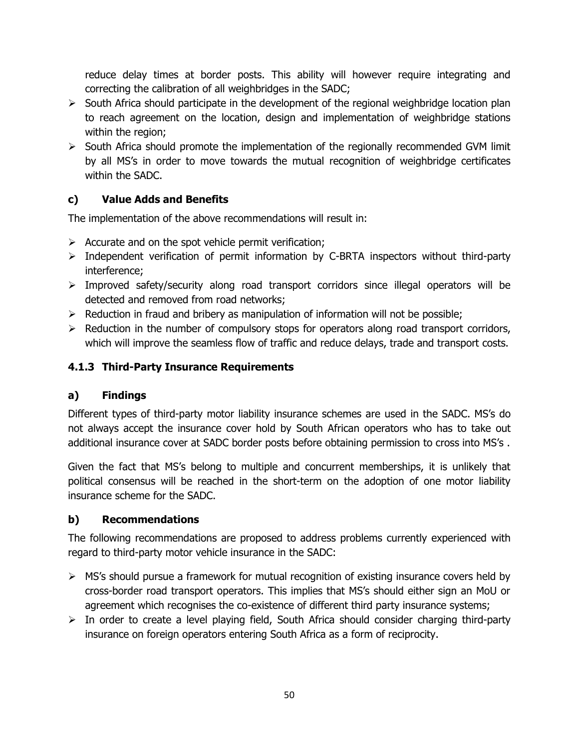reduce delay times at border posts. This ability will however require integrating and correcting the calibration of all weighbridges in the SADC;

- $\triangleright$  South Africa should participate in the development of the regional weighbridge location plan to reach agreement on the location, design and implementation of weighbridge stations within the region;
- $\triangleright$  South Africa should promote the implementation of the regionally recommended GVM limit by all MS's in order to move towards the mutual recognition of weighbridge certificates within the SADC.

## **c) Value Adds and Benefits**

The implementation of the above recommendations will result in:

- $\triangleright$  Accurate and on the spot vehicle permit verification;
- $\triangleright$  Independent verification of permit information by C-BRTA inspectors without third-party interference;
- $\triangleright$  Improved safety/security along road transport corridors since illegal operators will be detected and removed from road networks;
- $\triangleright$  Reduction in fraud and bribery as manipulation of information will not be possible;
- $\triangleright$  Reduction in the number of compulsory stops for operators along road transport corridors, which will improve the seamless flow of traffic and reduce delays, trade and transport costs.

## **4.1.3 Third-Party Insurance Requirements**

## **a) Findings**

Different types of third-party motor liability insurance schemes are used in the SADC. MS's do not always accept the insurance cover hold by South African operators who has to take out additional insurance cover at SADC border posts before obtaining permission to cross into MS's .

Given the fact that MS's belong to multiple and concurrent memberships, it is unlikely that political consensus will be reached in the short-term on the adoption of one motor liability insurance scheme for the SADC.

## **b) Recommendations**

The following recommendations are proposed to address problems currently experienced with regard to third-party motor vehicle insurance in the SADC:

- $\triangleright$  MS's should pursue a framework for mutual recognition of existing insurance covers held by cross-border road transport operators. This implies that MS's should either sign an MoU or agreement which recognises the co-existence of different third party insurance systems;
- $\triangleright$  In order to create a level playing field, South Africa should consider charging third-party insurance on foreign operators entering South Africa as a form of reciprocity.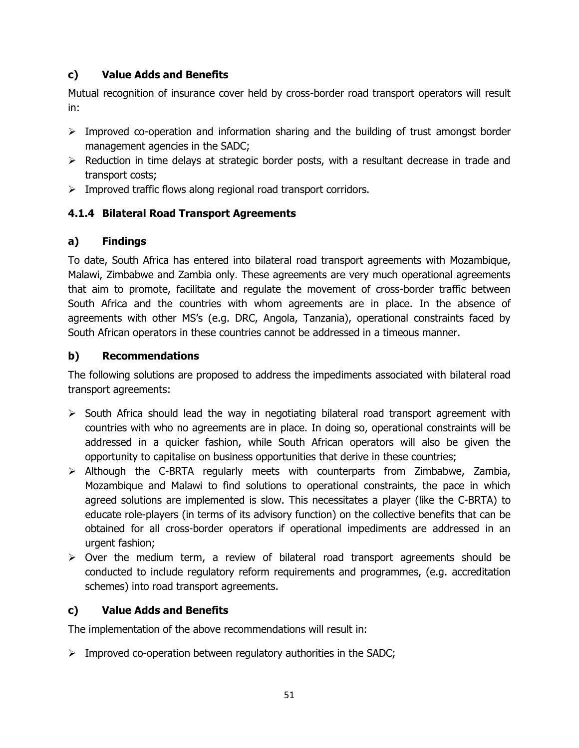## **c) Value Adds and Benefits**

Mutual recognition of insurance cover held by cross-border road transport operators will result in:

- $\triangleright$  Improved co-operation and information sharing and the building of trust amongst border management agencies in the SADC;
- $\triangleright$  Reduction in time delays at strategic border posts, with a resultant decrease in trade and transport costs;
- $\triangleright$  Improved traffic flows along regional road transport corridors.

## **4.1.4 Bilateral Road Transport Agreements**

## **a) Findings**

To date, South Africa has entered into bilateral road transport agreements with Mozambique, Malawi, Zimbabwe and Zambia only. These agreements are very much operational agreements that aim to promote, facilitate and regulate the movement of cross-border traffic between South Africa and the countries with whom agreements are in place. In the absence of agreements with other MS's (e.g. DRC, Angola, Tanzania), operational constraints faced by South African operators in these countries cannot be addressed in a timeous manner.

#### **b) Recommendations**

The following solutions are proposed to address the impediments associated with bilateral road transport agreements:

- $\triangleright$  South Africa should lead the way in negotiating bilateral road transport agreement with countries with who no agreements are in place. In doing so, operational constraints will be addressed in a quicker fashion, while South African operators will also be given the opportunity to capitalise on business opportunities that derive in these countries;
- $\triangleright$  Although the C-BRTA regularly meets with counterparts from Zimbabwe, Zambia, Mozambique and Malawi to find solutions to operational constraints, the pace in which agreed solutions are implemented is slow. This necessitates a player (like the C-BRTA) to educate role-players (in terms of its advisory function) on the collective benefits that can be obtained for all cross-border operators if operational impediments are addressed in an urgent fashion;
- $\triangleright$  Over the medium term, a review of bilateral road transport agreements should be conducted to include regulatory reform requirements and programmes, (e.g. accreditation schemes) into road transport agreements.

## **c) Value Adds and Benefits**

The implementation of the above recommendations will result in:

 $\triangleright$  Improved co-operation between regulatory authorities in the SADC;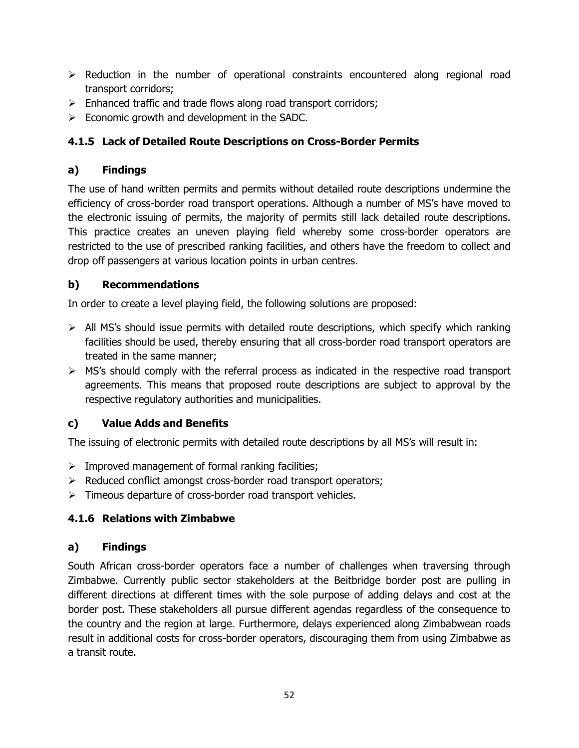- $\triangleright$  Reduction in the number of operational constraints encountered along regional road transport corridors;
- $\triangleright$  Enhanced traffic and trade flows along road transport corridors;
- $\triangleright$  Economic growth and development in the SADC.

## **4.1.5 Lack of Detailed Route Descriptions on Cross-Border Permits**

## **a) Findings**

The use of hand written permits and permits without detailed route descriptions undermine the efficiency of cross-border road transport operations. Although a number of MS's have moved to the electronic issuing of permits, the majority of permits still lack detailed route descriptions. This practice creates an uneven playing field whereby some cross-border operators are restricted to the use of prescribed ranking facilities, and others have the freedom to collect and drop off passengers at various location points in urban centres.

## **b) Recommendations**

In order to create a level playing field, the following solutions are proposed:

- $\triangleright$  All MS's should issue permits with detailed route descriptions, which specify which ranking facilities should be used, thereby ensuring that all cross-border road transport operators are treated in the same manner;
- $\triangleright$  MS's should comply with the referral process as indicated in the respective road transport agreements. This means that proposed route descriptions are subject to approval by the respective regulatory authorities and municipalities.

## **c) Value Adds and Benefits**

The issuing of electronic permits with detailed route descriptions by all MS's will result in:

- $\triangleright$  Improved management of formal ranking facilities;
- $\triangleright$  Reduced conflict amongst cross-border road transport operators;
- $\triangleright$  Timeous departure of cross-border road transport vehicles.

## **4.1.6 Relations with Zimbabwe**

## **a) Findings**

South African cross-border operators face a number of challenges when traversing through Zimbabwe. Currently public sector stakeholders at the Beitbridge border post are pulling in different directions at different times with the sole purpose of adding delays and cost at the border post. These stakeholders all pursue different agendas regardless of the consequence to the country and the region at large. Furthermore, delays experienced along Zimbabwean roads result in additional costs for cross-border operators, discouraging them from using Zimbabwe as a transit route.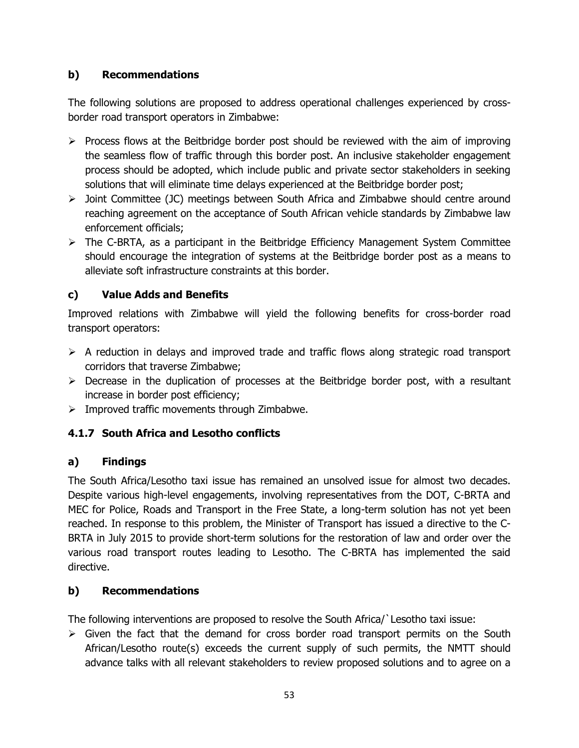### **b) Recommendations**

The following solutions are proposed to address operational challenges experienced by crossborder road transport operators in Zimbabwe:

- $\triangleright$  Process flows at the Beitbridge border post should be reviewed with the aim of improving the seamless flow of traffic through this border post. An inclusive stakeholder engagement process should be adopted, which include public and private sector stakeholders in seeking solutions that will eliminate time delays experienced at the Beitbridge border post;
- Joint Committee (JC) meetings between South Africa and Zimbabwe should centre around reaching agreement on the acceptance of South African vehicle standards by Zimbabwe law enforcement officials;
- $\triangleright$  The C-BRTA, as a participant in the Beitbridge Efficiency Management System Committee should encourage the integration of systems at the Beitbridge border post as a means to alleviate soft infrastructure constraints at this border.

## **c) Value Adds and Benefits**

Improved relations with Zimbabwe will yield the following benefits for cross-border road transport operators:

- $\triangleright$  A reduction in delays and improved trade and traffic flows along strategic road transport corridors that traverse Zimbabwe;
- $\triangleright$  Decrease in the duplication of processes at the Beitbridge border post, with a resultant increase in border post efficiency;
- $\triangleright$  Improved traffic movements through Zimbabwe.

## **4.1.7 South Africa and Lesotho conflicts**

#### **a) Findings**

The South Africa/Lesotho taxi issue has remained an unsolved issue for almost two decades. Despite various high-level engagements, involving representatives from the DOT, C-BRTA and MEC for Police, Roads and Transport in the Free State, a long-term solution has not yet been reached. In response to this problem, the Minister of Transport has issued a directive to the C-BRTA in July 2015 to provide short-term solutions for the restoration of law and order over the various road transport routes leading to Lesotho. The C-BRTA has implemented the said directive.

#### **b) Recommendations**

The following interventions are proposed to resolve the South Africa/`Lesotho taxi issue:

 $\triangleright$  Given the fact that the demand for cross border road transport permits on the South African/Lesotho route(s) exceeds the current supply of such permits, the NMTT should advance talks with all relevant stakeholders to review proposed solutions and to agree on a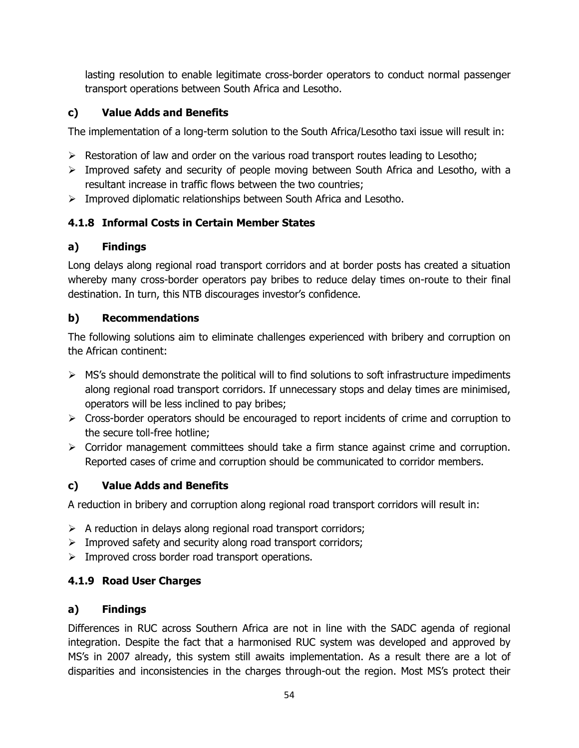lasting resolution to enable legitimate cross-border operators to conduct normal passenger transport operations between South Africa and Lesotho.

## **c) Value Adds and Benefits**

The implementation of a long-term solution to the South Africa/Lesotho taxi issue will result in:

- $\triangleright$  Restoration of law and order on the various road transport routes leading to Lesotho;
- $\triangleright$  Improved safety and security of people moving between South Africa and Lesotho, with a resultant increase in traffic flows between the two countries;
- $\triangleright$  Improved diplomatic relationships between South Africa and Lesotho.

## **4.1.8 Informal Costs in Certain Member States**

#### **a) Findings**

Long delays along regional road transport corridors and at border posts has created a situation whereby many cross-border operators pay bribes to reduce delay times on-route to their final destination. In turn, this NTB discourages investor's confidence.

## **b) Recommendations**

The following solutions aim to eliminate challenges experienced with bribery and corruption on the African continent:

- $\triangleright$  MS's should demonstrate the political will to find solutions to soft infrastructure impediments along regional road transport corridors. If unnecessary stops and delay times are minimised, operators will be less inclined to pay bribes;
- $\triangleright$  Cross-border operators should be encouraged to report incidents of crime and corruption to the secure toll-free hotline;
- $\triangleright$  Corridor management committees should take a firm stance against crime and corruption. Reported cases of crime and corruption should be communicated to corridor members.

## **c) Value Adds and Benefits**

A reduction in bribery and corruption along regional road transport corridors will result in:

- $\triangleright$  A reduction in delays along regional road transport corridors;
- $\triangleright$  Improved safety and security along road transport corridors;
- $\triangleright$  Improved cross border road transport operations.

## **4.1.9 Road User Charges**

## **a) Findings**

Differences in RUC across Southern Africa are not in line with the SADC agenda of regional integration. Despite the fact that a harmonised RUC system was developed and approved by MS's in 2007 already, this system still awaits implementation. As a result there are a lot of disparities and inconsistencies in the charges through-out the region. Most MS's protect their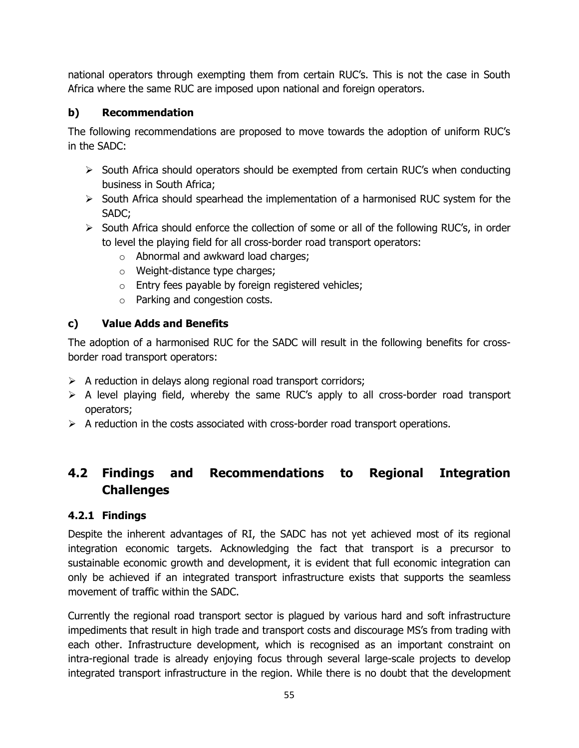national operators through exempting them from certain RUC's. This is not the case in South Africa where the same RUC are imposed upon national and foreign operators.

## **b) Recommendation**

The following recommendations are proposed to move towards the adoption of uniform RUC's in the SADC:

- $\triangleright$  South Africa should operators should be exempted from certain RUC's when conducting business in South Africa;
- $\triangleright$  South Africa should spearhead the implementation of a harmonised RUC system for the SADC;
- $\triangleright$  South Africa should enforce the collection of some or all of the following RUC's, in order to level the playing field for all cross-border road transport operators:
	- o Abnormal and awkward load charges;
	- o Weight-distance type charges;
	- o Entry fees payable by foreign registered vehicles;
	- o Parking and congestion costs.

## **c) Value Adds and Benefits**

The adoption of a harmonised RUC for the SADC will result in the following benefits for crossborder road transport operators:

- $\triangleright$  A reduction in delays along regional road transport corridors;
- $\triangleright$  A level playing field, whereby the same RUC's apply to all cross-border road transport operators;
- $\triangleright$  A reduction in the costs associated with cross-border road transport operations.

# **4.2 Findings and Recommendations to Regional Integration Challenges**

## **4.2.1 Findings**

Despite the inherent advantages of RI, the SADC has not yet achieved most of its regional integration economic targets. Acknowledging the fact that transport is a precursor to sustainable economic growth and development, it is evident that full economic integration can only be achieved if an integrated transport infrastructure exists that supports the seamless movement of traffic within the SADC.

Currently the regional road transport sector is plagued by various hard and soft infrastructure impediments that result in high trade and transport costs and discourage MS's from trading with each other. Infrastructure development, which is recognised as an important constraint on intra-regional trade is already enjoying focus through several large-scale projects to develop integrated transport infrastructure in the region. While there is no doubt that the development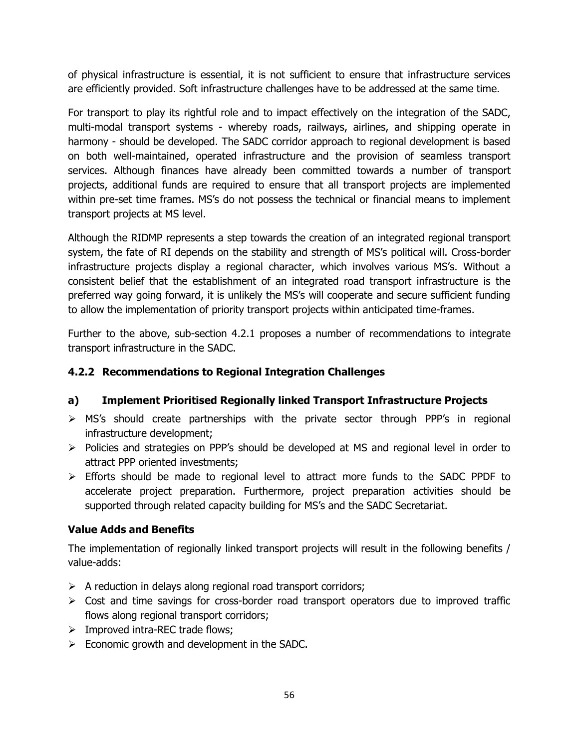of physical infrastructure is essential, it is not sufficient to ensure that infrastructure services are efficiently provided. Soft infrastructure challenges have to be addressed at the same time.

For transport to play its rightful role and to impact effectively on the integration of the SADC, multi-modal transport systems - whereby roads, railways, airlines, and shipping operate in harmony - should be developed. The SADC corridor approach to regional development is based on both well-maintained, operated infrastructure and the provision of seamless transport services. Although finances have already been committed towards a number of transport projects, additional funds are required to ensure that all transport projects are implemented within pre-set time frames. MS's do not possess the technical or financial means to implement transport projects at MS level.

Although the RIDMP represents a step towards the creation of an integrated regional transport system, the fate of RI depends on the stability and strength of MS's political will. Cross-border infrastructure projects display a regional character, which involves various MS's. Without a consistent belief that the establishment of an integrated road transport infrastructure is the preferred way going forward, it is unlikely the MS's will cooperate and secure sufficient funding to allow the implementation of priority transport projects within anticipated time-frames.

Further to the above, sub-section 4.2.1 proposes a number of recommendations to integrate transport infrastructure in the SADC.

## **4.2.2 Recommendations to Regional Integration Challenges**

## **a) Implement Prioritised Regionally linked Transport Infrastructure Projects**

- MS's should create partnerships with the private sector through PPP's in regional infrastructure development;
- $\triangleright$  Policies and strategies on PPP's should be developed at MS and regional level in order to attract PPP oriented investments;
- $\triangleright$  Efforts should be made to regional level to attract more funds to the SADC PPDF to accelerate project preparation. Furthermore, project preparation activities should be supported through related capacity building for MS's and the SADC Secretariat.

## **Value Adds and Benefits**

The implementation of regionally linked transport projects will result in the following benefits / value-adds:

- $\triangleright$  A reduction in delays along regional road transport corridors;
- $\triangleright$  Cost and time savings for cross-border road transport operators due to improved traffic flows along regional transport corridors;
- $\triangleright$  Improved intra-REC trade flows;
- $\triangleright$  Economic growth and development in the SADC.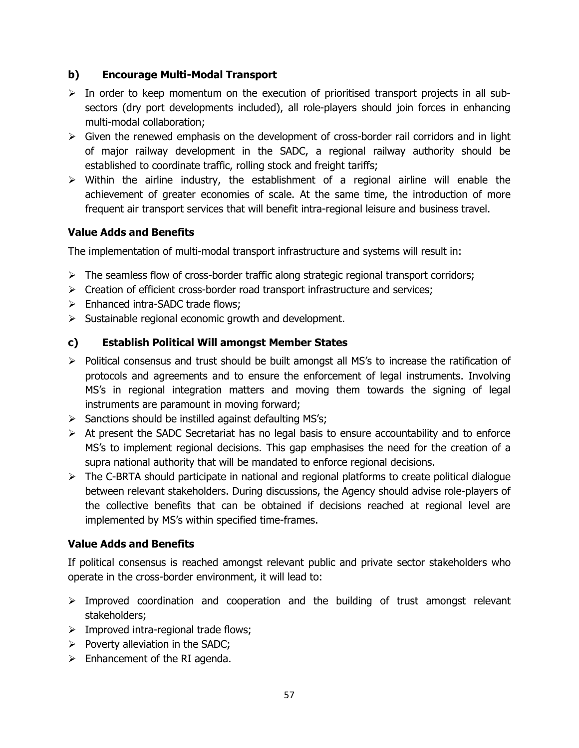#### **b) Encourage Multi-Modal Transport**

- $\triangleright$  In order to keep momentum on the execution of prioritised transport projects in all subsectors (dry port developments included), all role-players should join forces in enhancing multi-modal collaboration;
- $\triangleright$  Given the renewed emphasis on the development of cross-border rail corridors and in light of major railway development in the SADC, a regional railway authority should be established to coordinate traffic, rolling stock and freight tariffs;
- $\triangleright$  Within the airline industry, the establishment of a regional airline will enable the achievement of greater economies of scale. At the same time, the introduction of more frequent air transport services that will benefit intra-regional leisure and business travel.

#### **Value Adds and Benefits**

The implementation of multi-modal transport infrastructure and systems will result in:

- $\triangleright$  The seamless flow of cross-border traffic along strategic regional transport corridors;
- $\triangleright$  Creation of efficient cross-border road transport infrastructure and services;
- $\triangleright$  Enhanced intra-SADC trade flows:
- $\triangleright$  Sustainable regional economic growth and development.

#### **c) Establish Political Will amongst Member States**

- $\triangleright$  Political consensus and trust should be built amongst all MS's to increase the ratification of protocols and agreements and to ensure the enforcement of legal instruments. Involving MS's in regional integration matters and moving them towards the signing of legal instruments are paramount in moving forward;
- $\triangleright$  Sanctions should be instilled against defaulting MS's;
- $\triangleright$  At present the SADC Secretariat has no legal basis to ensure accountability and to enforce MS's to implement regional decisions. This gap emphasises the need for the creation of a supra national authority that will be mandated to enforce regional decisions.
- $\triangleright$  The C-BRTA should participate in national and regional platforms to create political dialogue between relevant stakeholders. During discussions, the Agency should advise role-players of the collective benefits that can be obtained if decisions reached at regional level are implemented by MS's within specified time-frames.

#### **Value Adds and Benefits**

If political consensus is reached amongst relevant public and private sector stakeholders who operate in the cross-border environment, it will lead to:

- $\triangleright$  Improved coordination and cooperation and the building of trust amongst relevant stakeholders;
- $\triangleright$  Improved intra-regional trade flows;
- $\triangleright$  Poverty alleviation in the SADC;
- $\triangleright$  Enhancement of the RI agenda.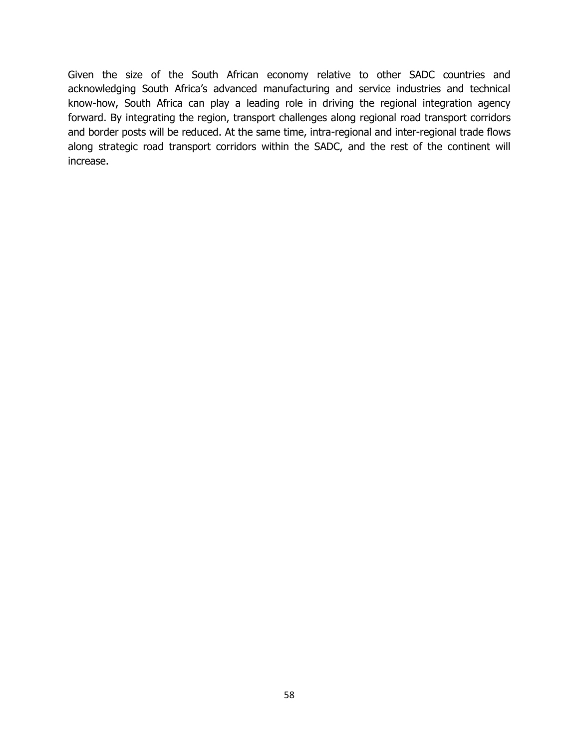Given the size of the South African economy relative to other SADC countries and acknowledging South Africa's advanced manufacturing and service industries and technical know-how, South Africa can play a leading role in driving the regional integration agency forward. By integrating the region, transport challenges along regional road transport corridors and border posts will be reduced. At the same time, intra-regional and inter-regional trade flows along strategic road transport corridors within the SADC, and the rest of the continent will increase.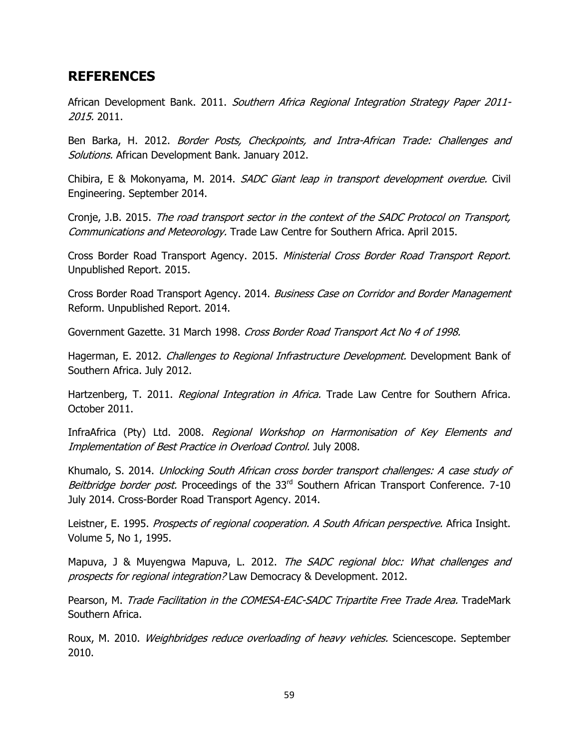## **REFERENCES**

African Development Bank. 2011. Southern Africa Regional Integration Strategy Paper 2011-2015. 2011.

Ben Barka, H. 2012. Border Posts, Checkpoints, and Intra-African Trade: Challenges and Solutions. African Development Bank. January 2012.

Chibira, E & Mokonyama, M. 2014. SADC Giant leap in transport development overdue. Civil Engineering. September 2014.

Cronje, J.B. 2015. The road transport sector in the context of the SADC Protocol on Transport, Communications and Meteorology. Trade Law Centre for Southern Africa. April 2015.

Cross Border Road Transport Agency. 2015. Ministerial Cross Border Road Transport Report. Unpublished Report. 2015.

Cross Border Road Transport Agency. 2014. Business Case on Corridor and Border Management Reform. Unpublished Report. 2014.

Government Gazette. 31 March 1998. Cross Border Road Transport Act No 4 of 1998.

Hagerman, E. 2012. *Challenges to Regional Infrastructure Development*. Development Bank of Southern Africa. July 2012.

Hartzenberg, T. 2011. Regional Integration in Africa. Trade Law Centre for Southern Africa. October 2011.

InfraAfrica (Pty) Ltd. 2008. Regional Workshop on Harmonisation of Key Elements and Implementation of Best Practice in Overload Control. July 2008.

Khumalo, S. 2014. Unlocking South African cross border transport challenges: A case study of Beitbridge border post. Proceedings of the 33<sup>rd</sup> Southern African Transport Conference. 7-10 July 2014. Cross-Border Road Transport Agency. 2014.

Leistner, E. 1995. Prospects of regional cooperation. A South African perspective. Africa Insight. Volume 5, No 1, 1995.

Mapuva, J & Muyengwa Mapuva, L. 2012. The SADC regional bloc: What challenges and prospects for regional integration? Law Democracy & Development. 2012.

Pearson, M. Trade Facilitation in the COMESA-EAC-SADC Tripartite Free Trade Area. TradeMark Southern Africa.

Roux, M. 2010. Weighbridges reduce overloading of heavy vehicles. Sciencescope. September 2010.